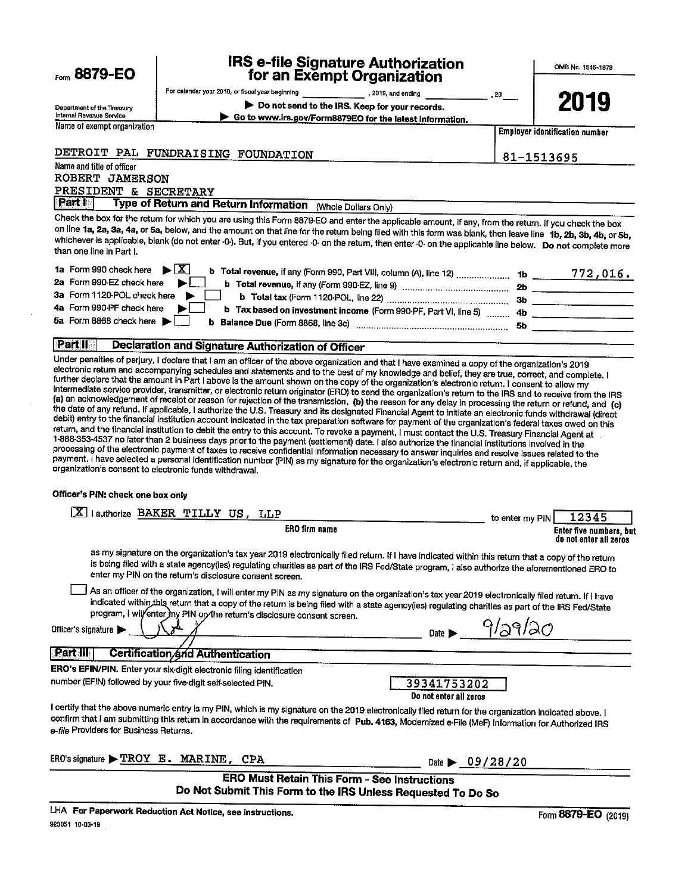| $E_{\text{orm}}$ 8879-EO |
|--------------------------|
|--------------------------|

# IRS e-file Signature Authorization for an Exempt Organization

OMB No. 1545-1878  $\blacksquare$  . The contract of the contract of the contract of the contract of the contract of the contract of the contract of the contract of the contract of the contract of the contract of the contract of the contract of the

|                                                  | exerce or genual dis- |      |
|--------------------------------------------------|-----------------------|------|
| For calendar year 2019, or fiscal year beginning | , 2019, and ending    | . 20 |

2019

<sup>D</sup>epartment of the Treasury Internal Revenue Service <sup>N</sup>ame of exempt organ ▶ Do not send to the IRS. Keep for your records.<br>▶ Go to www.irs.gov/Form8879EO for the latest information.

**Employer identification number** 

81-1513695

DETROIT PAL FUNDRAISING FOUNDATION

# Name and title of officer ROBERT JAMERSON PRESIDENT & SECRETARY

Part | Type of Return and Return Information (Whole Dollars Only)

Check the box for the return for which you are using this Form 8879-EO and enter the applicable amount, if any, from the return. If you check the box <sup>o</sup>n line la, 2a, 3a, 4a, or 5a, below, and the amount on that line for the return being filed with this form was blank, then leave line ib, 2b, 31,, 4b, or Sb, whichever is applicable, blank (do not enter -0-). But, if you entered -0- on the return, then enter -0- on the applicable line below. Do not complete more than one line in Part I.

| 1a Form 990 check here $\triangleright$ $\lfloor X \rfloor$<br>b Total revenue, if any (Form 990, Part VIII, column (A), line 12)  1b |     | 772,016. |
|---------------------------------------------------------------------------------------------------------------------------------------|-----|----------|
| 2a Form 990-EZ check here $\blacktriangleright$<br>b Total revenue, if any (Form 990-EZ, line 9)                                      | -2b |          |
| 3a Form 1120-POL check here                                                                                                           | 36  |          |
| 4a Form 990-PF check here<br>b Tax based on investment income (Form 990-PF, Part VI, line 5)  4b                                      |     |          |
| 5a Form 8868 check here $\blacktriangleright$                                                                                         | -5b |          |

# **Part II** Declaration and Signature Authorization of Officer

<sup>U</sup>nder penalties of perjury, I declare that lam an officer of the above organization and that I have examined <sup>a</sup>copy of the organization's <sup>2019</sup> electronic return and accompanying schedules and statements and to the best of my knowledge and belief, they are true, correct, and complete. I<br>further declare that the amount in Part I above is the amount shown on the cop intermediate service provider, transmitter, or electronic return originator (ERO) to send the organization's return to the IRS and to receive from the IRS (a) an acknowledgement of receipt or reason for rejection of the tr 1-888-353-4537 no later than 2 business days prior to the payment (settlement) date. I also authorize the financial institutions involved in the <sup>p</sup>rocessing of the electronic payment of taxes to receive confidential information necessary to answer inquiries and resolve issues related to the payment. I have selected a personal identification number (PIN) as my signature for the organization's electronic return and, if applicable, the <sup>o</sup>rganization's consent to electronic funds withdrawal.

#### <sup>O</sup>fficer's PIN: check one box only

| lauthorize BAKER TILLY US, LLP                                                                                                                                                                                                                                                                                                                                                                                                        | 12345<br>to enter my PIN                          |
|---------------------------------------------------------------------------------------------------------------------------------------------------------------------------------------------------------------------------------------------------------------------------------------------------------------------------------------------------------------------------------------------------------------------------------------|---------------------------------------------------|
| <b>ERO</b> firm name                                                                                                                                                                                                                                                                                                                                                                                                                  | Enter five numbers, but<br>do not enter all zeros |
| as my signature on the organization's tax year 2019 electronically filed return. If I have indicated within this return that a copy of the return<br>is being filed with a state agency(ies) regulating charities as part of the IRS Fed/State program, I also authorize the aforementioned ERO to<br>enter my PIN on the return's disclosure consent screen.                                                                         |                                                   |
| As an officer of the organization, I will enter my PIN as my signature on the organization's tax year 2019 electronically filed return. If I have<br>indicated within this return that a copy of the return is being filed with a state agency(ies) regulating charities as part of the IRS Fed/State<br>program, I will/enter my PIN on the return's disclosure consent screen.<br>Officer's signature<br>Date $\blacktriangleright$ | 9/29/20                                           |
| <b>Part III</b><br><b>Certification and Authentication</b>                                                                                                                                                                                                                                                                                                                                                                            |                                                   |
| ERO's EFIN/PIN. Enter your six-digit electronic filing identification<br>number (EFIN) followed by your five-digit self-selected PIN.<br>39341753202<br>Do not enter all zeros                                                                                                                                                                                                                                                        |                                                   |
| I certify that the above numeric entry is my PIN, which is my signature on the 2019 electronically filed return for the organization indicated above. I<br>confirm that I am submitting this retum in accordance with the requirements of Pub. 4163, Modemized e-File (MeF) Information for Authorized IRS<br>e-file Providers for Business Returns.                                                                                  |                                                   |
| ERO's signature $\blacktriangleright$ TROY E. MARINE, CPA<br>Date $\triangleright$ 09/28/20                                                                                                                                                                                                                                                                                                                                           |                                                   |
| ERO Must Retain This Form - See Instructions<br>Do Not Submit This Form to the IRS Unless Requested To Do So                                                                                                                                                                                                                                                                                                                          |                                                   |

LHA For Paperwork Reduction Act Notice, see instructions. Form 8879-EO (2019) 923051 10-03-19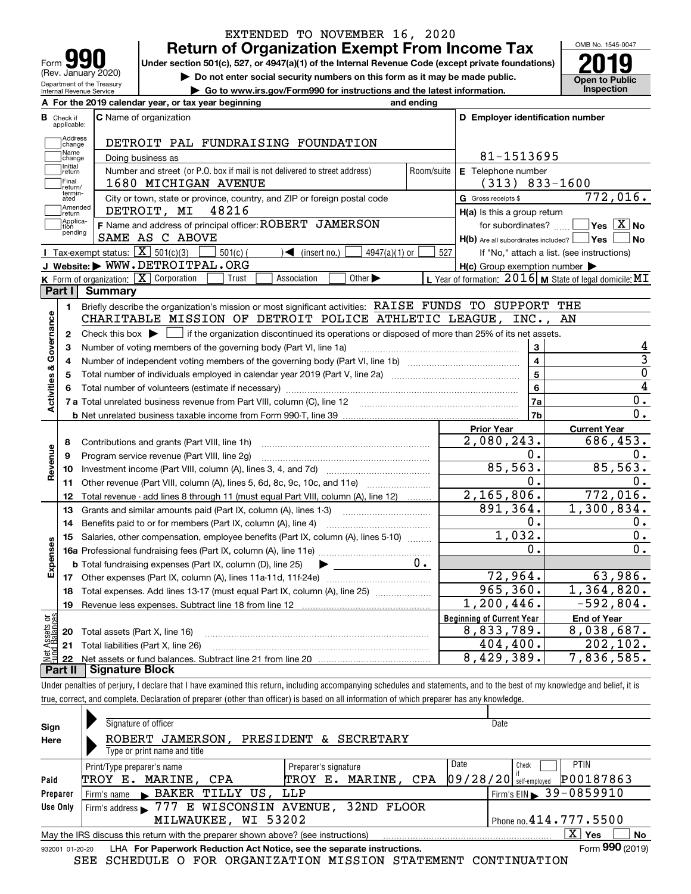| <b>IQI</b>                                             |
|--------------------------------------------------------|
| Form                                                   |
| (Rev. January 2020)                                    |
| Department of the Treasury<br>Internal Revenue Service |

# **Return of Organization Exempt From Income Tax** EXTENDED TO NOVEMBER 16, 2020

Under section 501(c), 527, or 4947(a)(1) of the Internal Revenue Code (except private foundations) **2019** 

**| Do not enter social security numbers on this form as it may be made public.**

**| Go to www.irs.gov/Form990 for instructions and the latest information. Inspection**



|                         |                         | A For the 2019 calendar year, or tax year beginning                                                                                                 | and ending |                                                     |                                                           |  |
|-------------------------|-------------------------|-----------------------------------------------------------------------------------------------------------------------------------------------------|------------|-----------------------------------------------------|-----------------------------------------------------------|--|
| В                       | Check if<br>applicable: | <b>C</b> Name of organization                                                                                                                       |            | D Employer identification number                    |                                                           |  |
|                         | Address<br>change       | DETROIT PAL FUNDRAISING FOUNDATION                                                                                                                  |            |                                                     |                                                           |  |
|                         | Name<br>change          | Doing business as                                                                                                                                   | 81-1513695 |                                                     |                                                           |  |
|                         | Initial<br>return       | Number and street (or P.O. box if mail is not delivered to street address)                                                                          | Room/suite | E Telephone number                                  |                                                           |  |
|                         | Final<br>return/        | 1680 MICHIGAN AVENUE                                                                                                                                |            | $(313) 833 - 1600$                                  |                                                           |  |
|                         | termin-<br>ated         | City or town, state or province, country, and ZIP or foreign postal code                                                                            |            | G Gross receipts \$                                 | 772,016.                                                  |  |
|                         | Amended<br>Ireturn      | 48216<br>DETROIT, MI                                                                                                                                |            | H(a) Is this a group return                         |                                                           |  |
|                         | Applica-<br>tion        | F Name and address of principal officer: ROBERT JAMERSON                                                                                            |            | for subordinates?                                   | $\sqrt{\mathsf{Yes} \mathbf{X}}$ No                       |  |
|                         | pending                 | SAME AS C ABOVE                                                                                                                                     |            | $H(b)$ Are all subordinates included? $\Box$ Yes    | N <sub>o</sub>                                            |  |
|                         |                         | Tax-exempt status: $\boxed{\mathbf{X}}$ 501(c)(3)<br>$501(c)$ (<br>$\sqrt{\frac{1}{1}}$ (insert no.)<br>$4947(a)(1)$ or                             | 527        |                                                     | If "No," attach a list. (see instructions)                |  |
|                         |                         | J Website: WWW.DETROITPAL.ORG                                                                                                                       |            | $H(c)$ Group exemption number $\blacktriangleright$ |                                                           |  |
|                         |                         | K Form of organization: $X$ Corporation<br>Other $\blacktriangleright$<br>Trust<br>Association                                                      |            |                                                     | L Year of formation: $2016$ M State of legal domicile: MT |  |
|                         | Part I                  | Summary                                                                                                                                             |            |                                                     |                                                           |  |
|                         | 1.                      | Briefly describe the organization's mission or most significant activities: RAISE FUNDS TO SUPPORT THE                                              |            |                                                     |                                                           |  |
|                         |                         | CHARITABLE MISSION OF DETROIT POLICE ATHLETIC LEAGUE,                                                                                               |            | $INC.$ ,                                            | AN                                                        |  |
|                         | $\mathbf{2}$            | Check this box $\blacktriangleright$ $\blacksquare$ if the organization discontinued its operations or disposed of more than 25% of its net assets. |            |                                                     |                                                           |  |
|                         | 3                       | Number of voting members of the governing body (Part VI, line 1a)                                                                                   |            | 3                                                   | 4                                                         |  |
|                         | 4                       |                                                                                                                                                     |            | $\overline{\mathbf{4}}$                             | $\overline{3}$                                            |  |
|                         | 5                       |                                                                                                                                                     |            | 5                                                   | $\overline{0}$                                            |  |
|                         |                         |                                                                                                                                                     |            | $\overline{6}$                                      | 4                                                         |  |
| Activities & Governance |                         |                                                                                                                                                     |            | 7a                                                  | $0$ .                                                     |  |
|                         |                         |                                                                                                                                                     |            | 7b                                                  | $\overline{0}$ .                                          |  |
|                         |                         |                                                                                                                                                     |            | <b>Prior Year</b>                                   | <b>Current Year</b>                                       |  |
|                         | 8                       | Contributions and grants (Part VIII, line 1h)                                                                                                       |            | 2,080,243.                                          | 686,453.                                                  |  |
| Revenue                 | 9                       | Program service revenue (Part VIII, line 2g)                                                                                                        |            | 0.                                                  | 0.                                                        |  |
|                         | 10                      |                                                                                                                                                     |            | 85,563.                                             | 85, 563.                                                  |  |
|                         | 11                      | Other revenue (Part VIII, column (A), lines 5, 6d, 8c, 9c, 10c, and 11e)                                                                            |            | 0.                                                  | $0$ .                                                     |  |
|                         | 12                      | Total revenue - add lines 8 through 11 (must equal Part VIII, column (A), line 12)                                                                  |            | 2,165,806.                                          | 772,016.                                                  |  |
|                         | 13                      | Grants and similar amounts paid (Part IX, column (A), lines 1-3)                                                                                    |            | 891,364.                                            | 1,300,834.                                                |  |
|                         | 14                      |                                                                                                                                                     |            | 0.                                                  | 0.                                                        |  |
|                         | 15                      | Salaries, other compensation, employee benefits (Part IX, column (A), lines 5-10)                                                                   |            | 1,032.                                              | 0.                                                        |  |
|                         |                         |                                                                                                                                                     |            | 0.                                                  | 0.                                                        |  |
| Expenses                |                         | <b>b</b> Total fundraising expenses (Part IX, column (D), line 25)<br>$\blacktriangleright$ and $\blacktriangleright$                               | $0$ .      |                                                     |                                                           |  |
|                         |                         |                                                                                                                                                     |            | 72,964.                                             | 63,986.                                                   |  |
|                         | 18                      | Total expenses. Add lines 13-17 (must equal Part IX, column (A), line 25) [                                                                         |            | 965,360.                                            | 1,364,820.                                                |  |
|                         | 19                      |                                                                                                                                                     |            | 1,200,446.                                          | $-592,804.$                                               |  |
| ăğ                      |                         |                                                                                                                                                     |            | <b>Beginning of Current Year</b>                    | <b>End of Year</b>                                        |  |
| Sets<br>aland           | 20                      | Total assets (Part X, line 16)                                                                                                                      |            | 8,833,789.                                          | 8,038,687.                                                |  |
|                         |                         | 21 Total liabilities (Part X, line 26)                                                                                                              |            | 404, 400.                                           | 202, 102.                                                 |  |
|                         | 22                      |                                                                                                                                                     |            | 8,429,389.                                          | $\overline{7}$ , 836, 585.                                |  |
|                         | Part II                 | <b>Signature Block</b>                                                                                                                              |            |                                                     |                                                           |  |

Under penalties of perjury, I declare that I have examined this return, including accompanying schedules and statements, and to the best of my knowledge and belief, it is true, correct, and complete. Declaration of preparer (other than officer) is based on all information of which preparer has any knowledge.

| Sign     | Signature of officer                                                                                             | Date                                         |  |  |  |  |  |  |
|----------|------------------------------------------------------------------------------------------------------------------|----------------------------------------------|--|--|--|--|--|--|
| Here     | JAMERSON,<br>PRESIDENT & SECRETARY<br>ROBERT                                                                     |                                              |  |  |  |  |  |  |
|          | Type or print name and title                                                                                     |                                              |  |  |  |  |  |  |
|          | Print/Type preparer's name<br>Preparer's signature                                                               | Date<br><b>PTIN</b><br>Check                 |  |  |  |  |  |  |
| Paid     | MARINE, CPA<br>MARINE, CPA<br>TROY E.<br>TROY<br>Е.                                                              | P00187863<br> 09/28/20 <br>self-emploved     |  |  |  |  |  |  |
| Preparer | BAKER TILLY US, LLP<br>Firm's name                                                                               | $1$ Firm's EIN $\triangleright$ 39 - 0859910 |  |  |  |  |  |  |
| Use Only | E WISCONSIN AVENUE, 32ND FLOOR<br>Firm's address 1777                                                            |                                              |  |  |  |  |  |  |
|          | MILWAUKEE, WI 53202                                                                                              | Phone no. $414.777.5500$                     |  |  |  |  |  |  |
|          | $X \vert Y$ es<br><b>No</b><br>May the IRS discuss this return with the preparer shown above? (see instructions) |                                              |  |  |  |  |  |  |
|          | Form 990 (2019)<br>LHA For Paperwork Reduction Act Notice, see the separate instructions.<br>932001 01-20-20     |                                              |  |  |  |  |  |  |

SEE SCHEDULE O FOR ORGANIZATION MISSION STATEMENT CONTINUATION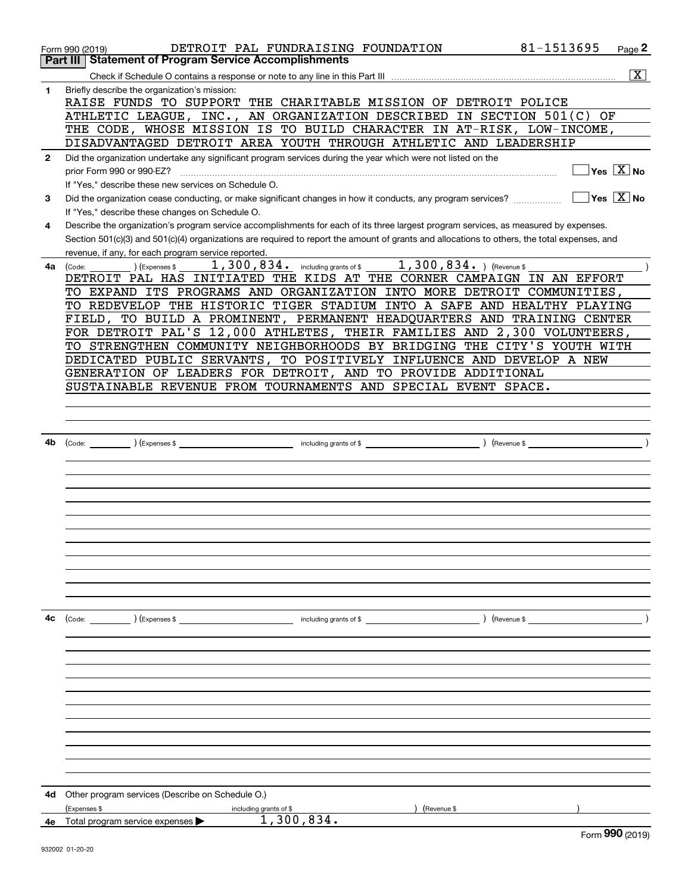|              | Form 990 (2019)                                                                                                                                                                                                                                                                      | DETROIT PAL FUNDRAISING FOUNDATION                            |                       | 81-1513695<br>Page 2                   |
|--------------|--------------------------------------------------------------------------------------------------------------------------------------------------------------------------------------------------------------------------------------------------------------------------------------|---------------------------------------------------------------|-----------------------|----------------------------------------|
|              | <b>Part III   Statement of Program Service Accomplishments</b>                                                                                                                                                                                                                       |                                                               |                       |                                        |
|              |                                                                                                                                                                                                                                                                                      |                                                               |                       | $\overline{\text{X}}$                  |
| 1            | Briefly describe the organization's mission:<br>RAISE FUNDS TO SUPPORT THE CHARITABLE MISSION OF DETROIT POLICE                                                                                                                                                                      |                                                               |                       |                                        |
|              | ATHLETIC LEAGUE, INC., AN ORGANIZATION DESCRIBED IN SECTION 501(C)                                                                                                                                                                                                                   |                                                               |                       | ΟF                                     |
|              | THE CODE, WHOSE MISSION IS TO BUILD CHARACTER IN AT-RISK, LOW-INCOME,                                                                                                                                                                                                                |                                                               |                       |                                        |
|              | DISADVANTAGED DETROIT AREA YOUTH THROUGH ATHLETIC AND LEADERSHIP                                                                                                                                                                                                                     |                                                               |                       |                                        |
| $\mathbf{2}$ | Did the organization undertake any significant program services during the year which were not listed on the                                                                                                                                                                         |                                                               |                       |                                        |
|              | prior Form 990 or 990-EZ?                                                                                                                                                                                                                                                            |                                                               |                       | $Yes \quad X$ No                       |
|              | If "Yes," describe these new services on Schedule O.                                                                                                                                                                                                                                 |                                                               |                       |                                        |
| 3            | Did the organization cease conducting, or make significant changes in how it conducts, any program services?                                                                                                                                                                         |                                                               |                       | $\sqrt{}$ Yes $\sqrt{}$ X $\sqrt{}$ No |
|              | If "Yes," describe these changes on Schedule O.                                                                                                                                                                                                                                      |                                                               |                       |                                        |
| 4            | Describe the organization's program service accomplishments for each of its three largest program services, as measured by expenses.<br>Section 501(c)(3) and 501(c)(4) organizations are required to report the amount of grants and allocations to others, the total expenses, and |                                                               |                       |                                        |
|              | revenue, if any, for each program service reported.                                                                                                                                                                                                                                  |                                                               |                       |                                        |
| 4a           | (Expenses \$<br>(Code:                                                                                                                                                                                                                                                               | 1, 300, 834. including grants of \$1, 300, 834. ) (Revenue \$ |                       |                                        |
|              | DETROIT PAL HAS INITIATED THE KIDS AT THE CORNER CAMPAIGN IN AN EFFORT                                                                                                                                                                                                               |                                                               |                       |                                        |
|              | TO EXPAND ITS PROGRAMS AND ORGANIZATION INTO MORE DETROIT COMMUNITIES,                                                                                                                                                                                                               |                                                               |                       |                                        |
|              | TO REDEVELOP THE HISTORIC TIGER STADIUM INTO A SAFE AND HEALTHY PLAYING                                                                                                                                                                                                              |                                                               |                       |                                        |
|              | FIELD, TO BUILD A PROMINENT, PERMANENT HEADQUARTERS AND TRAINING CENTER                                                                                                                                                                                                              |                                                               |                       |                                        |
|              | FOR DETROIT PAL'S 12,000 ATHLETES, THEIR FAMILIES AND 2,300 VOLUNTEERS,                                                                                                                                                                                                              |                                                               |                       |                                        |
|              | TO STRENGTHEN COMMUNITY NEIGHBORHOODS BY BRIDGING THE CITY'S YOUTH WITH                                                                                                                                                                                                              |                                                               |                       |                                        |
|              | DEDICATED PUBLIC SERVANTS, TO POSITIVELY INFLUENCE AND DEVELOP A NEW                                                                                                                                                                                                                 |                                                               |                       |                                        |
|              | GENERATION OF LEADERS FOR DETROIT, AND TO PROVIDE ADDITIONAL                                                                                                                                                                                                                         |                                                               |                       |                                        |
|              | SUSTAINABLE REVENUE FROM TOURNAMENTS AND SPECIAL EVENT SPACE.                                                                                                                                                                                                                        |                                                               |                       |                                        |
|              |                                                                                                                                                                                                                                                                                      |                                                               |                       |                                        |
|              |                                                                                                                                                                                                                                                                                      |                                                               |                       |                                        |
|              |                                                                                                                                                                                                                                                                                      |                                                               |                       |                                        |
| 4b           |                                                                                                                                                                                                                                                                                      |                                                               |                       |                                        |
|              |                                                                                                                                                                                                                                                                                      |                                                               |                       |                                        |
|              |                                                                                                                                                                                                                                                                                      |                                                               |                       |                                        |
|              |                                                                                                                                                                                                                                                                                      |                                                               |                       |                                        |
|              |                                                                                                                                                                                                                                                                                      |                                                               |                       |                                        |
|              |                                                                                                                                                                                                                                                                                      |                                                               |                       |                                        |
|              |                                                                                                                                                                                                                                                                                      |                                                               |                       |                                        |
|              |                                                                                                                                                                                                                                                                                      |                                                               |                       |                                        |
|              |                                                                                                                                                                                                                                                                                      |                                                               |                       |                                        |
|              |                                                                                                                                                                                                                                                                                      |                                                               |                       |                                        |
|              |                                                                                                                                                                                                                                                                                      |                                                               |                       |                                        |
|              |                                                                                                                                                                                                                                                                                      |                                                               |                       |                                        |
|              |                                                                                                                                                                                                                                                                                      |                                                               |                       |                                        |
|              |                                                                                                                                                                                                                                                                                      |                                                               |                       |                                        |
| 4c           | (Code: ) (Expenses \$                                                                                                                                                                                                                                                                | including grants of \$                                        | $($ Revenue \$ $\_\_$ |                                        |
|              |                                                                                                                                                                                                                                                                                      |                                                               |                       |                                        |
|              |                                                                                                                                                                                                                                                                                      |                                                               |                       |                                        |
|              |                                                                                                                                                                                                                                                                                      |                                                               |                       |                                        |
|              |                                                                                                                                                                                                                                                                                      |                                                               |                       |                                        |
|              |                                                                                                                                                                                                                                                                                      |                                                               |                       |                                        |
|              |                                                                                                                                                                                                                                                                                      |                                                               |                       |                                        |
|              |                                                                                                                                                                                                                                                                                      |                                                               |                       |                                        |
|              |                                                                                                                                                                                                                                                                                      |                                                               |                       |                                        |
|              |                                                                                                                                                                                                                                                                                      |                                                               |                       |                                        |
|              |                                                                                                                                                                                                                                                                                      |                                                               |                       |                                        |
|              |                                                                                                                                                                                                                                                                                      |                                                               |                       |                                        |
|              |                                                                                                                                                                                                                                                                                      |                                                               |                       |                                        |
|              |                                                                                                                                                                                                                                                                                      |                                                               |                       |                                        |
| 4d           | Other program services (Describe on Schedule O.)                                                                                                                                                                                                                                     |                                                               |                       |                                        |
|              | (Expenses \$<br>including grants of \$                                                                                                                                                                                                                                               | 1,300,834.                                                    | Revenue \$            |                                        |
|              | <b>4e</b> Total program service expenses $\blacktriangleright$                                                                                                                                                                                                                       |                                                               |                       | $QQO$ $QQQQ$                           |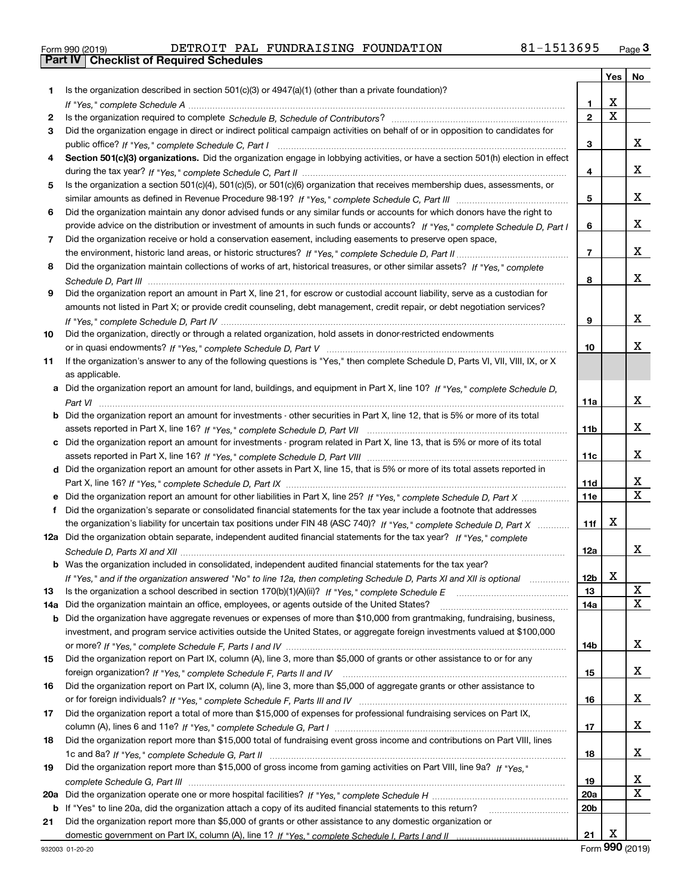| Form 990 (2019) |  |  |
|-----------------|--|--|

|     |                                                                                                                                                                                                                                                                |                       | Yes         | No     |
|-----|----------------------------------------------------------------------------------------------------------------------------------------------------------------------------------------------------------------------------------------------------------------|-----------------------|-------------|--------|
| 1.  | Is the organization described in section 501(c)(3) or 4947(a)(1) (other than a private foundation)?                                                                                                                                                            |                       |             |        |
|     |                                                                                                                                                                                                                                                                | 1                     | х           |        |
| 2   |                                                                                                                                                                                                                                                                | $\mathbf{2}$          | $\mathbf X$ |        |
| 3   | Did the organization engage in direct or indirect political campaign activities on behalf of or in opposition to candidates for                                                                                                                                |                       |             |        |
|     |                                                                                                                                                                                                                                                                | 3                     |             | x      |
| 4   | Section 501(c)(3) organizations. Did the organization engage in lobbying activities, or have a section 501(h) election in effect                                                                                                                               |                       |             |        |
|     |                                                                                                                                                                                                                                                                | 4                     |             | x      |
| 5   | Is the organization a section 501(c)(4), 501(c)(5), or 501(c)(6) organization that receives membership dues, assessments, or                                                                                                                                   |                       |             |        |
|     |                                                                                                                                                                                                                                                                | 5                     |             | x      |
| 6   | Did the organization maintain any donor advised funds or any similar funds or accounts for which donors have the right to                                                                                                                                      |                       |             |        |
|     | provide advice on the distribution or investment of amounts in such funds or accounts? If "Yes," complete Schedule D, Part I                                                                                                                                   | 6                     |             | x      |
| 7   | Did the organization receive or hold a conservation easement, including easements to preserve open space,                                                                                                                                                      |                       |             |        |
|     |                                                                                                                                                                                                                                                                | $\overline{7}$        |             | x      |
| 8   | Did the organization maintain collections of works of art, historical treasures, or other similar assets? If "Yes," complete                                                                                                                                   |                       |             |        |
|     |                                                                                                                                                                                                                                                                | 8                     |             | x      |
| 9   | Did the organization report an amount in Part X, line 21, for escrow or custodial account liability, serve as a custodian for                                                                                                                                  |                       |             |        |
|     | amounts not listed in Part X; or provide credit counseling, debt management, credit repair, or debt negotiation services?                                                                                                                                      |                       |             |        |
|     |                                                                                                                                                                                                                                                                | 9                     |             | x      |
| 10  | Did the organization, directly or through a related organization, hold assets in donor-restricted endowments                                                                                                                                                   |                       |             |        |
|     |                                                                                                                                                                                                                                                                | 10                    |             | x      |
| 11  | If the organization's answer to any of the following questions is "Yes," then complete Schedule D, Parts VI, VII, VIII, IX, or X                                                                                                                               |                       |             |        |
|     | as applicable.                                                                                                                                                                                                                                                 |                       |             |        |
|     | a Did the organization report an amount for land, buildings, and equipment in Part X, line 10? If "Yes," complete Schedule D,                                                                                                                                  |                       |             |        |
|     |                                                                                                                                                                                                                                                                | 11a                   |             | x      |
|     | <b>b</b> Did the organization report an amount for investments - other securities in Part X, line 12, that is 5% or more of its total                                                                                                                          |                       |             |        |
|     |                                                                                                                                                                                                                                                                | 11 <sub>b</sub>       |             | x      |
|     | c Did the organization report an amount for investments - program related in Part X, line 13, that is 5% or more of its total                                                                                                                                  |                       |             |        |
|     |                                                                                                                                                                                                                                                                | 11c                   |             | x      |
|     | d Did the organization report an amount for other assets in Part X, line 15, that is 5% or more of its total assets reported in                                                                                                                                |                       |             |        |
|     |                                                                                                                                                                                                                                                                | 11d                   |             | x<br>X |
|     | e Did the organization report an amount for other liabilities in Part X, line 25? If "Yes," complete Schedule D, Part X                                                                                                                                        | <b>11e</b>            |             |        |
| f   | Did the organization's separate or consolidated financial statements for the tax year include a footnote that addresses                                                                                                                                        |                       | x           |        |
|     | the organization's liability for uncertain tax positions under FIN 48 (ASC 740)? If "Yes," complete Schedule D, Part X                                                                                                                                         | 11f                   |             |        |
|     | 12a Did the organization obtain separate, independent audited financial statements for the tax year? If "Yes," complete                                                                                                                                        |                       |             | x      |
|     |                                                                                                                                                                                                                                                                | 12a                   |             |        |
|     | <b>b</b> Was the organization included in consolidated, independent audited financial statements for the tax year?                                                                                                                                             |                       | X           |        |
|     | If "Yes," and if the organization answered "No" to line 12a, then completing Schedule D, Parts XI and XII is optional                                                                                                                                          | 12 <sub>b</sub><br>13 |             | X      |
| 13  | Did the organization maintain an office, employees, or agents outside of the United States?                                                                                                                                                                    | 14a                   |             | x      |
| 14a |                                                                                                                                                                                                                                                                |                       |             |        |
|     | <b>b</b> Did the organization have aggregate revenues or expenses of more than \$10,000 from grantmaking, fundraising, business,<br>investment, and program service activities outside the United States, or aggregate foreign investments valued at \$100,000 |                       |             |        |
|     |                                                                                                                                                                                                                                                                | 14b                   |             | x      |
| 15  | Did the organization report on Part IX, column (A), line 3, more than \$5,000 of grants or other assistance to or for any                                                                                                                                      |                       |             |        |
|     |                                                                                                                                                                                                                                                                | 15                    |             | x      |
| 16  | Did the organization report on Part IX, column (A), line 3, more than \$5,000 of aggregate grants or other assistance to                                                                                                                                       |                       |             |        |
|     |                                                                                                                                                                                                                                                                | 16                    |             | x      |
| 17  | Did the organization report a total of more than \$15,000 of expenses for professional fundraising services on Part IX,                                                                                                                                        |                       |             |        |
|     |                                                                                                                                                                                                                                                                | 17                    |             | x      |
| 18  | Did the organization report more than \$15,000 total of fundraising event gross income and contributions on Part VIII, lines                                                                                                                                   |                       |             |        |
|     |                                                                                                                                                                                                                                                                | 18                    |             | x      |
| 19  | Did the organization report more than \$15,000 of gross income from gaming activities on Part VIII, line 9a? If "Yes."                                                                                                                                         |                       |             |        |
|     |                                                                                                                                                                                                                                                                | 19                    |             | x      |
|     |                                                                                                                                                                                                                                                                | <b>20a</b>            |             | X      |
|     | <b>b</b> If "Yes" to line 20a, did the organization attach a copy of its audited financial statements to this return?                                                                                                                                          | 20 <sub>b</sub>       |             |        |
| 21  | Did the organization report more than \$5,000 of grants or other assistance to any domestic organization or                                                                                                                                                    |                       |             |        |
|     |                                                                                                                                                                                                                                                                | 21                    | Х           |        |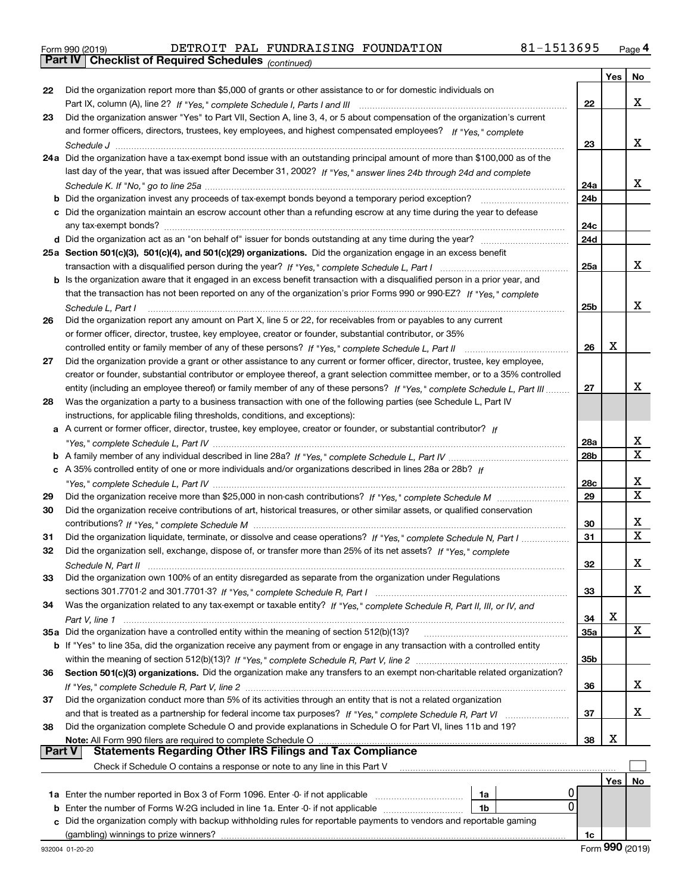|  | Form 990 (2019) |
|--|-----------------|
|  |                 |

*(continued)*

|        |                                                                                                                                  |                        | Yes        | No. |
|--------|----------------------------------------------------------------------------------------------------------------------------------|------------------------|------------|-----|
| 22     | Did the organization report more than \$5,000 of grants or other assistance to or for domestic individuals on                    |                        |            |     |
|        |                                                                                                                                  | 22                     |            | x   |
| 23     | Did the organization answer "Yes" to Part VII, Section A, line 3, 4, or 5 about compensation of the organization's current       |                        |            |     |
|        | and former officers, directors, trustees, key employees, and highest compensated employees? If "Yes," complete                   |                        |            |     |
|        |                                                                                                                                  | 23                     |            | х   |
|        | 24a Did the organization have a tax-exempt bond issue with an outstanding principal amount of more than \$100,000 as of the      |                        |            |     |
|        | last day of the year, that was issued after December 31, 2002? If "Yes," answer lines 24b through 24d and complete               |                        |            |     |
|        |                                                                                                                                  | 24a                    |            | х   |
|        | <b>b</b> Did the organization invest any proceeds of tax-exempt bonds beyond a temporary period exception? <i>marrouummannen</i> | 24b                    |            |     |
|        | c Did the organization maintain an escrow account other than a refunding escrow at any time during the year to defease           |                        |            |     |
|        |                                                                                                                                  | 24c                    |            |     |
|        |                                                                                                                                  | 24d                    |            |     |
|        | 25a Section 501(c)(3), 501(c)(4), and 501(c)(29) organizations. Did the organization engage in an excess benefit                 |                        |            |     |
|        |                                                                                                                                  | 25a                    |            | х   |
|        | b Is the organization aware that it engaged in an excess benefit transaction with a disqualified person in a prior year, and     |                        |            |     |
|        | that the transaction has not been reported on any of the organization's prior Forms 990 or 990-EZ? If "Yes." complete            |                        |            |     |
|        | Schedule L. Part I                                                                                                               | 25b                    |            | х   |
| 26     | Did the organization report any amount on Part X, line 5 or 22, for receivables from or payables to any current                  |                        |            |     |
|        | or former officer, director, trustee, key employee, creator or founder, substantial contributor, or 35%                          |                        |            |     |
|        | controlled entity or family member of any of these persons? If "Yes," complete Schedule L, Part II                               | 26                     | x          |     |
| 27     | Did the organization provide a grant or other assistance to any current or former officer, director, trustee, key employee,      |                        |            |     |
|        | creator or founder, substantial contributor or employee thereof, a grant selection committee member, or to a 35% controlled      |                        |            | x   |
|        | entity (including an employee thereof) or family member of any of these persons? If "Yes," complete Schedule L, Part III         | 27                     |            |     |
| 28     | Was the organization a party to a business transaction with one of the following parties (see Schedule L, Part IV                |                        |            |     |
|        | instructions, for applicable filing thresholds, conditions, and exceptions):                                                     |                        |            |     |
|        | a A current or former officer, director, trustee, key employee, creator or founder, or substantial contributor? If               |                        |            | х   |
|        |                                                                                                                                  | 28a<br>28 <sub>b</sub> |            | X   |
|        | c A 35% controlled entity of one or more individuals and/or organizations described in lines 28a or 28b? If                      |                        |            |     |
|        |                                                                                                                                  | 28c                    |            | х   |
| 29     |                                                                                                                                  | 29                     |            | x   |
| 30     | Did the organization receive contributions of art, historical treasures, or other similar assets, or qualified conservation      |                        |            |     |
|        |                                                                                                                                  | 30                     |            | х   |
| 31     | Did the organization liquidate, terminate, or dissolve and cease operations? If "Yes," complete Schedule N, Part I               | 31                     |            | X   |
| 32     | Did the organization sell, exchange, dispose of, or transfer more than 25% of its net assets? If "Yes," complete                 |                        |            |     |
|        |                                                                                                                                  | 32                     |            | х   |
| 33     | Did the organization own 100% of an entity disregarded as separate from the organization under Regulations                       |                        |            |     |
|        |                                                                                                                                  | 33                     |            | x   |
| 34     | Was the organization related to any tax-exempt or taxable entity? If "Yes," complete Schedule R, Part II, III, or IV, and        |                        |            |     |
|        |                                                                                                                                  | 34                     | х          |     |
|        | 35a Did the organization have a controlled entity within the meaning of section 512(b)(13)?                                      | 35a                    |            | x   |
|        | b If "Yes" to line 35a, did the organization receive any payment from or engage in any transaction with a controlled entity      |                        |            |     |
|        |                                                                                                                                  | 35 <sub>b</sub>        |            |     |
| 36     | Section 501(c)(3) organizations. Did the organization make any transfers to an exempt non-charitable related organization?       |                        |            |     |
|        |                                                                                                                                  | 36                     |            | X.  |
| 37     | Did the organization conduct more than 5% of its activities through an entity that is not a related organization                 |                        |            |     |
|        | and that is treated as a partnership for federal income tax purposes? If "Yes." complete Schedule R. Part VI                     | 37                     |            | X.  |
| 38     | Did the organization complete Schedule O and provide explanations in Schedule O for Part VI, lines 11b and 19?                   |                        |            |     |
|        | Note: All Form 990 filers are required to complete Schedule O                                                                    | 38                     | х          |     |
| Part V | <b>Statements Regarding Other IRS Filings and Tax Compliance</b>                                                                 |                        |            |     |
|        | Check if Schedule O contains a response or note to any line in this Part V                                                       |                        |            |     |
|        |                                                                                                                                  |                        | <b>Yes</b> | No  |
|        | 1a Enter the number reported in Box 3 of Form 1096. Enter -0- if not applicable<br>1a                                            |                        |            |     |
| b      | 0<br>Enter the number of Forms W-2G included in line 1a. Enter -0- if not applicable<br>1b                                       |                        |            |     |
| c      | Did the organization comply with backup withholding rules for reportable payments to vendors and reportable gaming               |                        |            |     |
|        |                                                                                                                                  | 1c                     |            |     |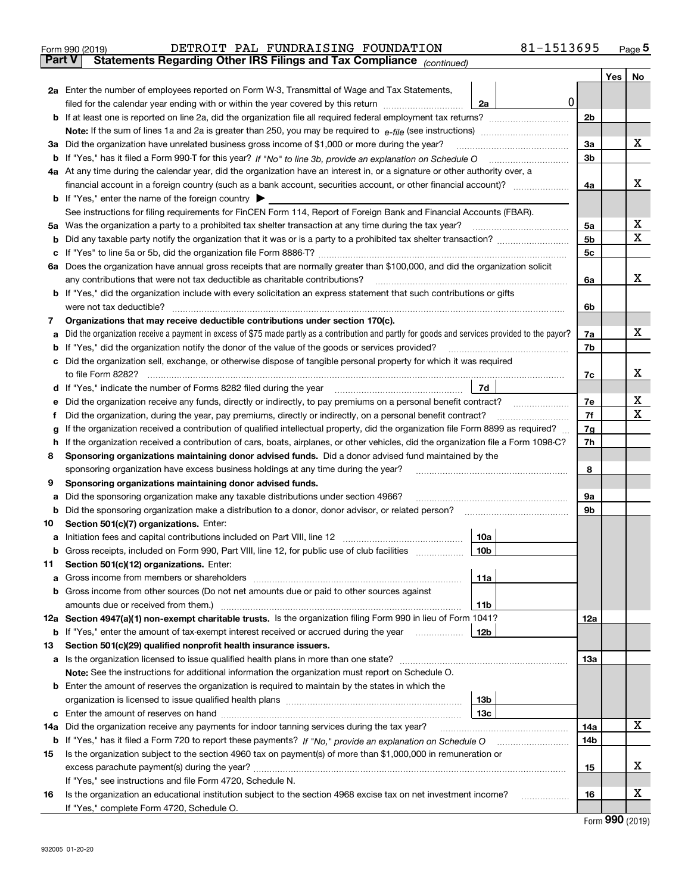|               | DETROIT PAL FUNDRAISING FOUNDATION<br>Form 990 (2019)                                                                                           | 81-1513695 |     |     | $_{\text{Page}}$ 5 |
|---------------|-------------------------------------------------------------------------------------------------------------------------------------------------|------------|-----|-----|--------------------|
| <b>Part V</b> | Statements Regarding Other IRS Filings and Tax Compliance (continued)                                                                           |            |     |     |                    |
|               |                                                                                                                                                 |            |     | Yes | No                 |
|               | 2a Enter the number of employees reported on Form W-3, Transmittal of Wage and Tax Statements,                                                  |            |     |     |                    |
|               | filed for the calendar year ending with or within the year covered by this return<br>2a                                                         | 0          |     |     |                    |
|               |                                                                                                                                                 |            | 2b  |     |                    |
|               |                                                                                                                                                 |            |     |     |                    |
|               | 3a Did the organization have unrelated business gross income of \$1,000 or more during the year?                                                |            | 3a  |     | X                  |
|               |                                                                                                                                                 |            | 3b  |     |                    |
|               | 4a At any time during the calendar year, did the organization have an interest in, or a signature or other authority over, a                    |            |     |     |                    |
|               |                                                                                                                                                 |            | 4a  |     | x                  |
|               | <b>b</b> If "Yes," enter the name of the foreign country $\blacktriangleright$                                                                  |            |     |     |                    |
|               | See instructions for filing requirements for FinCEN Form 114, Report of Foreign Bank and Financial Accounts (FBAR).                             |            |     |     |                    |
| 5a            | Was the organization a party to a prohibited tax shelter transaction at any time during the tax year?                                           |            | 5a  |     | х                  |
| b             |                                                                                                                                                 |            | 5b  |     | X                  |
| c             |                                                                                                                                                 |            | 5c  |     |                    |
|               | 6a Does the organization have annual gross receipts that are normally greater than \$100,000, and did the organization solicit                  |            |     |     |                    |
|               | any contributions that were not tax deductible as charitable contributions?                                                                     |            | 6a  |     | x                  |
|               | b If "Yes," did the organization include with every solicitation an express statement that such contributions or gifts                          |            |     |     |                    |
|               | were not tax deductible?                                                                                                                        |            | 6b  |     |                    |
| 7             | Organizations that may receive deductible contributions under section 170(c).                                                                   |            |     |     |                    |
| a             | Did the organization receive a payment in excess of \$75 made partly as a contribution and partly for goods and services provided to the payor? |            | 7a  |     | X                  |
| b             | If "Yes," did the organization notify the donor of the value of the goods or services provided?                                                 |            | 7b  |     |                    |
|               | Did the organization sell, exchange, or otherwise dispose of tangible personal property for which it was required                               |            |     |     |                    |
|               |                                                                                                                                                 |            | 7c  |     | x                  |
| d             | 7d                                                                                                                                              |            |     |     |                    |
| е             | Did the organization receive any funds, directly or indirectly, to pay premiums on a personal benefit contract?                                 |            | 7e  |     | x<br>X             |
| f             | Did the organization, during the year, pay premiums, directly or indirectly, on a personal benefit contract?                                    |            | 7f  |     |                    |
| g             | If the organization received a contribution of qualified intellectual property, did the organization file Form 8899 as required?                |            | 7g  |     |                    |
| h.            | If the organization received a contribution of cars, boats, airplanes, or other vehicles, did the organization file a Form 1098-C?              |            | 7h  |     |                    |
| 8             | Sponsoring organizations maintaining donor advised funds. Did a donor advised fund maintained by the                                            |            | 8   |     |                    |
| 9             | sponsoring organization have excess business holdings at any time during the year?<br>Sponsoring organizations maintaining donor advised funds. |            |     |     |                    |
| a             | Did the sponsoring organization make any taxable distributions under section 4966?                                                              |            | 9а  |     |                    |
| b             |                                                                                                                                                 |            | 9b  |     |                    |
| 10            | Section 501(c)(7) organizations. Enter:                                                                                                         |            |     |     |                    |
|               | 10a                                                                                                                                             |            |     |     |                    |
|               | 10b<br>Gross receipts, included on Form 990, Part VIII, line 12, for public use of club facilities                                              |            |     |     |                    |
| 11            | Section 501(c)(12) organizations. Enter:                                                                                                        |            |     |     |                    |
| a             | 11a<br>Gross income from members or shareholders                                                                                                |            |     |     |                    |
|               | b Gross income from other sources (Do not net amounts due or paid to other sources against                                                      |            |     |     |                    |
|               | amounts due or received from them.)<br>11b                                                                                                      |            |     |     |                    |
|               | 12a Section 4947(a)(1) non-exempt charitable trusts. Is the organization filing Form 990 in lieu of Form 1041?                                  |            | 12a |     |                    |
|               | b If "Yes," enter the amount of tax-exempt interest received or accrued during the year<br>12b                                                  |            |     |     |                    |
| 13            | Section 501(c)(29) qualified nonprofit health insurance issuers.                                                                                |            |     |     |                    |
|               | a Is the organization licensed to issue qualified health plans in more than one state?                                                          |            | 13а |     |                    |
|               | Note: See the instructions for additional information the organization must report on Schedule O.                                               |            |     |     |                    |
|               | <b>b</b> Enter the amount of reserves the organization is required to maintain by the states in which the                                       |            |     |     |                    |
|               | 13 <sub>b</sub>                                                                                                                                 |            |     |     |                    |
|               | 13с                                                                                                                                             |            |     |     |                    |
| 14a           | Did the organization receive any payments for indoor tanning services during the tax year?                                                      |            | 14a |     | X                  |
|               |                                                                                                                                                 |            | 14b |     |                    |
| 15            | Is the organization subject to the section 4960 tax on payment(s) of more than \$1,000,000 in remuneration or                                   |            |     |     |                    |
|               | excess parachute payment(s) during the year?                                                                                                    |            | 15  |     | x                  |
|               | If "Yes," see instructions and file Form 4720, Schedule N.                                                                                      |            |     |     |                    |
| 16            | Is the organization an educational institution subject to the section 4968 excise tax on net investment income?                                 |            | 16  |     | х                  |
|               | If "Yes," complete Form 4720, Schedule O.                                                                                                       |            |     |     |                    |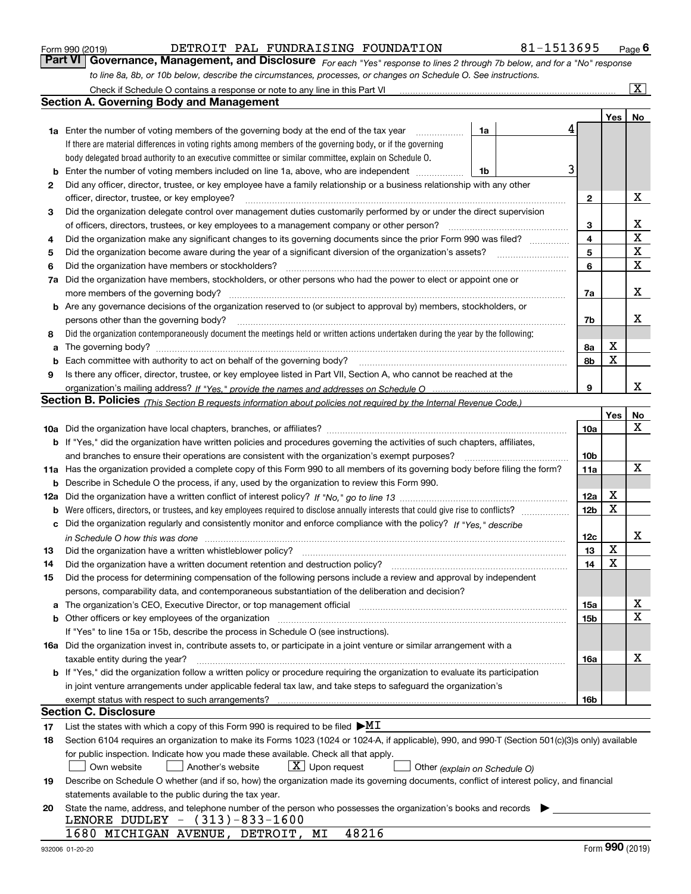|  | Form 990 (2019) |
|--|-----------------|
|  |                 |

### DETROIT PAL FUNDRAISING FOUNDATION 81-1513695

*For each "Yes" response to lines 2 through 7b below, and for a "No" response to line 8a, 8b, or 10b below, describe the circumstances, processes, or changes on Schedule O. See instructions.* Form 990 (2019) **CONTROL BETROL PERSET PAL FUNDRAISING FOUNDATION** 81-1513695 Page 6<br>**Part VI Governance, Management, and Disclosure** For each "Yes" response to lines 2 through 7b below, and for a "No" response

|     | Check if Schedule O contains a response or note to any line in this Part VI                                                                                                                                                                                                                                                     |    |                 |     | $\overline{\mathbf{x}}$ |
|-----|---------------------------------------------------------------------------------------------------------------------------------------------------------------------------------------------------------------------------------------------------------------------------------------------------------------------------------|----|-----------------|-----|-------------------------|
|     | <b>Section A. Governing Body and Management</b>                                                                                                                                                                                                                                                                                 |    |                 |     |                         |
|     |                                                                                                                                                                                                                                                                                                                                 |    |                 | Yes | No                      |
|     | <b>1a</b> Enter the number of voting members of the governing body at the end of the tax year<br>and a complete the complete state of the state of the state of the state of the state of the state of the state of the state of the state of the state of the state of the state of the state of the state of the state of the | 1a | 4               |     |                         |
|     | If there are material differences in voting rights among members of the governing body, or if the governing                                                                                                                                                                                                                     |    |                 |     |                         |
|     | body delegated broad authority to an executive committee or similar committee, explain on Schedule O.                                                                                                                                                                                                                           |    |                 |     |                         |
| b   | Enter the number of voting members included on line 1a, above, who are independent                                                                                                                                                                                                                                              | 1b | 3               |     |                         |
| 2   | Did any officer, director, trustee, or key employee have a family relationship or a business relationship with any other                                                                                                                                                                                                        |    |                 |     |                         |
|     | officer, director, trustee, or key employee?                                                                                                                                                                                                                                                                                    |    | $\mathbf{2}$    |     | Х                       |
| 3   | Did the organization delegate control over management duties customarily performed by or under the direct supervision                                                                                                                                                                                                           |    |                 |     |                         |
|     | of officers, directors, trustees, or key employees to a management company or other person?                                                                                                                                                                                                                                     |    | 3               |     | X                       |
| 4   | Did the organization make any significant changes to its governing documents since the prior Form 990 was filed?                                                                                                                                                                                                                |    | 4               |     | $\mathbf X$             |
| 5   | Did the organization become aware during the year of a significant diversion of the organization's assets?                                                                                                                                                                                                                      |    | 5               |     | X                       |
| 6   | Did the organization have members or stockholders?                                                                                                                                                                                                                                                                              |    | 6               |     | $\mathbf X$             |
| 7a  | Did the organization have members, stockholders, or other persons who had the power to elect or appoint one or                                                                                                                                                                                                                  |    |                 |     |                         |
|     | more members of the governing body?                                                                                                                                                                                                                                                                                             |    | 7a              |     | X                       |
|     | <b>b</b> Are any governance decisions of the organization reserved to (or subject to approval by) members, stockholders, or                                                                                                                                                                                                     |    |                 |     |                         |
|     | persons other than the governing body?                                                                                                                                                                                                                                                                                          |    | 7b              |     | X                       |
| 8   | Did the organization contemporaneously document the meetings held or written actions undertaken during the year by the following:                                                                                                                                                                                               |    |                 |     |                         |
| a   |                                                                                                                                                                                                                                                                                                                                 |    | 8а              | X   |                         |
| b   | Each committee with authority to act on behalf of the governing body? manufactured committee with authority to act on behalf of the governing body?                                                                                                                                                                             |    | 8b              | X   |                         |
| 9   | Is there any officer, director, trustee, or key employee listed in Part VII, Section A, who cannot be reached at the                                                                                                                                                                                                            |    |                 |     |                         |
|     |                                                                                                                                                                                                                                                                                                                                 |    | 9               |     | X                       |
|     | <b>Section B. Policies</b> (This Section B requests information about policies not required by the Internal Revenue Code.)                                                                                                                                                                                                      |    |                 |     |                         |
|     |                                                                                                                                                                                                                                                                                                                                 |    |                 | Yes | No                      |
|     |                                                                                                                                                                                                                                                                                                                                 |    | 10a             |     | x                       |
|     | <b>b</b> If "Yes," did the organization have written policies and procedures governing the activities of such chapters, affiliates,                                                                                                                                                                                             |    |                 |     |                         |
|     | and branches to ensure their operations are consistent with the organization's exempt purposes?                                                                                                                                                                                                                                 |    | 10 <sub>b</sub> |     |                         |
|     | 11a Has the organization provided a complete copy of this Form 990 to all members of its governing body before filing the form?                                                                                                                                                                                                 |    | 11a             |     | x                       |
| b   | Describe in Schedule O the process, if any, used by the organization to review this Form 990.                                                                                                                                                                                                                                   |    |                 |     |                         |
| 12a |                                                                                                                                                                                                                                                                                                                                 |    | 12a             | X   |                         |
| b   | Were officers, directors, or trustees, and key employees required to disclose annually interests that could give rise to conflicts?                                                                                                                                                                                             |    | 12 <sub>b</sub> | X   |                         |
| c   | Did the organization regularly and consistently monitor and enforce compliance with the policy? If "Yes." describe                                                                                                                                                                                                              |    |                 |     |                         |
|     | in Schedule O how this was done www.communication.com/www.communications.com/www.communications.com/                                                                                                                                                                                                                            |    | 12c             |     | X                       |
| 13  | Did the organization have a written whistleblower policy?                                                                                                                                                                                                                                                                       |    | 13              | X   |                         |
| 14  | Did the organization have a written document retention and destruction policy?                                                                                                                                                                                                                                                  |    | 14              | X   |                         |
| 15  | Did the process for determining compensation of the following persons include a review and approval by independent                                                                                                                                                                                                              |    |                 |     |                         |
|     | persons, comparability data, and contemporaneous substantiation of the deliberation and decision?                                                                                                                                                                                                                               |    |                 |     |                         |
| a   | The organization's CEO, Executive Director, or top management official manufactured content content of the organization's CEO, Executive Director, or top management official manufactured content of the original manufacture                                                                                                  |    | <b>15a</b>      |     | х                       |
|     | <b>b</b> Other officers or key employees of the organization                                                                                                                                                                                                                                                                    |    | 15b             |     | X                       |
|     | If "Yes" to line 15a or 15b, describe the process in Schedule O (see instructions).                                                                                                                                                                                                                                             |    |                 |     |                         |
|     | 16a Did the organization invest in, contribute assets to, or participate in a joint venture or similar arrangement with a                                                                                                                                                                                                       |    |                 |     |                         |
|     | taxable entity during the year?                                                                                                                                                                                                                                                                                                 |    | 16a             |     | х                       |
|     | <b>b</b> If "Yes," did the organization follow a written policy or procedure requiring the organization to evaluate its participation                                                                                                                                                                                           |    |                 |     |                         |
|     | in joint venture arrangements under applicable federal tax law, and take steps to safeguard the organization's                                                                                                                                                                                                                  |    |                 |     |                         |
|     | exempt status with respect to such arrangements?                                                                                                                                                                                                                                                                                |    | 16b             |     |                         |
|     | Section C. Disclosure                                                                                                                                                                                                                                                                                                           |    |                 |     |                         |
| 17  | List the states with which a copy of this Form 990 is required to be filed $\blacktriangleright$ MI                                                                                                                                                                                                                             |    |                 |     |                         |
| 18  | Section 6104 requires an organization to make its Forms 1023 (1024 or 1024-A, if applicable), 990, and 990-T (Section 501(c)(3)s only) available                                                                                                                                                                                |    |                 |     |                         |
|     | for public inspection. Indicate how you made these available. Check all that apply.                                                                                                                                                                                                                                             |    |                 |     |                         |
|     | $\lfloor x \rfloor$ Upon request<br>Own website<br>Another's website<br>Other (explain on Schedule O)                                                                                                                                                                                                                           |    |                 |     |                         |
| 19  | Describe on Schedule O whether (and if so, how) the organization made its governing documents, conflict of interest policy, and financial                                                                                                                                                                                       |    |                 |     |                         |
|     | statements available to the public during the tax year.                                                                                                                                                                                                                                                                         |    |                 |     |                         |
| 20  | State the name, address, and telephone number of the person who possesses the organization's books and records                                                                                                                                                                                                                  |    |                 |     |                         |
|     | LENORE DUDLEY - (313)-833-1600                                                                                                                                                                                                                                                                                                  |    |                 |     |                         |
|     | 1680 MICHIGAN AVENUE, DETROIT, MI<br>48216                                                                                                                                                                                                                                                                                      |    |                 |     |                         |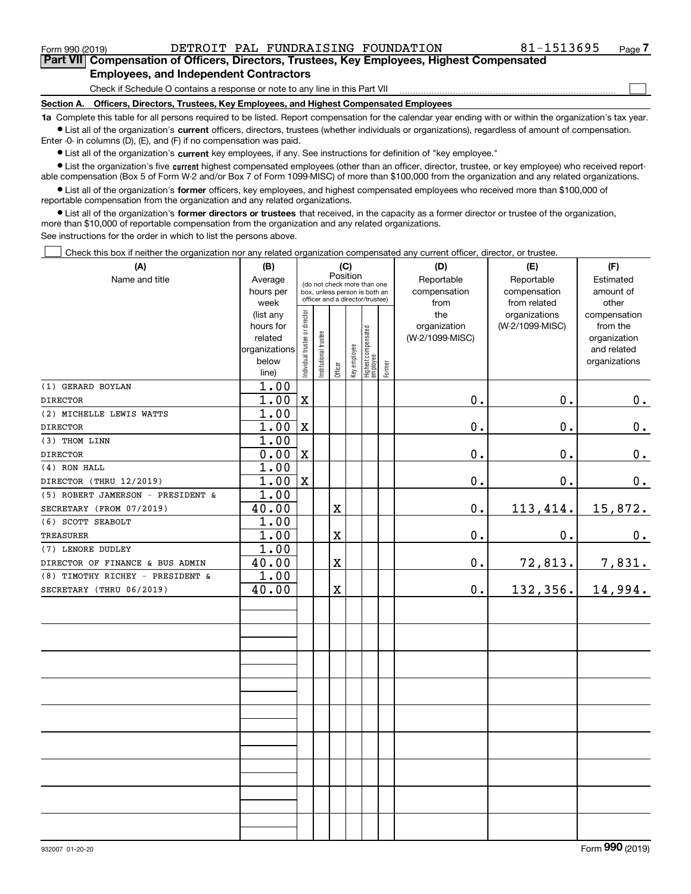Form 990 (2019) DETROIT PAL FUNDRAISING FOUNDATION 81-1513695 <sub>Page</sub>

 $\mathcal{L}^{\text{max}}$ 

**7Part VII Compensation of Officers, Directors, Trustees, Key Employees, Highest Compensated Employees, and Independent Contractors**

Check if Schedule O contains a response or note to any line in this Part VII

**Section A. Officers, Directors, Trustees, Key Employees, and Highest Compensated Employees**

**1a**  Complete this table for all persons required to be listed. Report compensation for the calendar year ending with or within the organization's tax year. **•** List all of the organization's current officers, directors, trustees (whether individuals or organizations), regardless of amount of compensation.

Enter -0- in columns (D), (E), and (F) if no compensation was paid.

 $\bullet$  List all of the organization's  $\,$ current key employees, if any. See instructions for definition of "key employee."

**•** List the organization's five current highest compensated employees (other than an officer, director, trustee, or key employee) who received reportable compensation (Box 5 of Form W-2 and/or Box 7 of Form 1099-MISC) of more than \$100,000 from the organization and any related organizations.

**•** List all of the organization's former officers, key employees, and highest compensated employees who received more than \$100,000 of reportable compensation from the organization and any related organizations.

**former directors or trustees**  ¥ List all of the organization's that received, in the capacity as a former director or trustee of the organization, more than \$10,000 of reportable compensation from the organization and any related organizations.

See instructions for the order in which to list the persons above.

Check this box if neither the organization nor any related organization compensated any current officer, director, or trustee.  $\mathcal{L}^{\text{max}}$ 

| (A)                               | (B)            |                                                                  |                       | (C)     |              |                                   |              | (D)             | (E)             | (F)           |
|-----------------------------------|----------------|------------------------------------------------------------------|-----------------------|---------|--------------|-----------------------------------|--------------|-----------------|-----------------|---------------|
| Name and title                    | Average        | Position<br>(do not check more than one                          |                       |         |              |                                   |              | Reportable      | Reportable      | Estimated     |
|                                   | hours per      | box, unless person is both an<br>officer and a director/trustee) |                       |         |              |                                   | compensation | compensation    | amount of       |               |
|                                   | week           |                                                                  |                       |         |              |                                   |              | from            | from related    | other         |
|                                   | (list any      |                                                                  |                       |         |              |                                   |              | the             | organizations   | compensation  |
|                                   | hours for      |                                                                  |                       |         |              |                                   |              | organization    | (W-2/1099-MISC) | from the      |
|                                   | related        |                                                                  |                       |         |              |                                   |              | (W-2/1099-MISC) |                 | organization  |
|                                   | organizations  |                                                                  |                       |         |              |                                   |              |                 |                 | and related   |
|                                   | below<br>line) | Individual trustee or director                                   | Institutional trustee | Officer | Key employee | Highest compensated<br>  employee | Former       |                 |                 | organizations |
| (1) GERARD BOYLAN                 | 1.00           |                                                                  |                       |         |              |                                   |              |                 |                 |               |
| <b>DIRECTOR</b>                   | 1.00           | $\mathbf X$                                                      |                       |         |              |                                   |              | $0$ .           | 0.              | 0.            |
| (2) MICHELLE LEWIS WATTS          | 1.00           |                                                                  |                       |         |              |                                   |              |                 |                 |               |
| <b>DIRECTOR</b>                   | 1.00           | $\mathbf X$                                                      |                       |         |              |                                   |              | $0$ .           | 0.              | 0.            |
| (3) THOM LINN                     | 1.00           |                                                                  |                       |         |              |                                   |              |                 |                 |               |
| <b>DIRECTOR</b>                   | 0.00           | $\mathbf x$                                                      |                       |         |              |                                   |              | 0.              | 0.              | 0.            |
| (4) RON HALL                      | 1.00           |                                                                  |                       |         |              |                                   |              |                 |                 |               |
| DIRECTOR (THRU 12/2019)           | 1.00           | $\mathbf x$                                                      |                       |         |              |                                   |              | 0.              | 0.              | 0.            |
| (5) ROBERT JAMERSON - PRESIDENT & | 1.00           |                                                                  |                       |         |              |                                   |              |                 |                 |               |
| SECRETARY (FROM 07/2019)          | 40.00          |                                                                  |                       | X       |              |                                   |              | $0$ .           | 113,414.        | 15,872.       |
| (6) SCOTT SEABOLT                 | 1.00           |                                                                  |                       |         |              |                                   |              |                 |                 |               |
| <b>TREASURER</b>                  | 1.00           |                                                                  |                       | X       |              |                                   |              | $0$ .           | 0.              | 0.            |
| (7) LENORE DUDLEY                 | 1.00           |                                                                  |                       |         |              |                                   |              |                 |                 |               |
| DIRECTOR OF FINANCE & BUS ADMIN   | 40.00          |                                                                  |                       | X       |              |                                   |              | 0.              | 72,813.         | 7,831.        |
| (8) TIMOTHY RICHEY - PRESIDENT &  | 1.00           |                                                                  |                       |         |              |                                   |              |                 |                 |               |
| SECRETARY (THRU 06/2019)          | 40.00          |                                                                  |                       | X       |              |                                   |              | $0$ .           | 132,356.        | 14,994.       |
|                                   |                |                                                                  |                       |         |              |                                   |              |                 |                 |               |
|                                   |                |                                                                  |                       |         |              |                                   |              |                 |                 |               |
|                                   |                |                                                                  |                       |         |              |                                   |              |                 |                 |               |
|                                   |                |                                                                  |                       |         |              |                                   |              |                 |                 |               |
|                                   |                |                                                                  |                       |         |              |                                   |              |                 |                 |               |
|                                   |                |                                                                  |                       |         |              |                                   |              |                 |                 |               |
|                                   |                |                                                                  |                       |         |              |                                   |              |                 |                 |               |
|                                   |                |                                                                  |                       |         |              |                                   |              |                 |                 |               |
|                                   |                |                                                                  |                       |         |              |                                   |              |                 |                 |               |
|                                   |                |                                                                  |                       |         |              |                                   |              |                 |                 |               |
|                                   |                |                                                                  |                       |         |              |                                   |              |                 |                 |               |
|                                   |                |                                                                  |                       |         |              |                                   |              |                 |                 |               |
|                                   |                |                                                                  |                       |         |              |                                   |              |                 |                 |               |
|                                   |                |                                                                  |                       |         |              |                                   |              |                 |                 |               |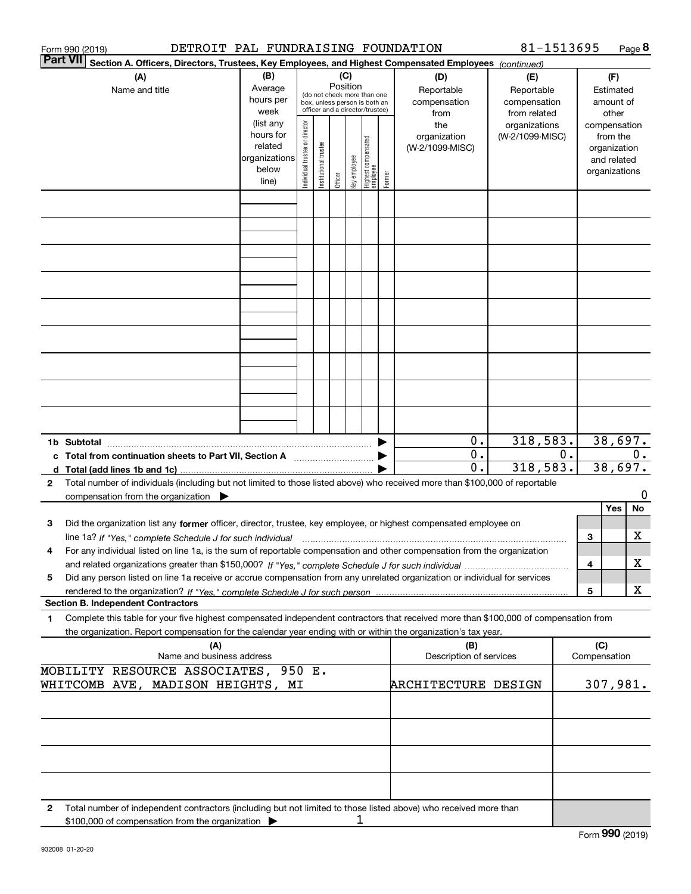| DETROIT PAL FUNDRAISING FOUNDATION<br>Form 990 (2019)                                                                                                                        |                                                                      |                                                                                                                    |                       |         |              |                                   |        |                                           | 81-1513695                                        |       |                                        | Page 8                                                                   |    |
|------------------------------------------------------------------------------------------------------------------------------------------------------------------------------|----------------------------------------------------------------------|--------------------------------------------------------------------------------------------------------------------|-----------------------|---------|--------------|-----------------------------------|--------|-------------------------------------------|---------------------------------------------------|-------|----------------------------------------|--------------------------------------------------------------------------|----|
| <b>Part VII</b><br>Section A. Officers, Directors, Trustees, Key Employees, and Highest Compensated Employees (continued)                                                    |                                                                      |                                                                                                                    |                       |         |              |                                   |        |                                           |                                                   |       |                                        |                                                                          |    |
| (A)<br>Name and title                                                                                                                                                        | (B)<br>Average<br>hours per<br>week                                  | (C)<br>Position<br>(do not check more than one<br>box, unless person is both an<br>officer and a director/trustee) |                       |         |              |                                   |        | (D)<br>Reportable<br>compensation<br>from | (E)<br>Reportable<br>compensation<br>from related |       | (F)<br>Estimated<br>amount of<br>other |                                                                          |    |
|                                                                                                                                                                              | (list any<br>hours for<br>related<br>organizations<br>below<br>line) | Individual trustee or director                                                                                     | Institutional trustee | Officer | Key employee | Highest compensated<br>  employee | Former | the<br>organization<br>(W-2/1099-MISC)    | organizations<br>(W-2/1099-MISC)                  |       |                                        | compensation<br>from the<br>organization<br>and related<br>organizations |    |
|                                                                                                                                                                              |                                                                      |                                                                                                                    |                       |         |              |                                   |        |                                           |                                                   |       |                                        |                                                                          |    |
|                                                                                                                                                                              |                                                                      |                                                                                                                    |                       |         |              |                                   |        |                                           |                                                   |       |                                        |                                                                          |    |
|                                                                                                                                                                              |                                                                      |                                                                                                                    |                       |         |              |                                   |        |                                           |                                                   |       |                                        |                                                                          |    |
|                                                                                                                                                                              |                                                                      |                                                                                                                    |                       |         |              |                                   |        |                                           |                                                   |       |                                        |                                                                          |    |
|                                                                                                                                                                              |                                                                      |                                                                                                                    |                       |         |              |                                   |        |                                           |                                                   |       |                                        |                                                                          |    |
|                                                                                                                                                                              |                                                                      |                                                                                                                    |                       |         |              |                                   |        |                                           |                                                   |       |                                        |                                                                          |    |
|                                                                                                                                                                              |                                                                      |                                                                                                                    |                       |         |              |                                   |        |                                           |                                                   |       |                                        |                                                                          |    |
|                                                                                                                                                                              |                                                                      |                                                                                                                    |                       |         |              |                                   |        |                                           |                                                   |       |                                        |                                                                          |    |
| 1b Subtotal                                                                                                                                                                  |                                                                      |                                                                                                                    |                       |         |              |                                   |        | 0.                                        | 318,583.                                          |       |                                        | 38,697.                                                                  |    |
| c Total from continuation sheets to Part VII, Section A [111] [120] [20]                                                                                                     |                                                                      |                                                                                                                    |                       |         |              |                                   |        | 0.                                        |                                                   | $0$ . |                                        |                                                                          | 0. |
| Total number of individuals (including but not limited to those listed above) who received more than \$100,000 of reportable<br>2                                            |                                                                      |                                                                                                                    |                       |         |              |                                   |        | 0.                                        | 318,583.                                          |       |                                        | 38,697.                                                                  |    |
| compensation from the organization $\blacktriangleright$                                                                                                                     |                                                                      |                                                                                                                    |                       |         |              |                                   |        |                                           |                                                   |       |                                        |                                                                          | 0  |
|                                                                                                                                                                              |                                                                      |                                                                                                                    |                       |         |              |                                   |        |                                           |                                                   |       |                                        | Yes                                                                      | No |
| Did the organization list any former officer, director, trustee, key employee, or highest compensated employee on<br>3                                                       |                                                                      |                                                                                                                    |                       |         |              |                                   |        |                                           |                                                   |       | З                                      |                                                                          | х  |
| For any individual listed on line 1a, is the sum of reportable compensation and other compensation from the organization<br>4                                                |                                                                      |                                                                                                                    |                       |         |              |                                   |        |                                           |                                                   |       |                                        |                                                                          |    |
|                                                                                                                                                                              |                                                                      |                                                                                                                    |                       |         |              |                                   |        |                                           |                                                   |       | 4                                      |                                                                          | х  |
| Did any person listed on line 1a receive or accrue compensation from any unrelated organization or individual for services<br>5<br><b>Section B. Independent Contractors</b> |                                                                      |                                                                                                                    |                       |         |              |                                   |        |                                           |                                                   |       | 5                                      |                                                                          | х  |
| Complete this table for your five highest compensated independent contractors that received more than \$100,000 of compensation from<br>1                                    |                                                                      |                                                                                                                    |                       |         |              |                                   |        |                                           |                                                   |       |                                        |                                                                          |    |
| the organization. Report compensation for the calendar year ending with or within the organization's tax year.<br>(A)                                                        |                                                                      |                                                                                                                    |                       |         |              |                                   |        | (B)                                       |                                                   |       | (C)                                    |                                                                          |    |
| Name and business address<br>MOBILITY RESOURCE ASSOCIATES, 950 E.                                                                                                            |                                                                      |                                                                                                                    |                       |         |              |                                   |        | Description of services                   |                                                   |       | Compensation                           |                                                                          |    |
| WHITCOMB AVE, MADISON HEIGHTS, MI                                                                                                                                            |                                                                      |                                                                                                                    |                       |         |              |                                   |        | ARCHITECTURE DESIGN                       |                                                   |       |                                        | 307,981.                                                                 |    |
|                                                                                                                                                                              |                                                                      |                                                                                                                    |                       |         |              |                                   |        |                                           |                                                   |       |                                        |                                                                          |    |
|                                                                                                                                                                              |                                                                      |                                                                                                                    |                       |         |              |                                   |        |                                           |                                                   |       |                                        |                                                                          |    |
|                                                                                                                                                                              |                                                                      |                                                                                                                    |                       |         |              |                                   |        |                                           |                                                   |       |                                        |                                                                          |    |
| Total number of independent contractors (including but not limited to those listed above) who received more than<br>2<br>\$100,000 of compensation from the organization     |                                                                      |                                                                                                                    |                       |         |              |                                   |        |                                           |                                                   |       |                                        |                                                                          |    |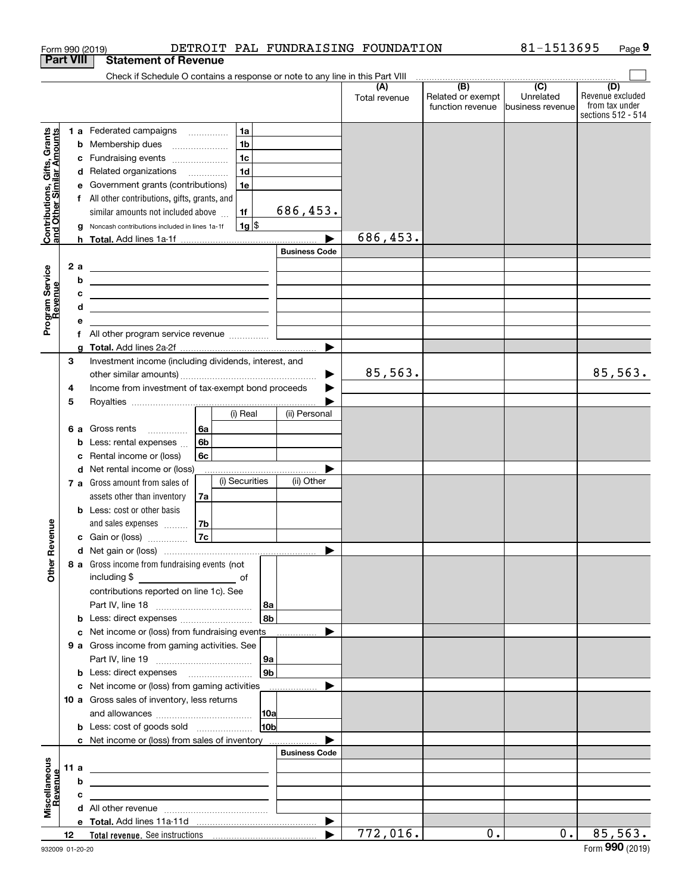|                                                           | Form 990 (2019)  |   |                                                                                                                        |                |                |                    |                       | DETROIT PAL FUNDRAISING FOUNDATION |                                       | 81-1513695                  | Page 9                  |
|-----------------------------------------------------------|------------------|---|------------------------------------------------------------------------------------------------------------------------|----------------|----------------|--------------------|-----------------------|------------------------------------|---------------------------------------|-----------------------------|-------------------------|
|                                                           | <b>Part VIII</b> |   | <b>Statement of Revenue</b>                                                                                            |                |                |                    |                       |                                    |                                       |                             |                         |
|                                                           |                  |   | Check if Schedule O contains a response or note to any line in this Part VIII                                          |                |                |                    |                       |                                    |                                       |                             |                         |
|                                                           |                  |   |                                                                                                                        |                |                |                    |                       | (A)                                | (B)                                   | $\overline{C}$<br>Unrelated | (D)<br>Revenue excluded |
|                                                           |                  |   |                                                                                                                        |                |                |                    |                       | Total revenue                      | Related or exempt<br>function revenue | business revenue            | from tax under          |
|                                                           |                  |   |                                                                                                                        |                |                |                    |                       |                                    |                                       |                             | sections 512 - 514      |
|                                                           |                  |   | 1 a Federated campaigns                                                                                                |                | 1a             |                    |                       |                                    |                                       |                             |                         |
|                                                           |                  |   | <b>b</b> Membership dues                                                                                               |                | 1 <sub>b</sub> |                    |                       |                                    |                                       |                             |                         |
|                                                           |                  |   | c Fundraising events                                                                                                   |                | 1 <sub>c</sub> |                    |                       |                                    |                                       |                             |                         |
|                                                           |                  |   | d Related organizations                                                                                                |                | 1 <sub>d</sub> |                    |                       |                                    |                                       |                             |                         |
|                                                           |                  |   | Government grants (contributions)                                                                                      |                | 1e             |                    |                       |                                    |                                       |                             |                         |
|                                                           |                  |   | f All other contributions, gifts, grants, and                                                                          |                |                |                    |                       |                                    |                                       |                             |                         |
|                                                           |                  |   | similar amounts not included above                                                                                     |                | 1f             |                    | 686,453.              |                                    |                                       |                             |                         |
|                                                           |                  |   |                                                                                                                        |                |                |                    |                       |                                    |                                       |                             |                         |
| Contributions, Gifts, Grants<br>and Other Similar Amounts |                  |   | g Noncash contributions included in lines 1a-1f                                                                        |                | $1g$ \$        |                    |                       | 686,453.                           |                                       |                             |                         |
|                                                           |                  |   |                                                                                                                        |                |                |                    |                       |                                    |                                       |                             |                         |
|                                                           |                  |   |                                                                                                                        |                |                |                    | <b>Business Code</b>  |                                    |                                       |                             |                         |
|                                                           | 2 a              |   | <u> 1989 - Johann Barn, mars ann an t-Amhain ann an t-Amhain an t-Amhain an t-Amhain an t-Amhain an t-Amhain an t-</u> |                |                |                    |                       |                                    |                                       |                             |                         |
|                                                           |                  | b | <u> 1989 - Andrea Station Barbara, amerikan personal (h. 1989)</u>                                                     |                |                |                    |                       |                                    |                                       |                             |                         |
|                                                           |                  | c | <u> 1980 - Andrea Andrew Maria (h. 1980).</u>                                                                          |                |                |                    |                       |                                    |                                       |                             |                         |
|                                                           |                  | d |                                                                                                                        |                |                |                    |                       |                                    |                                       |                             |                         |
| Program Service<br>Revenue                                |                  | е |                                                                                                                        |                |                |                    |                       |                                    |                                       |                             |                         |
|                                                           |                  |   |                                                                                                                        |                |                |                    |                       |                                    |                                       |                             |                         |
|                                                           |                  |   |                                                                                                                        |                |                |                    | $\blacktriangleright$ |                                    |                                       |                             |                         |
|                                                           | 3                |   | Investment income (including dividends, interest, and                                                                  |                |                |                    |                       |                                    |                                       |                             |                         |
|                                                           |                  |   |                                                                                                                        |                |                |                    | ▶                     | 85,563.                            |                                       |                             | 85,563.                 |
|                                                           | 4                |   | Income from investment of tax-exempt bond proceeds                                                                     |                |                |                    |                       |                                    |                                       |                             |                         |
|                                                           | 5                |   |                                                                                                                        |                |                |                    |                       |                                    |                                       |                             |                         |
|                                                           |                  |   |                                                                                                                        |                | (i) Real       |                    | (ii) Personal         |                                    |                                       |                             |                         |
|                                                           | 6а               |   | Gross rents                                                                                                            | 6a             |                |                    |                       |                                    |                                       |                             |                         |
|                                                           |                  | b | Less: rental expenses                                                                                                  | 6 <sub>b</sub> |                |                    |                       |                                    |                                       |                             |                         |
|                                                           |                  | c | Rental income or (loss)                                                                                                | 6c             |                |                    |                       |                                    |                                       |                             |                         |
|                                                           |                  |   | d Net rental income or (loss)                                                                                          |                |                |                    |                       |                                    |                                       |                             |                         |
|                                                           |                  |   | 7 a Gross amount from sales of                                                                                         |                | (i) Securities |                    | (ii) Other            |                                    |                                       |                             |                         |
|                                                           |                  |   | assets other than inventory                                                                                            | 7a             |                |                    |                       |                                    |                                       |                             |                         |
|                                                           |                  |   | <b>b</b> Less: cost or other basis                                                                                     |                |                |                    |                       |                                    |                                       |                             |                         |
|                                                           |                  |   | and sales expenses                                                                                                     | l 7b           |                |                    |                       |                                    |                                       |                             |                         |
| venue                                                     |                  |   |                                                                                                                        | 7c             |                |                    |                       |                                    |                                       |                             |                         |
|                                                           |                  |   | <b>c</b> Gain or (loss) $\ldots$                                                                                       |                |                |                    |                       |                                    |                                       |                             |                         |
| Other R                                                   |                  |   |                                                                                                                        |                |                |                    |                       |                                    |                                       |                             |                         |
|                                                           |                  |   | 8 a Gross income from fundraising events (not                                                                          |                |                |                    |                       |                                    |                                       |                             |                         |
|                                                           |                  |   |                                                                                                                        |                |                |                    |                       |                                    |                                       |                             |                         |
|                                                           |                  |   | contributions reported on line 1c). See                                                                                |                |                |                    |                       |                                    |                                       |                             |                         |
|                                                           |                  |   |                                                                                                                        |                |                | 8a                 |                       |                                    |                                       |                             |                         |
|                                                           |                  |   |                                                                                                                        |                |                | 8b                 |                       |                                    |                                       |                             |                         |
|                                                           |                  |   | c Net income or (loss) from fundraising events                                                                         |                |                |                    |                       |                                    |                                       |                             |                         |
|                                                           |                  |   | 9 a Gross income from gaming activities. See                                                                           |                |                |                    |                       |                                    |                                       |                             |                         |
|                                                           |                  |   |                                                                                                                        |                |                | 9a                 |                       |                                    |                                       |                             |                         |
|                                                           |                  |   | <b>b</b> Less: direct expenses <i>manually contained</i>                                                               |                |                | $ g_{\mathsf{b}} $ |                       |                                    |                                       |                             |                         |
|                                                           |                  |   | c Net income or (loss) from gaming activities ______________                                                           |                |                |                    | $\blacktriangleright$ |                                    |                                       |                             |                         |
|                                                           |                  |   | 10 a Gross sales of inventory, less returns                                                                            |                |                |                    |                       |                                    |                                       |                             |                         |
|                                                           |                  |   |                                                                                                                        |                |                |                    |                       |                                    |                                       |                             |                         |
|                                                           |                  |   | <b>b</b> Less: cost of goods sold                                                                                      |                |                | 10 <sub>b</sub>    |                       |                                    |                                       |                             |                         |
|                                                           |                  |   | c Net income or (loss) from sales of inventory                                                                         |                |                |                    |                       |                                    |                                       |                             |                         |
|                                                           |                  |   |                                                                                                                        |                |                |                    | <b>Business Code</b>  |                                    |                                       |                             |                         |
|                                                           | 11 a             |   |                                                                                                                        |                |                |                    |                       |                                    |                                       |                             |                         |
|                                                           |                  | b |                                                                                                                        |                |                |                    |                       |                                    |                                       |                             |                         |
| Revenue                                                   |                  | c |                                                                                                                        |                |                |                    |                       |                                    |                                       |                             |                         |
| Miscellaneous                                             |                  |   |                                                                                                                        |                |                |                    |                       |                                    |                                       |                             |                         |
|                                                           |                  |   |                                                                                                                        |                |                |                    | $\blacktriangleright$ |                                    |                                       |                             |                         |
|                                                           | 12               |   |                                                                                                                        |                |                |                    | ▶                     | 772,016.                           | 0.                                    | 0.                          | 85,563.                 |
|                                                           |                  |   |                                                                                                                        |                |                |                    |                       |                                    |                                       |                             |                         |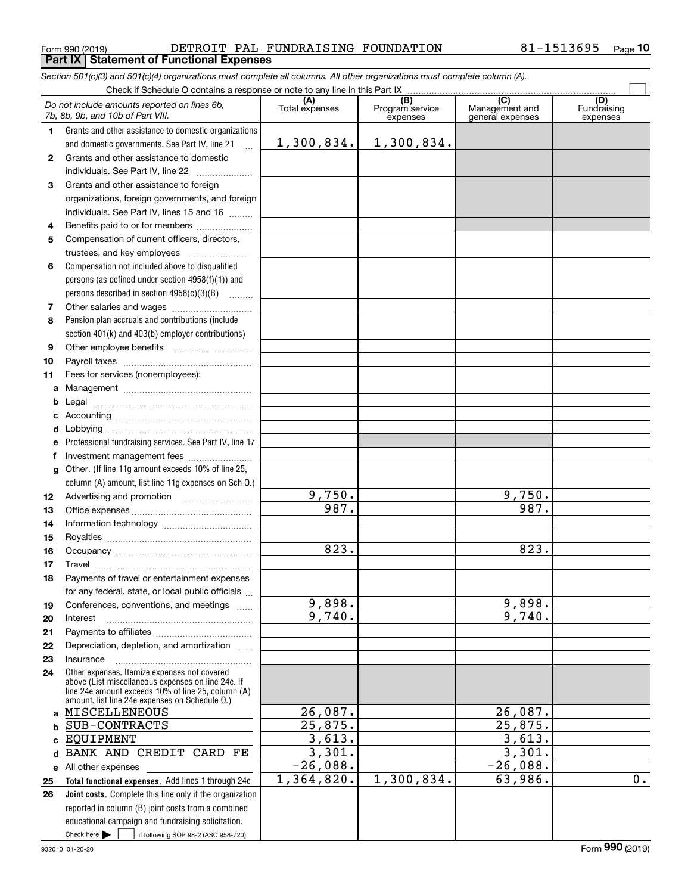$_{\rm Form}$   $_{990}$  (2019) DETROIT PAL FUNDRAISING FOUNDATION 8 $1$ - $1513695$   $_{\rm Page}$ **Part IX Statement of Functional Expenses**

|    | Section 501(c)(3) and 501(c)(4) organizations must complete all columns. All other organizations must complete column (A).                                                                                 |                       |                                    |                                           |                                |
|----|------------------------------------------------------------------------------------------------------------------------------------------------------------------------------------------------------------|-----------------------|------------------------------------|-------------------------------------------|--------------------------------|
|    |                                                                                                                                                                                                            |                       |                                    |                                           |                                |
|    | Do not include amounts reported on lines 6b,<br>7b, 8b, 9b, and 10b of Part VIII.                                                                                                                          | (A)<br>Total expenses | (B)<br>Program service<br>expenses | (C)<br>Management and<br>general expenses | (D)<br>Fundraising<br>expenses |
| 1. | Grants and other assistance to domestic organizations                                                                                                                                                      |                       |                                    |                                           |                                |
|    | and domestic governments. See Part IV, line 21                                                                                                                                                             | 1,300,834.            | 1,300,834.                         |                                           |                                |
| 2  | Grants and other assistance to domestic                                                                                                                                                                    |                       |                                    |                                           |                                |
|    | individuals. See Part IV, line 22                                                                                                                                                                          |                       |                                    |                                           |                                |
| 3  | Grants and other assistance to foreign                                                                                                                                                                     |                       |                                    |                                           |                                |
|    | organizations, foreign governments, and foreign                                                                                                                                                            |                       |                                    |                                           |                                |
|    | individuals. See Part IV, lines 15 and 16                                                                                                                                                                  |                       |                                    |                                           |                                |
| 4  | Benefits paid to or for members                                                                                                                                                                            |                       |                                    |                                           |                                |
| 5  | Compensation of current officers, directors,                                                                                                                                                               |                       |                                    |                                           |                                |
|    | trustees, and key employees                                                                                                                                                                                |                       |                                    |                                           |                                |
| 6  | Compensation not included above to disqualified                                                                                                                                                            |                       |                                    |                                           |                                |
|    | persons (as defined under section $4958(f)(1)$ ) and                                                                                                                                                       |                       |                                    |                                           |                                |
|    | persons described in section 4958(c)(3)(B)                                                                                                                                                                 |                       |                                    |                                           |                                |
| 7  |                                                                                                                                                                                                            |                       |                                    |                                           |                                |
| 8  | Pension plan accruals and contributions (include                                                                                                                                                           |                       |                                    |                                           |                                |
|    | section 401(k) and 403(b) employer contributions)                                                                                                                                                          |                       |                                    |                                           |                                |
| 9  |                                                                                                                                                                                                            |                       |                                    |                                           |                                |
| 10 |                                                                                                                                                                                                            |                       |                                    |                                           |                                |
| 11 | Fees for services (nonemployees):                                                                                                                                                                          |                       |                                    |                                           |                                |
| a  |                                                                                                                                                                                                            |                       |                                    |                                           |                                |
| b  |                                                                                                                                                                                                            |                       |                                    |                                           |                                |
| c  |                                                                                                                                                                                                            |                       |                                    |                                           |                                |
| d  |                                                                                                                                                                                                            |                       |                                    |                                           |                                |
| е  | Professional fundraising services. See Part IV, line 17                                                                                                                                                    |                       |                                    |                                           |                                |
| f  | Investment management fees                                                                                                                                                                                 |                       |                                    |                                           |                                |
| g  | Other. (If line 11g amount exceeds 10% of line 25,                                                                                                                                                         |                       |                                    |                                           |                                |
|    | column (A) amount, list line 11g expenses on Sch O.)                                                                                                                                                       |                       |                                    |                                           |                                |
| 12 |                                                                                                                                                                                                            | 9,750.                |                                    | 9,750.                                    |                                |
| 13 |                                                                                                                                                                                                            | 987.                  |                                    | 987.                                      |                                |
| 14 |                                                                                                                                                                                                            |                       |                                    |                                           |                                |
| 15 |                                                                                                                                                                                                            |                       |                                    |                                           |                                |
| 16 |                                                                                                                                                                                                            | 823.                  |                                    | 823.                                      |                                |
| 17 |                                                                                                                                                                                                            |                       |                                    |                                           |                                |
| 18 | Payments of travel or entertainment expenses                                                                                                                                                               |                       |                                    |                                           |                                |
|    | for any federal, state, or local public officials                                                                                                                                                          |                       |                                    |                                           |                                |
| 19 | Conferences, conventions, and meetings                                                                                                                                                                     | 9,898.                |                                    | 9,898.                                    |                                |
| 20 | Interest                                                                                                                                                                                                   | 9,740.                |                                    | 9,740.                                    |                                |
| 21 |                                                                                                                                                                                                            |                       |                                    |                                           |                                |
| 22 | Depreciation, depletion, and amortization                                                                                                                                                                  |                       |                                    |                                           |                                |
| 23 | Insurance                                                                                                                                                                                                  |                       |                                    |                                           |                                |
| 24 | Other expenses. Itemize expenses not covered<br>above (List miscellaneous expenses on line 24e. If<br>line 24e amount exceeds 10% of line 25, column (A)<br>amount, list line 24e expenses on Schedule 0.) |                       |                                    |                                           |                                |
|    | a MISCELLENEOUS                                                                                                                                                                                            | 26,087.               |                                    | 26,087.                                   |                                |
| b  | SUB-CONTRACTS                                                                                                                                                                                              | 25,875.               |                                    | 25,875.                                   |                                |
| c. | <b>EQUIPMENT</b>                                                                                                                                                                                           | 3,613.                |                                    | 3,613.                                    |                                |
| d  | BANK AND CREDIT CARD FE                                                                                                                                                                                    | 3,301.                |                                    | 3,301.                                    |                                |
|    | e All other expenses                                                                                                                                                                                       | $-26,088.$            |                                    | $-26,088.$                                |                                |
| 25 | Total functional expenses. Add lines 1 through 24e                                                                                                                                                         | 1,364,820.            | 1,300,834.                         | 63,986.                                   | 0.                             |
| 26 | Joint costs. Complete this line only if the organization                                                                                                                                                   |                       |                                    |                                           |                                |
|    | reported in column (B) joint costs from a combined                                                                                                                                                         |                       |                                    |                                           |                                |
|    | educational campaign and fundraising solicitation.                                                                                                                                                         |                       |                                    |                                           |                                |
|    | Check here $\blacktriangleright$<br>if following SOP 98-2 (ASC 958-720)                                                                                                                                    |                       |                                    |                                           |                                |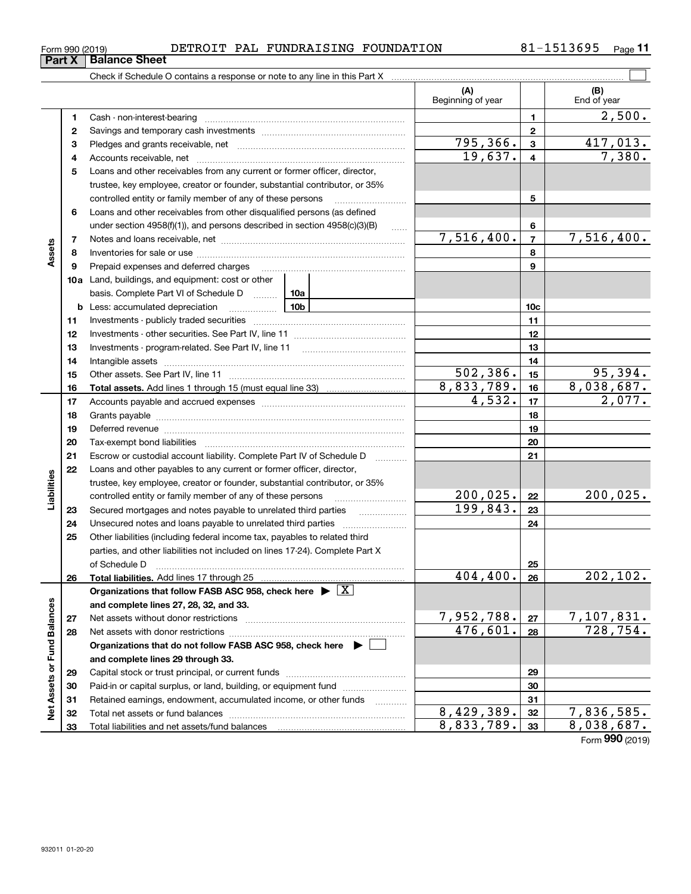|  | DETROIT PAL FUNDRAISING FOUNDATIO |
|--|-----------------------------------|
|--|-----------------------------------|

| Form 990 (2019) |                      | DETROIT | PAL | FUNDRAISING | FOUNDATION | 1513695 | Page |
|-----------------|----------------------|---------|-----|-------------|------------|---------|------|
| Part X          | <b>Balance Sheet</b> |         |     |             |            |         |      |

|                             |    | Check if Schedule O contains a response or note to any line in this Part X         |                 |                          |                         |                    |
|-----------------------------|----|------------------------------------------------------------------------------------|-----------------|--------------------------|-------------------------|--------------------|
|                             |    |                                                                                    |                 | (A)<br>Beginning of year |                         | (B)<br>End of year |
|                             | 1  |                                                                                    |                 |                          | 1                       | 2,500.             |
|                             | 2  |                                                                                    |                 |                          | $\mathbf{2}$            |                    |
|                             | з  |                                                                                    |                 | 795,366.                 | $\mathbf{3}$            | 417,013.           |
|                             | 4  |                                                                                    |                 | 19,637.                  | $\overline{\mathbf{4}}$ | 7,380.             |
|                             | 5  | Loans and other receivables from any current or former officer, director,          |                 |                          |                         |                    |
|                             |    | trustee, key employee, creator or founder, substantial contributor, or 35%         |                 |                          |                         |                    |
|                             |    | controlled entity or family member of any of these persons                         |                 |                          | 5                       |                    |
|                             | 6  | Loans and other receivables from other disqualified persons (as defined            |                 |                          |                         |                    |
|                             |    | under section 4958(f)(1)), and persons described in section 4958(c)(3)(B)          | $\ldots$        |                          | 6                       |                    |
|                             | 7  |                                                                                    |                 | 7,516,400.               | $\overline{7}$          | 7,516,400.         |
| Assets                      | 8  |                                                                                    |                 |                          | 8                       |                    |
|                             | 9  | Prepaid expenses and deferred charges                                              |                 |                          | 9                       |                    |
|                             |    | 10a Land, buildings, and equipment: cost or other                                  |                 |                          |                         |                    |
|                             |    | basis. Complete Part VI of Schedule D  10a                                         |                 |                          |                         |                    |
|                             |    | <b>b</b> Less: accumulated depreciation<br>. 1                                     | 10 <sub>b</sub> |                          | 10 <sub>c</sub>         |                    |
|                             | 11 |                                                                                    |                 |                          | 11                      |                    |
|                             | 12 |                                                                                    |                 | 12                       |                         |                    |
|                             | 13 |                                                                                    |                 |                          | 13                      |                    |
|                             | 14 |                                                                                    |                 |                          | 14                      |                    |
|                             | 15 |                                                                                    |                 | 502,386.                 | 15                      | 95,394.            |
|                             | 16 |                                                                                    |                 | 8,833,789.               | 16                      | 8,038,687.         |
|                             | 17 |                                                                                    |                 | $\overline{4,532}$ .     | 17                      | 2,077.             |
|                             | 18 |                                                                                    |                 |                          | 18                      |                    |
|                             | 19 |                                                                                    |                 | 19                       |                         |                    |
|                             | 20 |                                                                                    |                 | 20                       |                         |                    |
|                             | 21 | Escrow or custodial account liability. Complete Part IV of Schedule D              | .               |                          | 21                      |                    |
|                             | 22 | Loans and other payables to any current or former officer, director,               |                 |                          |                         |                    |
| Liabilities                 |    | trustee, key employee, creator or founder, substantial contributor, or 35%         |                 |                          |                         |                    |
|                             |    | controlled entity or family member of any of these persons                         |                 | 200,025.                 | 22                      | 200,025.           |
|                             | 23 | Secured mortgages and notes payable to unrelated third parties                     |                 | 199,843.                 | 23                      |                    |
|                             | 24 | Unsecured notes and loans payable to unrelated third parties                       |                 |                          | 24                      |                    |
|                             | 25 | Other liabilities (including federal income tax, payables to related third         |                 |                          |                         |                    |
|                             |    | parties, and other liabilities not included on lines 17-24). Complete Part X       |                 |                          |                         |                    |
|                             |    | of Schedule D                                                                      |                 |                          | 25                      |                    |
|                             | 26 | Total liabilities. Add lines 17 through 25                                         |                 | 404,400.                 | 26                      | 202,102.           |
|                             |    | Organizations that follow FASB ASC 958, check here $\blacktriangleright \boxed{X}$ |                 |                          |                         |                    |
|                             |    | and complete lines 27, 28, 32, and 33.                                             |                 |                          |                         |                    |
|                             | 27 | Net assets without donor restrictions                                              |                 | 7,952,788.               | 27                      | 7,107,831.         |
|                             | 28 |                                                                                    |                 | 476,601.                 | 28                      | 728,754.           |
|                             |    | Organizations that do not follow FASB ASC 958, check here $\blacktriangleright$    |                 |                          |                         |                    |
|                             |    | and complete lines 29 through 33.                                                  |                 |                          |                         |                    |
|                             | 29 |                                                                                    |                 |                          | 29                      |                    |
|                             | 30 | Paid-in or capital surplus, or land, building, or equipment fund                   |                 |                          | 30                      |                    |
| Net Assets or Fund Balances | 31 | Retained earnings, endowment, accumulated income, or other funds                   |                 | 8,429,389.               | 31                      | 7,836,585.         |
|                             | 32 |                                                                                    |                 | 8,833,789.               | 32<br>33                | 8,038,687.         |
|                             | 33 |                                                                                    |                 |                          |                         |                    |

Form (2019) **990**

**Part X Balance Sheet**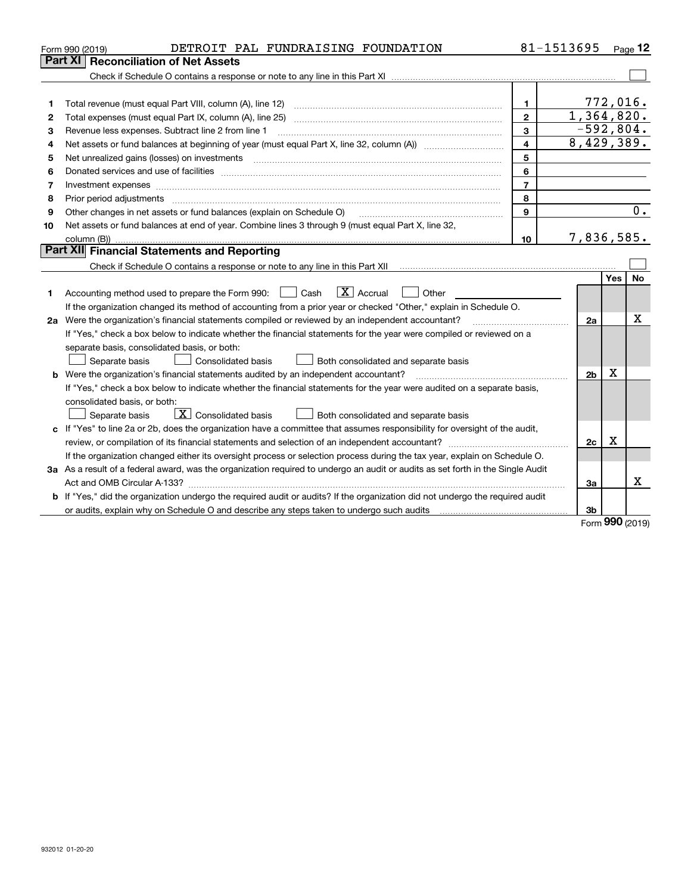| Part XI<br><b>Reconciliation of Net Assets</b><br>$\mathbf{1}$<br>1<br>1,364,820.<br>$\mathbf{2}$<br>Total expenses (must equal Part IX, column (A), line 25)<br>2 |      | 772,016.  |  |  |  |  |
|--------------------------------------------------------------------------------------------------------------------------------------------------------------------|------|-----------|--|--|--|--|
|                                                                                                                                                                    |      |           |  |  |  |  |
|                                                                                                                                                                    |      |           |  |  |  |  |
|                                                                                                                                                                    |      |           |  |  |  |  |
|                                                                                                                                                                    |      |           |  |  |  |  |
|                                                                                                                                                                    |      |           |  |  |  |  |
| $-592,804.$<br>3<br>Revenue less expenses. Subtract line 2 from line 1<br>З                                                                                        |      |           |  |  |  |  |
| 8,429,389.<br>$\overline{\mathbf{4}}$<br>4                                                                                                                         |      |           |  |  |  |  |
| 5<br>5                                                                                                                                                             |      |           |  |  |  |  |
| 6<br>6                                                                                                                                                             |      |           |  |  |  |  |
| $\overline{7}$<br>7                                                                                                                                                |      |           |  |  |  |  |
| 8<br>8                                                                                                                                                             |      |           |  |  |  |  |
| Other changes in net assets or fund balances (explain on Schedule O)<br>9<br>9                                                                                     |      | 0.        |  |  |  |  |
| Net assets or fund balances at end of year. Combine lines 3 through 9 (must equal Part X, line 32,<br>10                                                           |      |           |  |  |  |  |
| 7,836,585.<br>10                                                                                                                                                   |      |           |  |  |  |  |
| Part XII Financial Statements and Reporting                                                                                                                        |      |           |  |  |  |  |
|                                                                                                                                                                    |      |           |  |  |  |  |
|                                                                                                                                                                    | Yes  | <b>No</b> |  |  |  |  |
| $\boxed{\mathbf{X}}$ Accrual<br>Accounting method used to prepare the Form 990: <u>[</u> Cash<br>Other<br>1.                                                       |      |           |  |  |  |  |
| If the organization changed its method of accounting from a prior year or checked "Other," explain in Schedule O.                                                  |      |           |  |  |  |  |
| 2a Were the organization's financial statements compiled or reviewed by an independent accountant?<br>2a                                                           |      | х         |  |  |  |  |
| If "Yes," check a box below to indicate whether the financial statements for the year were compiled or reviewed on a                                               |      |           |  |  |  |  |
| separate basis, consolidated basis, or both:                                                                                                                       |      |           |  |  |  |  |
| Separate basis<br>Consolidated basis<br>Both consolidated and separate basis                                                                                       |      |           |  |  |  |  |
| <b>b</b> Were the organization's financial statements audited by an independent accountant?<br>2 <sub>b</sub>                                                      | х    |           |  |  |  |  |
| If "Yes," check a box below to indicate whether the financial statements for the year were audited on a separate basis,                                            |      |           |  |  |  |  |
| consolidated basis, or both:                                                                                                                                       |      |           |  |  |  |  |
| $\boxed{\textbf{X}}$ Consolidated basis<br>Separate basis<br>Both consolidated and separate basis                                                                  |      |           |  |  |  |  |
| c If "Yes" to line 2a or 2b, does the organization have a committee that assumes responsibility for oversight of the audit,                                        |      |           |  |  |  |  |
| 2c                                                                                                                                                                 | X    |           |  |  |  |  |
| If the organization changed either its oversight process or selection process during the tax year, explain on Schedule O.                                          |      |           |  |  |  |  |
| 3a As a result of a federal award, was the organization required to undergo an audit or audits as set forth in the Single Audit                                    |      |           |  |  |  |  |
| За                                                                                                                                                                 |      | x         |  |  |  |  |
| b If "Yes," did the organization undergo the required audit or audits? If the organization did not undergo the required audit                                      |      |           |  |  |  |  |
| 3b                                                                                                                                                                 | nnn. |           |  |  |  |  |

Form (2019) **990**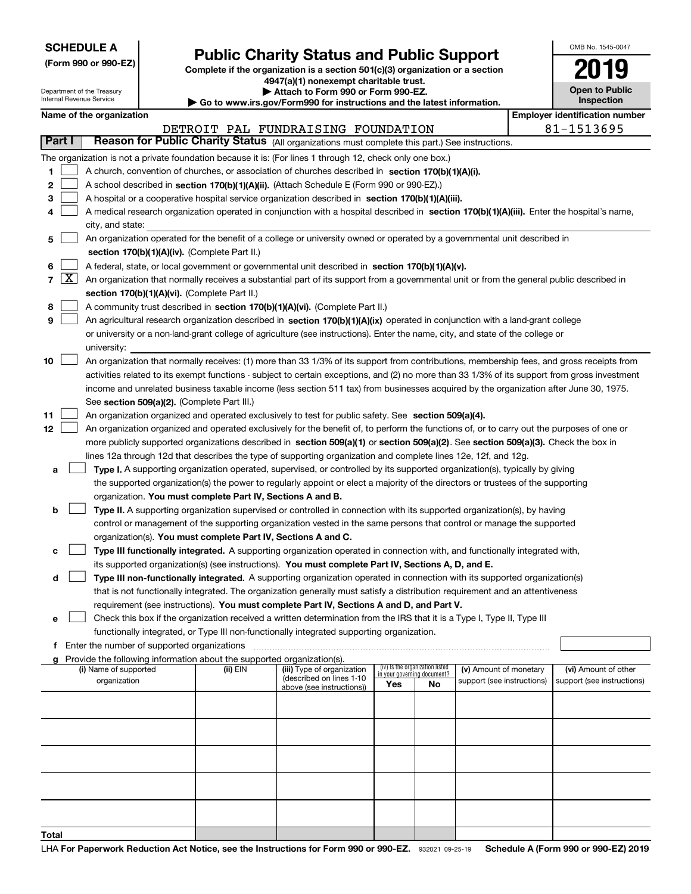| <b>SCHEDULE A</b> |  |  |  |  |  |  |
|-------------------|--|--|--|--|--|--|
|-------------------|--|--|--|--|--|--|

Department of the Treasury Internal Revenue Service

**(Form 990 or 990-EZ)**

# **Public Charity Status and Public Support**

**Complete if the organization is a section 501(c)(3) organization or a section 4947(a)(1) nonexempt charitable trust. | Attach to Form 990 or Form 990-EZ.**   $\blacktriangleright$  Go to

|  |  | o www.irs.gov/Form990 for instructions and the latest information. |  |  |
|--|--|--------------------------------------------------------------------|--|--|
|  |  |                                                                    |  |  |

| OMB No. 1545-0047     |
|-----------------------|
| 2019                  |
| <b>Open to Public</b> |

**Inspection**

**Name of the organization Employer identification number**

| Name of the organization |                               |  |  |  |  |  |
|--------------------------|-------------------------------|--|--|--|--|--|
|                          | DETROIT                       |  |  |  |  |  |
| <b>Part I</b>            | <b>Reason for Public Char</b> |  |  |  |  |  |

|    |                                                                                                    |                                                                                                                                               |          | DETROIT PAL FUNDRAISING FOUNDATION                    |                                                                |    |                            |  | 81-1513695                 |
|----|----------------------------------------------------------------------------------------------------|-----------------------------------------------------------------------------------------------------------------------------------------------|----------|-------------------------------------------------------|----------------------------------------------------------------|----|----------------------------|--|----------------------------|
|    | Part I                                                                                             | Reason for Public Charity Status (All organizations must complete this part.) See instructions.                                               |          |                                                       |                                                                |    |                            |  |                            |
|    |                                                                                                    | The organization is not a private foundation because it is: (For lines 1 through 12, check only one box.)                                     |          |                                                       |                                                                |    |                            |  |                            |
| 1. | A church, convention of churches, or association of churches described in section 170(b)(1)(A)(i). |                                                                                                                                               |          |                                                       |                                                                |    |                            |  |                            |
| 2  |                                                                                                    | A school described in section 170(b)(1)(A)(ii). (Attach Schedule E (Form 990 or 990-EZ).)                                                     |          |                                                       |                                                                |    |                            |  |                            |
| 3  |                                                                                                    | A hospital or a cooperative hospital service organization described in section 170(b)(1)(A)(iii).                                             |          |                                                       |                                                                |    |                            |  |                            |
| 4  |                                                                                                    | A medical research organization operated in conjunction with a hospital described in section 170(b)(1)(A)(iii). Enter the hospital's name,    |          |                                                       |                                                                |    |                            |  |                            |
|    |                                                                                                    | city, and state:                                                                                                                              |          |                                                       |                                                                |    |                            |  |                            |
|    |                                                                                                    | An organization operated for the benefit of a college or university owned or operated by a governmental unit described in                     |          |                                                       |                                                                |    |                            |  |                            |
| 5  |                                                                                                    |                                                                                                                                               |          |                                                       |                                                                |    |                            |  |                            |
|    |                                                                                                    | section 170(b)(1)(A)(iv). (Complete Part II.)                                                                                                 |          |                                                       |                                                                |    |                            |  |                            |
| 6  |                                                                                                    | A federal, state, or local government or governmental unit described in section 170(b)(1)(A)(v).                                              |          |                                                       |                                                                |    |                            |  |                            |
|    | 7 $\lfloor x \rfloor$                                                                              | An organization that normally receives a substantial part of its support from a governmental unit or from the general public described in     |          |                                                       |                                                                |    |                            |  |                            |
|    |                                                                                                    | section 170(b)(1)(A)(vi). (Complete Part II.)                                                                                                 |          |                                                       |                                                                |    |                            |  |                            |
| 8  |                                                                                                    | A community trust described in section 170(b)(1)(A)(vi). (Complete Part II.)                                                                  |          |                                                       |                                                                |    |                            |  |                            |
| 9  |                                                                                                    | An agricultural research organization described in section 170(b)(1)(A)(ix) operated in conjunction with a land-grant college                 |          |                                                       |                                                                |    |                            |  |                            |
|    |                                                                                                    | or university or a non-land-grant college of agriculture (see instructions). Enter the name, city, and state of the college or                |          |                                                       |                                                                |    |                            |  |                            |
|    |                                                                                                    | university:                                                                                                                                   |          |                                                       |                                                                |    |                            |  |                            |
| 10 |                                                                                                    | An organization that normally receives: (1) more than 33 1/3% of its support from contributions, membership fees, and gross receipts from     |          |                                                       |                                                                |    |                            |  |                            |
|    |                                                                                                    | activities related to its exempt functions - subject to certain exceptions, and (2) no more than 33 1/3% of its support from gross investment |          |                                                       |                                                                |    |                            |  |                            |
|    |                                                                                                    | income and unrelated business taxable income (less section 511 tax) from businesses acquired by the organization after June 30, 1975.         |          |                                                       |                                                                |    |                            |  |                            |
|    |                                                                                                    | See section 509(a)(2). (Complete Part III.)                                                                                                   |          |                                                       |                                                                |    |                            |  |                            |
| 11 |                                                                                                    | An organization organized and operated exclusively to test for public safety. See section 509(a)(4).                                          |          |                                                       |                                                                |    |                            |  |                            |
| 12 |                                                                                                    | An organization organized and operated exclusively for the benefit of, to perform the functions of, or to carry out the purposes of one or    |          |                                                       |                                                                |    |                            |  |                            |
|    |                                                                                                    | more publicly supported organizations described in section 509(a)(1) or section 509(a)(2). See section 509(a)(3). Check the box in            |          |                                                       |                                                                |    |                            |  |                            |
|    |                                                                                                    | lines 12a through 12d that describes the type of supporting organization and complete lines 12e, 12f, and 12g.                                |          |                                                       |                                                                |    |                            |  |                            |
|    |                                                                                                    | Type I. A supporting organization operated, supervised, or controlled by its supported organization(s), typically by giving                   |          |                                                       |                                                                |    |                            |  |                            |
| а  |                                                                                                    |                                                                                                                                               |          |                                                       |                                                                |    |                            |  |                            |
|    |                                                                                                    | the supported organization(s) the power to regularly appoint or elect a majority of the directors or trustees of the supporting               |          |                                                       |                                                                |    |                            |  |                            |
|    |                                                                                                    | organization. You must complete Part IV, Sections A and B.                                                                                    |          |                                                       |                                                                |    |                            |  |                            |
| b  |                                                                                                    | Type II. A supporting organization supervised or controlled in connection with its supported organization(s), by having                       |          |                                                       |                                                                |    |                            |  |                            |
|    |                                                                                                    | control or management of the supporting organization vested in the same persons that control or manage the supported                          |          |                                                       |                                                                |    |                            |  |                            |
|    |                                                                                                    | organization(s). You must complete Part IV, Sections A and C.                                                                                 |          |                                                       |                                                                |    |                            |  |                            |
| с  |                                                                                                    | Type III functionally integrated. A supporting organization operated in connection with, and functionally integrated with,                    |          |                                                       |                                                                |    |                            |  |                            |
|    |                                                                                                    | its supported organization(s) (see instructions). You must complete Part IV, Sections A, D, and E.                                            |          |                                                       |                                                                |    |                            |  |                            |
| d  |                                                                                                    | Type III non-functionally integrated. A supporting organization operated in connection with its supported organization(s)                     |          |                                                       |                                                                |    |                            |  |                            |
|    |                                                                                                    | that is not functionally integrated. The organization generally must satisfy a distribution requirement and an attentiveness                  |          |                                                       |                                                                |    |                            |  |                            |
|    |                                                                                                    | requirement (see instructions). You must complete Part IV, Sections A and D, and Part V.                                                      |          |                                                       |                                                                |    |                            |  |                            |
| е  |                                                                                                    | Check this box if the organization received a written determination from the IRS that it is a Type I, Type II, Type III                       |          |                                                       |                                                                |    |                            |  |                            |
|    |                                                                                                    | functionally integrated, or Type III non-functionally integrated supporting organization.                                                     |          |                                                       |                                                                |    |                            |  |                            |
| f  |                                                                                                    | Enter the number of supported organizations                                                                                                   |          |                                                       |                                                                |    |                            |  |                            |
|    |                                                                                                    | g Provide the following information about the supported organization(s).                                                                      |          |                                                       |                                                                |    |                            |  |                            |
|    |                                                                                                    | (i) Name of supported                                                                                                                         | (ii) EIN | (iii) Type of organization                            | (iv) Is the organization listed<br>in your governing document? |    | (v) Amount of monetary     |  | (vi) Amount of other       |
|    |                                                                                                    | organization                                                                                                                                  |          | (described on lines 1-10<br>above (see instructions)) | Yes                                                            | No | support (see instructions) |  | support (see instructions) |
|    |                                                                                                    |                                                                                                                                               |          |                                                       |                                                                |    |                            |  |                            |
|    |                                                                                                    |                                                                                                                                               |          |                                                       |                                                                |    |                            |  |                            |
|    |                                                                                                    |                                                                                                                                               |          |                                                       |                                                                |    |                            |  |                            |
|    |                                                                                                    |                                                                                                                                               |          |                                                       |                                                                |    |                            |  |                            |
|    |                                                                                                    |                                                                                                                                               |          |                                                       |                                                                |    |                            |  |                            |
|    |                                                                                                    |                                                                                                                                               |          |                                                       |                                                                |    |                            |  |                            |
|    |                                                                                                    |                                                                                                                                               |          |                                                       |                                                                |    |                            |  |                            |
|    |                                                                                                    |                                                                                                                                               |          |                                                       |                                                                |    |                            |  |                            |
|    |                                                                                                    |                                                                                                                                               |          |                                                       |                                                                |    |                            |  |                            |
|    |                                                                                                    |                                                                                                                                               |          |                                                       |                                                                |    |                            |  |                            |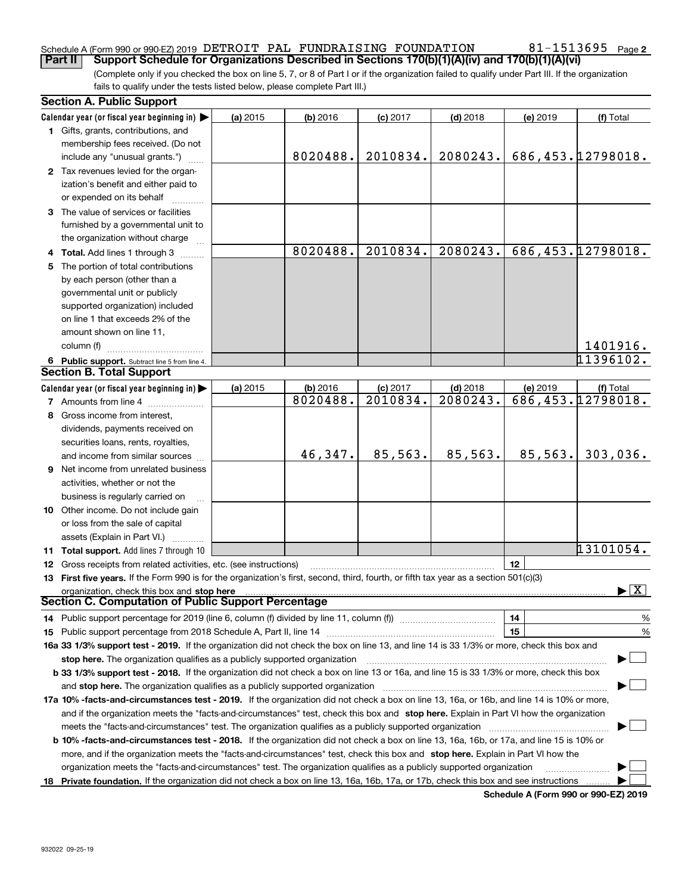# Schedule A (Form 990 or 990-EZ) 2019 <code>DETROIT PAL FUNDRAISING</code> FOUNDATION  $81\text{--}1513695$  <code>Page</code>

(Complete only if you checked the box on line 5, 7, or 8 of Part I or if the organization failed to qualify under Part III. If the organization **Part II Support Schedule for Organizations Described in Sections 170(b)(1)(A)(iv) and 170(b)(1)(A)(vi)**

fails to qualify under the tests listed below, please complete Part III.)

|    | <b>Section A. Public Support</b>                                                                                                                                                                                                   |          |            |            |            |          |                                          |  |
|----|------------------------------------------------------------------------------------------------------------------------------------------------------------------------------------------------------------------------------------|----------|------------|------------|------------|----------|------------------------------------------|--|
|    | Calendar year (or fiscal year beginning in)                                                                                                                                                                                        | (a) 2015 | $(b)$ 2016 | $(c)$ 2017 | $(d)$ 2018 | (e) 2019 | (f) Total                                |  |
|    | 1 Gifts, grants, contributions, and                                                                                                                                                                                                |          |            |            |            |          |                                          |  |
|    | membership fees received. (Do not                                                                                                                                                                                                  |          |            |            |            |          |                                          |  |
|    | include any "unusual grants.")                                                                                                                                                                                                     |          | 8020488.   | 2010834.   | 2080243.   |          | 686,453.12798018.                        |  |
|    | 2 Tax revenues levied for the organ-                                                                                                                                                                                               |          |            |            |            |          |                                          |  |
|    | ization's benefit and either paid to                                                                                                                                                                                               |          |            |            |            |          |                                          |  |
|    | or expended on its behalf                                                                                                                                                                                                          |          |            |            |            |          |                                          |  |
|    | 3 The value of services or facilities                                                                                                                                                                                              |          |            |            |            |          |                                          |  |
|    | furnished by a governmental unit to                                                                                                                                                                                                |          |            |            |            |          |                                          |  |
|    | the organization without charge                                                                                                                                                                                                    |          |            |            |            |          |                                          |  |
|    | 4 Total. Add lines 1 through 3                                                                                                                                                                                                     |          | 8020488.   | 2010834.   | 2080243.   |          | 686,453.12798018.                        |  |
| 5. | The portion of total contributions                                                                                                                                                                                                 |          |            |            |            |          |                                          |  |
|    | by each person (other than a                                                                                                                                                                                                       |          |            |            |            |          |                                          |  |
|    | governmental unit or publicly                                                                                                                                                                                                      |          |            |            |            |          |                                          |  |
|    | supported organization) included                                                                                                                                                                                                   |          |            |            |            |          |                                          |  |
|    | on line 1 that exceeds 2% of the                                                                                                                                                                                                   |          |            |            |            |          |                                          |  |
|    | amount shown on line 11,                                                                                                                                                                                                           |          |            |            |            |          |                                          |  |
|    | column (f)                                                                                                                                                                                                                         |          |            |            |            |          | 1401916.                                 |  |
|    | 6 Public support. Subtract line 5 from line 4.                                                                                                                                                                                     |          |            |            |            |          | 11396102.                                |  |
|    | <b>Section B. Total Support</b>                                                                                                                                                                                                    |          |            |            |            |          |                                          |  |
|    | Calendar year (or fiscal year beginning in) $\blacktriangleright$                                                                                                                                                                  | (a) 2015 | (b) 2016   | $(c)$ 2017 | $(d)$ 2018 | (e) 2019 | (f) Total                                |  |
|    | 7 Amounts from line 4                                                                                                                                                                                                              |          | 8020488.   | 2010834.   | 2080243.   |          | 686,453.12798018.                        |  |
|    | 8 Gross income from interest,                                                                                                                                                                                                      |          |            |            |            |          |                                          |  |
|    | dividends, payments received on                                                                                                                                                                                                    |          |            |            |            |          |                                          |  |
|    | securities loans, rents, royalties,                                                                                                                                                                                                |          |            |            |            |          |                                          |  |
|    | and income from similar sources                                                                                                                                                                                                    |          | 46,347.    | 85,563.    | 85,563.    | 85,563.  | 303,036.                                 |  |
| 9  | Net income from unrelated business                                                                                                                                                                                                 |          |            |            |            |          |                                          |  |
|    | activities, whether or not the                                                                                                                                                                                                     |          |            |            |            |          |                                          |  |
|    | business is regularly carried on                                                                                                                                                                                                   |          |            |            |            |          |                                          |  |
|    | <b>10</b> Other income. Do not include gain                                                                                                                                                                                        |          |            |            |            |          |                                          |  |
|    | or loss from the sale of capital                                                                                                                                                                                                   |          |            |            |            |          |                                          |  |
|    | assets (Explain in Part VI.)                                                                                                                                                                                                       |          |            |            |            |          |                                          |  |
|    | 11 Total support. Add lines 7 through 10                                                                                                                                                                                           |          |            |            |            |          | 13101054.                                |  |
|    | 12 Gross receipts from related activities, etc. (see instructions)                                                                                                                                                                 |          |            |            |            | 12       |                                          |  |
|    | 13 First five years. If the Form 990 is for the organization's first, second, third, fourth, or fifth tax year as a section 501(c)(3)                                                                                              |          |            |            |            |          |                                          |  |
|    | organization, check this box and stop here <b>construction and construction</b> of the construction of the construction of the construction of the construction of the construction of the construction of the construction of the |          |            |            |            |          | $\blacktriangleright$ $\boxed{\text{X}}$ |  |
|    | <b>Section C. Computation of Public Support Percentage</b>                                                                                                                                                                         |          |            |            |            |          |                                          |  |
|    | 14 Public support percentage for 2019 (line 6, column (f) divided by line 11, column (f) <i>mummumumum</i>                                                                                                                         |          |            |            |            | 14       | $\frac{9}{6}$                            |  |
|    |                                                                                                                                                                                                                                    |          |            |            |            | 15       | %                                        |  |
|    | 16a 33 1/3% support test - 2019. If the organization did not check the box on line 13, and line 14 is 33 1/3% or more, check this box and                                                                                          |          |            |            |            |          |                                          |  |
|    | stop here. The organization qualifies as a publicly supported organization                                                                                                                                                         |          |            |            |            |          |                                          |  |
|    | b 33 1/3% support test - 2018. If the organization did not check a box on line 13 or 16a, and line 15 is 33 1/3% or more, check this box                                                                                           |          |            |            |            |          |                                          |  |
|    | and stop here. The organization qualifies as a publicly supported organization                                                                                                                                                     |          |            |            |            |          |                                          |  |
|    | 17a 10% -facts-and-circumstances test - 2019. If the organization did not check a box on line 13, 16a, or 16b, and line 14 is 10% or more,                                                                                         |          |            |            |            |          |                                          |  |
|    | and if the organization meets the "facts-and-circumstances" test, check this box and stop here. Explain in Part VI how the organization                                                                                            |          |            |            |            |          |                                          |  |
|    | meets the "facts-and-circumstances" test. The organization qualifies as a publicly supported organization                                                                                                                          |          |            |            |            |          |                                          |  |
|    | <b>b 10% -facts-and-circumstances test - 2018.</b> If the organization did not check a box on line 13, 16a, 16b, or 17a, and line 15 is 10% or                                                                                     |          |            |            |            |          |                                          |  |
|    | more, and if the organization meets the "facts-and-circumstances" test, check this box and stop here. Explain in Part VI how the                                                                                                   |          |            |            |            |          |                                          |  |
|    | organization meets the "facts-and-circumstances" test. The organization qualifies as a publicly supported organization                                                                                                             |          |            |            |            |          |                                          |  |
|    | 18 Private foundation. If the organization did not check a box on line 13, 16a, 16b, 17a, or 17b, check this box and see instructions                                                                                              |          |            |            |            |          |                                          |  |

**Schedule A (Form 990 or 990-EZ) 2019**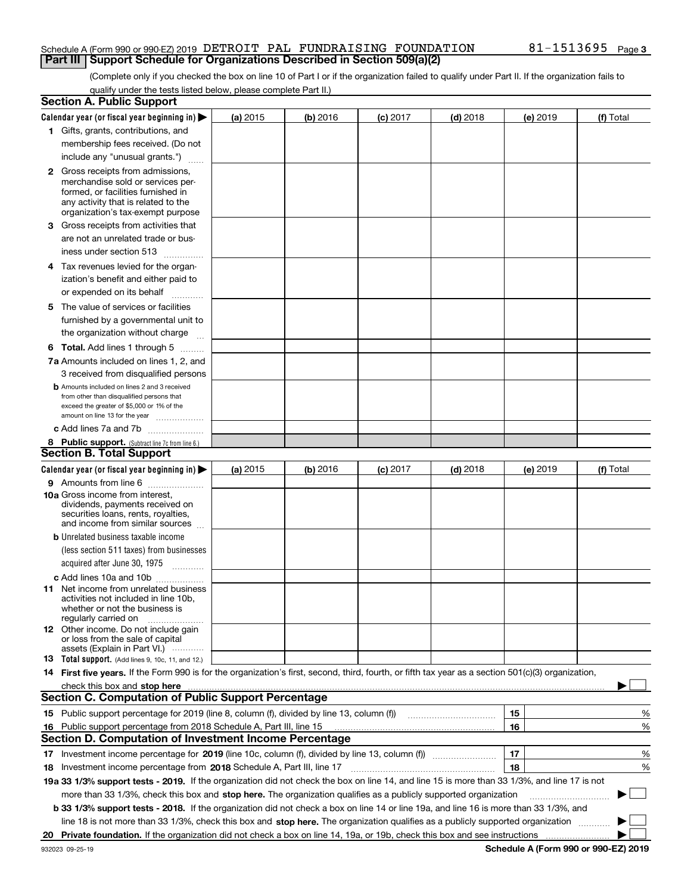#### Schedule A (Form 990 or 990-EZ) 2019 <code>DETROIT PAL FUNDRAISING</code> FOUNDATION  $81\text{--}1513695$  <code>Page</code> **Part III | Support Schedule for Organizations Described in Section 509(a)(2)**

(Complete only if you checked the box on line 10 of Part I or if the organization failed to qualify under Part II. If the organization fails to qualify under the tests listed below, please complete Part II.)

| Calendar year (or fiscal year beginning in) $\blacktriangleright$<br>(b) 2016<br>$(d)$ 2018<br>(a) 2015<br>$(c)$ 2017<br>(e) 2019<br>1 Gifts, grants, contributions, and<br>membership fees received. (Do not<br>include any "unusual grants.")<br><b>2</b> Gross receipts from admissions,<br>merchandise sold or services per-<br>formed, or facilities furnished in<br>any activity that is related to the<br>organization's tax-exempt purpose<br>3 Gross receipts from activities that<br>are not an unrelated trade or bus-<br>iness under section 513<br>4 Tax revenues levied for the organ-<br>ization's benefit and either paid to<br>or expended on its behalf<br>.<br>5 The value of services or facilities<br>furnished by a governmental unit to<br>the organization without charge<br><b>6 Total.</b> Add lines 1 through 5<br>7a Amounts included on lines 1, 2, and<br>3 received from disqualified persons<br><b>b</b> Amounts included on lines 2 and 3 received<br>from other than disqualified persons that<br>exceed the greater of \$5,000 or 1% of the<br>amount on line 13 for the year<br>c Add lines 7a and 7b<br>8 Public support. (Subtract line 7c from line 6.)<br>Calendar year (or fiscal year beginning in)<br>(b) 2016<br>$(d)$ 2018<br>(a) 2015<br>$(c)$ 2017<br>(e) 2019<br>9 Amounts from line 6<br><b>10a</b> Gross income from interest,<br>dividends, payments received on<br>securities loans, rents, royalties,<br>and income from similar sources<br><b>b</b> Unrelated business taxable income<br>(less section 511 taxes) from businesses<br>acquired after June 30, 1975 [10001]<br>c Add lines 10a and 10b<br>11 Net income from unrelated business<br>activities not included in line 10b,<br>whether or not the business is<br>regularly carried on<br><b>12</b> Other income. Do not include gain<br>or loss from the sale of capital<br>assets (Explain in Part VI.)<br><b>13</b> Total support. (Add lines 9, 10c, 11, and 12.)<br>14 First five years. If the Form 990 is for the organization's first, second, third, fourth, or fifth tax year as a section 501(c)(3) organization,<br>check this box and stop here <i>maching and content and a content and a content and a content and stop here</i> $\ldots$<br><b>Section C. Computation of Public Support Percentage</b><br>15 Public support percentage for 2019 (line 8, column (f), divided by line 13, column (f))<br>15<br>16<br>16 Public support percentage from 2018 Schedule A, Part III, line 15<br><b>Section D. Computation of Investment Income Percentage</b><br>17<br>17 Investment income percentage for 2019 (line 10c, column (f), divided by line 13, column (f))<br>18<br><b>18</b> Investment income percentage from <b>2018</b> Schedule A, Part III, line 17<br>19a 33 1/3% support tests - 2019. If the organization did not check the box on line 14, and line 15 is more than 33 1/3%, and line 17 is not<br>more than 33 1/3%, check this box and stop here. The organization qualifies as a publicly supported organization<br>b 33 1/3% support tests - 2018. If the organization did not check a box on line 14 or line 19a, and line 16 is more than 33 1/3%, and<br>line 18 is not more than 33 1/3%, check this box and stop here. The organization qualifies as a publicly supported organization |  | <b>Section A. Public Support</b> |  |  |  |             |   |
|--------------------------------------------------------------------------------------------------------------------------------------------------------------------------------------------------------------------------------------------------------------------------------------------------------------------------------------------------------------------------------------------------------------------------------------------------------------------------------------------------------------------------------------------------------------------------------------------------------------------------------------------------------------------------------------------------------------------------------------------------------------------------------------------------------------------------------------------------------------------------------------------------------------------------------------------------------------------------------------------------------------------------------------------------------------------------------------------------------------------------------------------------------------------------------------------------------------------------------------------------------------------------------------------------------------------------------------------------------------------------------------------------------------------------------------------------------------------------------------------------------------------------------------------------------------------------------------------------------------------------------------------------------------------------------------------------------------------------------------------------------------------------------------------------------------------------------------------------------------------------------------------------------------------------------------------------------------------------------------------------------------------------------------------------------------------------------------------------------------------------------------------------------------------------------------------------------------------------------------------------------------------------------------------------------------------------------------------------------------------------------------------------------------------------------------------------------------------------------------------------------------------------------------------------------------------------------------------------------------------------------------------------------------------------------------------------------------------------------------------------------------------------------------------------------------------------------------------------------------------------------------------------------------------------------------------------------------------------------------------------------------------------------------------------------------------------------------------------------------------------------------------------------------------------------------------------------------------------------------------------------------------------------------------------------------------------------------------------|--|----------------------------------|--|--|--|-------------|---|
|                                                                                                                                                                                                                                                                                                                                                                                                                                                                                                                                                                                                                                                                                                                                                                                                                                                                                                                                                                                                                                                                                                                                                                                                                                                                                                                                                                                                                                                                                                                                                                                                                                                                                                                                                                                                                                                                                                                                                                                                                                                                                                                                                                                                                                                                                                                                                                                                                                                                                                                                                                                                                                                                                                                                                                                                                                                                                                                                                                                                                                                                                                                                                                                                                                                                                                                                                  |  |                                  |  |  |  | (f) Total   |   |
|                                                                                                                                                                                                                                                                                                                                                                                                                                                                                                                                                                                                                                                                                                                                                                                                                                                                                                                                                                                                                                                                                                                                                                                                                                                                                                                                                                                                                                                                                                                                                                                                                                                                                                                                                                                                                                                                                                                                                                                                                                                                                                                                                                                                                                                                                                                                                                                                                                                                                                                                                                                                                                                                                                                                                                                                                                                                                                                                                                                                                                                                                                                                                                                                                                                                                                                                                  |  |                                  |  |  |  |             |   |
|                                                                                                                                                                                                                                                                                                                                                                                                                                                                                                                                                                                                                                                                                                                                                                                                                                                                                                                                                                                                                                                                                                                                                                                                                                                                                                                                                                                                                                                                                                                                                                                                                                                                                                                                                                                                                                                                                                                                                                                                                                                                                                                                                                                                                                                                                                                                                                                                                                                                                                                                                                                                                                                                                                                                                                                                                                                                                                                                                                                                                                                                                                                                                                                                                                                                                                                                                  |  |                                  |  |  |  |             |   |
|                                                                                                                                                                                                                                                                                                                                                                                                                                                                                                                                                                                                                                                                                                                                                                                                                                                                                                                                                                                                                                                                                                                                                                                                                                                                                                                                                                                                                                                                                                                                                                                                                                                                                                                                                                                                                                                                                                                                                                                                                                                                                                                                                                                                                                                                                                                                                                                                                                                                                                                                                                                                                                                                                                                                                                                                                                                                                                                                                                                                                                                                                                                                                                                                                                                                                                                                                  |  |                                  |  |  |  |             |   |
| <b>Section B. Total Support</b>                                                                                                                                                                                                                                                                                                                                                                                                                                                                                                                                                                                                                                                                                                                                                                                                                                                                                                                                                                                                                                                                                                                                                                                                                                                                                                                                                                                                                                                                                                                                                                                                                                                                                                                                                                                                                                                                                                                                                                                                                                                                                                                                                                                                                                                                                                                                                                                                                                                                                                                                                                                                                                                                                                                                                                                                                                                                                                                                                                                                                                                                                                                                                                                                                                                                                                                  |  |                                  |  |  |  |             |   |
|                                                                                                                                                                                                                                                                                                                                                                                                                                                                                                                                                                                                                                                                                                                                                                                                                                                                                                                                                                                                                                                                                                                                                                                                                                                                                                                                                                                                                                                                                                                                                                                                                                                                                                                                                                                                                                                                                                                                                                                                                                                                                                                                                                                                                                                                                                                                                                                                                                                                                                                                                                                                                                                                                                                                                                                                                                                                                                                                                                                                                                                                                                                                                                                                                                                                                                                                                  |  |                                  |  |  |  |             |   |
|                                                                                                                                                                                                                                                                                                                                                                                                                                                                                                                                                                                                                                                                                                                                                                                                                                                                                                                                                                                                                                                                                                                                                                                                                                                                                                                                                                                                                                                                                                                                                                                                                                                                                                                                                                                                                                                                                                                                                                                                                                                                                                                                                                                                                                                                                                                                                                                                                                                                                                                                                                                                                                                                                                                                                                                                                                                                                                                                                                                                                                                                                                                                                                                                                                                                                                                                                  |  |                                  |  |  |  |             |   |
|                                                                                                                                                                                                                                                                                                                                                                                                                                                                                                                                                                                                                                                                                                                                                                                                                                                                                                                                                                                                                                                                                                                                                                                                                                                                                                                                                                                                                                                                                                                                                                                                                                                                                                                                                                                                                                                                                                                                                                                                                                                                                                                                                                                                                                                                                                                                                                                                                                                                                                                                                                                                                                                                                                                                                                                                                                                                                                                                                                                                                                                                                                                                                                                                                                                                                                                                                  |  |                                  |  |  |  |             |   |
|                                                                                                                                                                                                                                                                                                                                                                                                                                                                                                                                                                                                                                                                                                                                                                                                                                                                                                                                                                                                                                                                                                                                                                                                                                                                                                                                                                                                                                                                                                                                                                                                                                                                                                                                                                                                                                                                                                                                                                                                                                                                                                                                                                                                                                                                                                                                                                                                                                                                                                                                                                                                                                                                                                                                                                                                                                                                                                                                                                                                                                                                                                                                                                                                                                                                                                                                                  |  |                                  |  |  |  |             |   |
|                                                                                                                                                                                                                                                                                                                                                                                                                                                                                                                                                                                                                                                                                                                                                                                                                                                                                                                                                                                                                                                                                                                                                                                                                                                                                                                                                                                                                                                                                                                                                                                                                                                                                                                                                                                                                                                                                                                                                                                                                                                                                                                                                                                                                                                                                                                                                                                                                                                                                                                                                                                                                                                                                                                                                                                                                                                                                                                                                                                                                                                                                                                                                                                                                                                                                                                                                  |  |                                  |  |  |  |             |   |
|                                                                                                                                                                                                                                                                                                                                                                                                                                                                                                                                                                                                                                                                                                                                                                                                                                                                                                                                                                                                                                                                                                                                                                                                                                                                                                                                                                                                                                                                                                                                                                                                                                                                                                                                                                                                                                                                                                                                                                                                                                                                                                                                                                                                                                                                                                                                                                                                                                                                                                                                                                                                                                                                                                                                                                                                                                                                                                                                                                                                                                                                                                                                                                                                                                                                                                                                                  |  |                                  |  |  |  |             |   |
|                                                                                                                                                                                                                                                                                                                                                                                                                                                                                                                                                                                                                                                                                                                                                                                                                                                                                                                                                                                                                                                                                                                                                                                                                                                                                                                                                                                                                                                                                                                                                                                                                                                                                                                                                                                                                                                                                                                                                                                                                                                                                                                                                                                                                                                                                                                                                                                                                                                                                                                                                                                                                                                                                                                                                                                                                                                                                                                                                                                                                                                                                                                                                                                                                                                                                                                                                  |  |                                  |  |  |  |             |   |
|                                                                                                                                                                                                                                                                                                                                                                                                                                                                                                                                                                                                                                                                                                                                                                                                                                                                                                                                                                                                                                                                                                                                                                                                                                                                                                                                                                                                                                                                                                                                                                                                                                                                                                                                                                                                                                                                                                                                                                                                                                                                                                                                                                                                                                                                                                                                                                                                                                                                                                                                                                                                                                                                                                                                                                                                                                                                                                                                                                                                                                                                                                                                                                                                                                                                                                                                                  |  |                                  |  |  |  |             |   |
|                                                                                                                                                                                                                                                                                                                                                                                                                                                                                                                                                                                                                                                                                                                                                                                                                                                                                                                                                                                                                                                                                                                                                                                                                                                                                                                                                                                                                                                                                                                                                                                                                                                                                                                                                                                                                                                                                                                                                                                                                                                                                                                                                                                                                                                                                                                                                                                                                                                                                                                                                                                                                                                                                                                                                                                                                                                                                                                                                                                                                                                                                                                                                                                                                                                                                                                                                  |  |                                  |  |  |  |             |   |
|                                                                                                                                                                                                                                                                                                                                                                                                                                                                                                                                                                                                                                                                                                                                                                                                                                                                                                                                                                                                                                                                                                                                                                                                                                                                                                                                                                                                                                                                                                                                                                                                                                                                                                                                                                                                                                                                                                                                                                                                                                                                                                                                                                                                                                                                                                                                                                                                                                                                                                                                                                                                                                                                                                                                                                                                                                                                                                                                                                                                                                                                                                                                                                                                                                                                                                                                                  |  |                                  |  |  |  |             |   |
|                                                                                                                                                                                                                                                                                                                                                                                                                                                                                                                                                                                                                                                                                                                                                                                                                                                                                                                                                                                                                                                                                                                                                                                                                                                                                                                                                                                                                                                                                                                                                                                                                                                                                                                                                                                                                                                                                                                                                                                                                                                                                                                                                                                                                                                                                                                                                                                                                                                                                                                                                                                                                                                                                                                                                                                                                                                                                                                                                                                                                                                                                                                                                                                                                                                                                                                                                  |  |                                  |  |  |  |             |   |
|                                                                                                                                                                                                                                                                                                                                                                                                                                                                                                                                                                                                                                                                                                                                                                                                                                                                                                                                                                                                                                                                                                                                                                                                                                                                                                                                                                                                                                                                                                                                                                                                                                                                                                                                                                                                                                                                                                                                                                                                                                                                                                                                                                                                                                                                                                                                                                                                                                                                                                                                                                                                                                                                                                                                                                                                                                                                                                                                                                                                                                                                                                                                                                                                                                                                                                                                                  |  |                                  |  |  |  |             |   |
|                                                                                                                                                                                                                                                                                                                                                                                                                                                                                                                                                                                                                                                                                                                                                                                                                                                                                                                                                                                                                                                                                                                                                                                                                                                                                                                                                                                                                                                                                                                                                                                                                                                                                                                                                                                                                                                                                                                                                                                                                                                                                                                                                                                                                                                                                                                                                                                                                                                                                                                                                                                                                                                                                                                                                                                                                                                                                                                                                                                                                                                                                                                                                                                                                                                                                                                                                  |  |                                  |  |  |  |             |   |
|                                                                                                                                                                                                                                                                                                                                                                                                                                                                                                                                                                                                                                                                                                                                                                                                                                                                                                                                                                                                                                                                                                                                                                                                                                                                                                                                                                                                                                                                                                                                                                                                                                                                                                                                                                                                                                                                                                                                                                                                                                                                                                                                                                                                                                                                                                                                                                                                                                                                                                                                                                                                                                                                                                                                                                                                                                                                                                                                                                                                                                                                                                                                                                                                                                                                                                                                                  |  |                                  |  |  |  |             |   |
|                                                                                                                                                                                                                                                                                                                                                                                                                                                                                                                                                                                                                                                                                                                                                                                                                                                                                                                                                                                                                                                                                                                                                                                                                                                                                                                                                                                                                                                                                                                                                                                                                                                                                                                                                                                                                                                                                                                                                                                                                                                                                                                                                                                                                                                                                                                                                                                                                                                                                                                                                                                                                                                                                                                                                                                                                                                                                                                                                                                                                                                                                                                                                                                                                                                                                                                                                  |  |                                  |  |  |  |             |   |
|                                                                                                                                                                                                                                                                                                                                                                                                                                                                                                                                                                                                                                                                                                                                                                                                                                                                                                                                                                                                                                                                                                                                                                                                                                                                                                                                                                                                                                                                                                                                                                                                                                                                                                                                                                                                                                                                                                                                                                                                                                                                                                                                                                                                                                                                                                                                                                                                                                                                                                                                                                                                                                                                                                                                                                                                                                                                                                                                                                                                                                                                                                                                                                                                                                                                                                                                                  |  |                                  |  |  |  |             |   |
|                                                                                                                                                                                                                                                                                                                                                                                                                                                                                                                                                                                                                                                                                                                                                                                                                                                                                                                                                                                                                                                                                                                                                                                                                                                                                                                                                                                                                                                                                                                                                                                                                                                                                                                                                                                                                                                                                                                                                                                                                                                                                                                                                                                                                                                                                                                                                                                                                                                                                                                                                                                                                                                                                                                                                                                                                                                                                                                                                                                                                                                                                                                                                                                                                                                                                                                                                  |  |                                  |  |  |  |             |   |
|                                                                                                                                                                                                                                                                                                                                                                                                                                                                                                                                                                                                                                                                                                                                                                                                                                                                                                                                                                                                                                                                                                                                                                                                                                                                                                                                                                                                                                                                                                                                                                                                                                                                                                                                                                                                                                                                                                                                                                                                                                                                                                                                                                                                                                                                                                                                                                                                                                                                                                                                                                                                                                                                                                                                                                                                                                                                                                                                                                                                                                                                                                                                                                                                                                                                                                                                                  |  |                                  |  |  |  |             |   |
|                                                                                                                                                                                                                                                                                                                                                                                                                                                                                                                                                                                                                                                                                                                                                                                                                                                                                                                                                                                                                                                                                                                                                                                                                                                                                                                                                                                                                                                                                                                                                                                                                                                                                                                                                                                                                                                                                                                                                                                                                                                                                                                                                                                                                                                                                                                                                                                                                                                                                                                                                                                                                                                                                                                                                                                                                                                                                                                                                                                                                                                                                                                                                                                                                                                                                                                                                  |  |                                  |  |  |  |             |   |
|                                                                                                                                                                                                                                                                                                                                                                                                                                                                                                                                                                                                                                                                                                                                                                                                                                                                                                                                                                                                                                                                                                                                                                                                                                                                                                                                                                                                                                                                                                                                                                                                                                                                                                                                                                                                                                                                                                                                                                                                                                                                                                                                                                                                                                                                                                                                                                                                                                                                                                                                                                                                                                                                                                                                                                                                                                                                                                                                                                                                                                                                                                                                                                                                                                                                                                                                                  |  |                                  |  |  |  |             |   |
|                                                                                                                                                                                                                                                                                                                                                                                                                                                                                                                                                                                                                                                                                                                                                                                                                                                                                                                                                                                                                                                                                                                                                                                                                                                                                                                                                                                                                                                                                                                                                                                                                                                                                                                                                                                                                                                                                                                                                                                                                                                                                                                                                                                                                                                                                                                                                                                                                                                                                                                                                                                                                                                                                                                                                                                                                                                                                                                                                                                                                                                                                                                                                                                                                                                                                                                                                  |  |                                  |  |  |  |             |   |
|                                                                                                                                                                                                                                                                                                                                                                                                                                                                                                                                                                                                                                                                                                                                                                                                                                                                                                                                                                                                                                                                                                                                                                                                                                                                                                                                                                                                                                                                                                                                                                                                                                                                                                                                                                                                                                                                                                                                                                                                                                                                                                                                                                                                                                                                                                                                                                                                                                                                                                                                                                                                                                                                                                                                                                                                                                                                                                                                                                                                                                                                                                                                                                                                                                                                                                                                                  |  |                                  |  |  |  |             |   |
|                                                                                                                                                                                                                                                                                                                                                                                                                                                                                                                                                                                                                                                                                                                                                                                                                                                                                                                                                                                                                                                                                                                                                                                                                                                                                                                                                                                                                                                                                                                                                                                                                                                                                                                                                                                                                                                                                                                                                                                                                                                                                                                                                                                                                                                                                                                                                                                                                                                                                                                                                                                                                                                                                                                                                                                                                                                                                                                                                                                                                                                                                                                                                                                                                                                                                                                                                  |  |                                  |  |  |  | (f) Total   |   |
|                                                                                                                                                                                                                                                                                                                                                                                                                                                                                                                                                                                                                                                                                                                                                                                                                                                                                                                                                                                                                                                                                                                                                                                                                                                                                                                                                                                                                                                                                                                                                                                                                                                                                                                                                                                                                                                                                                                                                                                                                                                                                                                                                                                                                                                                                                                                                                                                                                                                                                                                                                                                                                                                                                                                                                                                                                                                                                                                                                                                                                                                                                                                                                                                                                                                                                                                                  |  |                                  |  |  |  |             |   |
|                                                                                                                                                                                                                                                                                                                                                                                                                                                                                                                                                                                                                                                                                                                                                                                                                                                                                                                                                                                                                                                                                                                                                                                                                                                                                                                                                                                                                                                                                                                                                                                                                                                                                                                                                                                                                                                                                                                                                                                                                                                                                                                                                                                                                                                                                                                                                                                                                                                                                                                                                                                                                                                                                                                                                                                                                                                                                                                                                                                                                                                                                                                                                                                                                                                                                                                                                  |  |                                  |  |  |  |             |   |
|                                                                                                                                                                                                                                                                                                                                                                                                                                                                                                                                                                                                                                                                                                                                                                                                                                                                                                                                                                                                                                                                                                                                                                                                                                                                                                                                                                                                                                                                                                                                                                                                                                                                                                                                                                                                                                                                                                                                                                                                                                                                                                                                                                                                                                                                                                                                                                                                                                                                                                                                                                                                                                                                                                                                                                                                                                                                                                                                                                                                                                                                                                                                                                                                                                                                                                                                                  |  |                                  |  |  |  |             |   |
|                                                                                                                                                                                                                                                                                                                                                                                                                                                                                                                                                                                                                                                                                                                                                                                                                                                                                                                                                                                                                                                                                                                                                                                                                                                                                                                                                                                                                                                                                                                                                                                                                                                                                                                                                                                                                                                                                                                                                                                                                                                                                                                                                                                                                                                                                                                                                                                                                                                                                                                                                                                                                                                                                                                                                                                                                                                                                                                                                                                                                                                                                                                                                                                                                                                                                                                                                  |  |                                  |  |  |  |             |   |
|                                                                                                                                                                                                                                                                                                                                                                                                                                                                                                                                                                                                                                                                                                                                                                                                                                                                                                                                                                                                                                                                                                                                                                                                                                                                                                                                                                                                                                                                                                                                                                                                                                                                                                                                                                                                                                                                                                                                                                                                                                                                                                                                                                                                                                                                                                                                                                                                                                                                                                                                                                                                                                                                                                                                                                                                                                                                                                                                                                                                                                                                                                                                                                                                                                                                                                                                                  |  |                                  |  |  |  |             |   |
|                                                                                                                                                                                                                                                                                                                                                                                                                                                                                                                                                                                                                                                                                                                                                                                                                                                                                                                                                                                                                                                                                                                                                                                                                                                                                                                                                                                                                                                                                                                                                                                                                                                                                                                                                                                                                                                                                                                                                                                                                                                                                                                                                                                                                                                                                                                                                                                                                                                                                                                                                                                                                                                                                                                                                                                                                                                                                                                                                                                                                                                                                                                                                                                                                                                                                                                                                  |  |                                  |  |  |  |             |   |
|                                                                                                                                                                                                                                                                                                                                                                                                                                                                                                                                                                                                                                                                                                                                                                                                                                                                                                                                                                                                                                                                                                                                                                                                                                                                                                                                                                                                                                                                                                                                                                                                                                                                                                                                                                                                                                                                                                                                                                                                                                                                                                                                                                                                                                                                                                                                                                                                                                                                                                                                                                                                                                                                                                                                                                                                                                                                                                                                                                                                                                                                                                                                                                                                                                                                                                                                                  |  |                                  |  |  |  |             |   |
|                                                                                                                                                                                                                                                                                                                                                                                                                                                                                                                                                                                                                                                                                                                                                                                                                                                                                                                                                                                                                                                                                                                                                                                                                                                                                                                                                                                                                                                                                                                                                                                                                                                                                                                                                                                                                                                                                                                                                                                                                                                                                                                                                                                                                                                                                                                                                                                                                                                                                                                                                                                                                                                                                                                                                                                                                                                                                                                                                                                                                                                                                                                                                                                                                                                                                                                                                  |  |                                  |  |  |  |             |   |
|                                                                                                                                                                                                                                                                                                                                                                                                                                                                                                                                                                                                                                                                                                                                                                                                                                                                                                                                                                                                                                                                                                                                                                                                                                                                                                                                                                                                                                                                                                                                                                                                                                                                                                                                                                                                                                                                                                                                                                                                                                                                                                                                                                                                                                                                                                                                                                                                                                                                                                                                                                                                                                                                                                                                                                                                                                                                                                                                                                                                                                                                                                                                                                                                                                                                                                                                                  |  |                                  |  |  |  |             |   |
|                                                                                                                                                                                                                                                                                                                                                                                                                                                                                                                                                                                                                                                                                                                                                                                                                                                                                                                                                                                                                                                                                                                                                                                                                                                                                                                                                                                                                                                                                                                                                                                                                                                                                                                                                                                                                                                                                                                                                                                                                                                                                                                                                                                                                                                                                                                                                                                                                                                                                                                                                                                                                                                                                                                                                                                                                                                                                                                                                                                                                                                                                                                                                                                                                                                                                                                                                  |  |                                  |  |  |  |             |   |
|                                                                                                                                                                                                                                                                                                                                                                                                                                                                                                                                                                                                                                                                                                                                                                                                                                                                                                                                                                                                                                                                                                                                                                                                                                                                                                                                                                                                                                                                                                                                                                                                                                                                                                                                                                                                                                                                                                                                                                                                                                                                                                                                                                                                                                                                                                                                                                                                                                                                                                                                                                                                                                                                                                                                                                                                                                                                                                                                                                                                                                                                                                                                                                                                                                                                                                                                                  |  |                                  |  |  |  |             |   |
|                                                                                                                                                                                                                                                                                                                                                                                                                                                                                                                                                                                                                                                                                                                                                                                                                                                                                                                                                                                                                                                                                                                                                                                                                                                                                                                                                                                                                                                                                                                                                                                                                                                                                                                                                                                                                                                                                                                                                                                                                                                                                                                                                                                                                                                                                                                                                                                                                                                                                                                                                                                                                                                                                                                                                                                                                                                                                                                                                                                                                                                                                                                                                                                                                                                                                                                                                  |  |                                  |  |  |  |             |   |
|                                                                                                                                                                                                                                                                                                                                                                                                                                                                                                                                                                                                                                                                                                                                                                                                                                                                                                                                                                                                                                                                                                                                                                                                                                                                                                                                                                                                                                                                                                                                                                                                                                                                                                                                                                                                                                                                                                                                                                                                                                                                                                                                                                                                                                                                                                                                                                                                                                                                                                                                                                                                                                                                                                                                                                                                                                                                                                                                                                                                                                                                                                                                                                                                                                                                                                                                                  |  |                                  |  |  |  |             |   |
|                                                                                                                                                                                                                                                                                                                                                                                                                                                                                                                                                                                                                                                                                                                                                                                                                                                                                                                                                                                                                                                                                                                                                                                                                                                                                                                                                                                                                                                                                                                                                                                                                                                                                                                                                                                                                                                                                                                                                                                                                                                                                                                                                                                                                                                                                                                                                                                                                                                                                                                                                                                                                                                                                                                                                                                                                                                                                                                                                                                                                                                                                                                                                                                                                                                                                                                                                  |  |                                  |  |  |  |             |   |
|                                                                                                                                                                                                                                                                                                                                                                                                                                                                                                                                                                                                                                                                                                                                                                                                                                                                                                                                                                                                                                                                                                                                                                                                                                                                                                                                                                                                                                                                                                                                                                                                                                                                                                                                                                                                                                                                                                                                                                                                                                                                                                                                                                                                                                                                                                                                                                                                                                                                                                                                                                                                                                                                                                                                                                                                                                                                                                                                                                                                                                                                                                                                                                                                                                                                                                                                                  |  |                                  |  |  |  |             |   |
|                                                                                                                                                                                                                                                                                                                                                                                                                                                                                                                                                                                                                                                                                                                                                                                                                                                                                                                                                                                                                                                                                                                                                                                                                                                                                                                                                                                                                                                                                                                                                                                                                                                                                                                                                                                                                                                                                                                                                                                                                                                                                                                                                                                                                                                                                                                                                                                                                                                                                                                                                                                                                                                                                                                                                                                                                                                                                                                                                                                                                                                                                                                                                                                                                                                                                                                                                  |  |                                  |  |  |  |             |   |
|                                                                                                                                                                                                                                                                                                                                                                                                                                                                                                                                                                                                                                                                                                                                                                                                                                                                                                                                                                                                                                                                                                                                                                                                                                                                                                                                                                                                                                                                                                                                                                                                                                                                                                                                                                                                                                                                                                                                                                                                                                                                                                                                                                                                                                                                                                                                                                                                                                                                                                                                                                                                                                                                                                                                                                                                                                                                                                                                                                                                                                                                                                                                                                                                                                                                                                                                                  |  |                                  |  |  |  |             |   |
|                                                                                                                                                                                                                                                                                                                                                                                                                                                                                                                                                                                                                                                                                                                                                                                                                                                                                                                                                                                                                                                                                                                                                                                                                                                                                                                                                                                                                                                                                                                                                                                                                                                                                                                                                                                                                                                                                                                                                                                                                                                                                                                                                                                                                                                                                                                                                                                                                                                                                                                                                                                                                                                                                                                                                                                                                                                                                                                                                                                                                                                                                                                                                                                                                                                                                                                                                  |  |                                  |  |  |  |             |   |
|                                                                                                                                                                                                                                                                                                                                                                                                                                                                                                                                                                                                                                                                                                                                                                                                                                                                                                                                                                                                                                                                                                                                                                                                                                                                                                                                                                                                                                                                                                                                                                                                                                                                                                                                                                                                                                                                                                                                                                                                                                                                                                                                                                                                                                                                                                                                                                                                                                                                                                                                                                                                                                                                                                                                                                                                                                                                                                                                                                                                                                                                                                                                                                                                                                                                                                                                                  |  |                                  |  |  |  |             | % |
|                                                                                                                                                                                                                                                                                                                                                                                                                                                                                                                                                                                                                                                                                                                                                                                                                                                                                                                                                                                                                                                                                                                                                                                                                                                                                                                                                                                                                                                                                                                                                                                                                                                                                                                                                                                                                                                                                                                                                                                                                                                                                                                                                                                                                                                                                                                                                                                                                                                                                                                                                                                                                                                                                                                                                                                                                                                                                                                                                                                                                                                                                                                                                                                                                                                                                                                                                  |  |                                  |  |  |  |             | % |
|                                                                                                                                                                                                                                                                                                                                                                                                                                                                                                                                                                                                                                                                                                                                                                                                                                                                                                                                                                                                                                                                                                                                                                                                                                                                                                                                                                                                                                                                                                                                                                                                                                                                                                                                                                                                                                                                                                                                                                                                                                                                                                                                                                                                                                                                                                                                                                                                                                                                                                                                                                                                                                                                                                                                                                                                                                                                                                                                                                                                                                                                                                                                                                                                                                                                                                                                                  |  |                                  |  |  |  |             |   |
|                                                                                                                                                                                                                                                                                                                                                                                                                                                                                                                                                                                                                                                                                                                                                                                                                                                                                                                                                                                                                                                                                                                                                                                                                                                                                                                                                                                                                                                                                                                                                                                                                                                                                                                                                                                                                                                                                                                                                                                                                                                                                                                                                                                                                                                                                                                                                                                                                                                                                                                                                                                                                                                                                                                                                                                                                                                                                                                                                                                                                                                                                                                                                                                                                                                                                                                                                  |  |                                  |  |  |  |             | % |
|                                                                                                                                                                                                                                                                                                                                                                                                                                                                                                                                                                                                                                                                                                                                                                                                                                                                                                                                                                                                                                                                                                                                                                                                                                                                                                                                                                                                                                                                                                                                                                                                                                                                                                                                                                                                                                                                                                                                                                                                                                                                                                                                                                                                                                                                                                                                                                                                                                                                                                                                                                                                                                                                                                                                                                                                                                                                                                                                                                                                                                                                                                                                                                                                                                                                                                                                                  |  |                                  |  |  |  |             | % |
|                                                                                                                                                                                                                                                                                                                                                                                                                                                                                                                                                                                                                                                                                                                                                                                                                                                                                                                                                                                                                                                                                                                                                                                                                                                                                                                                                                                                                                                                                                                                                                                                                                                                                                                                                                                                                                                                                                                                                                                                                                                                                                                                                                                                                                                                                                                                                                                                                                                                                                                                                                                                                                                                                                                                                                                                                                                                                                                                                                                                                                                                                                                                                                                                                                                                                                                                                  |  |                                  |  |  |  |             |   |
|                                                                                                                                                                                                                                                                                                                                                                                                                                                                                                                                                                                                                                                                                                                                                                                                                                                                                                                                                                                                                                                                                                                                                                                                                                                                                                                                                                                                                                                                                                                                                                                                                                                                                                                                                                                                                                                                                                                                                                                                                                                                                                                                                                                                                                                                                                                                                                                                                                                                                                                                                                                                                                                                                                                                                                                                                                                                                                                                                                                                                                                                                                                                                                                                                                                                                                                                                  |  |                                  |  |  |  | $\sim$<br>▶ |   |
|                                                                                                                                                                                                                                                                                                                                                                                                                                                                                                                                                                                                                                                                                                                                                                                                                                                                                                                                                                                                                                                                                                                                                                                                                                                                                                                                                                                                                                                                                                                                                                                                                                                                                                                                                                                                                                                                                                                                                                                                                                                                                                                                                                                                                                                                                                                                                                                                                                                                                                                                                                                                                                                                                                                                                                                                                                                                                                                                                                                                                                                                                                                                                                                                                                                                                                                                                  |  |                                  |  |  |  |             |   |
|                                                                                                                                                                                                                                                                                                                                                                                                                                                                                                                                                                                                                                                                                                                                                                                                                                                                                                                                                                                                                                                                                                                                                                                                                                                                                                                                                                                                                                                                                                                                                                                                                                                                                                                                                                                                                                                                                                                                                                                                                                                                                                                                                                                                                                                                                                                                                                                                                                                                                                                                                                                                                                                                                                                                                                                                                                                                                                                                                                                                                                                                                                                                                                                                                                                                                                                                                  |  |                                  |  |  |  |             |   |
| 20                                                                                                                                                                                                                                                                                                                                                                                                                                                                                                                                                                                                                                                                                                                                                                                                                                                                                                                                                                                                                                                                                                                                                                                                                                                                                                                                                                                                                                                                                                                                                                                                                                                                                                                                                                                                                                                                                                                                                                                                                                                                                                                                                                                                                                                                                                                                                                                                                                                                                                                                                                                                                                                                                                                                                                                                                                                                                                                                                                                                                                                                                                                                                                                                                                                                                                                                               |  |                                  |  |  |  |             |   |

**Schedule A (Form 990 or 990-EZ) 2019**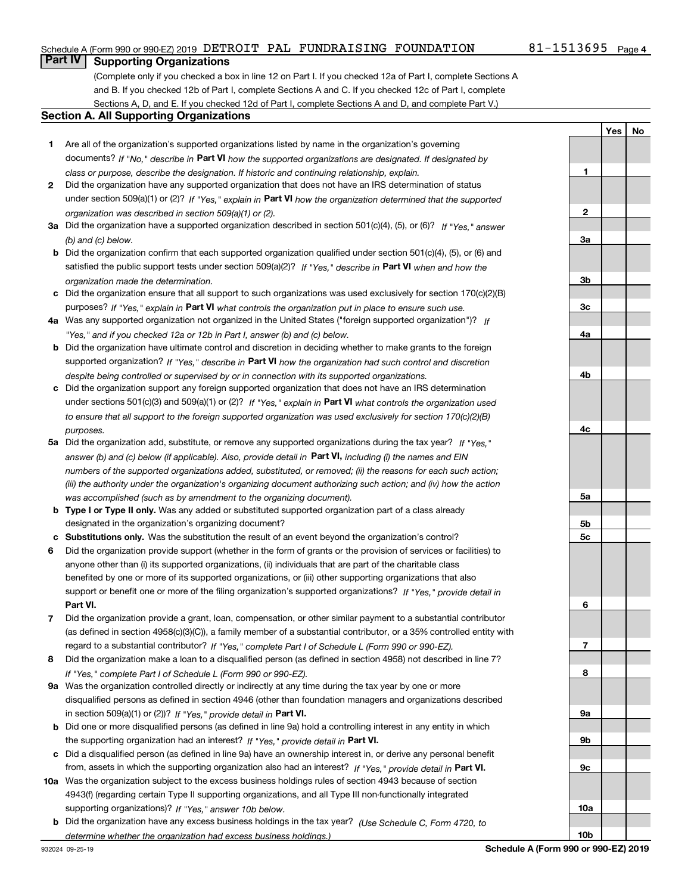### Schedule A (Form 990 or 990-EZ) 2019 <code>DETROIT PAL FUNDRAISING</code> FOUNDATION  $81\text{--}1513695$  <code>Page</code>

### 81-1513695 Page 4

**1**

**2**

**3a**

**YesNo**

# **Part IV Supporting Organizations**

(Complete only if you checked a box in line 12 on Part I. If you checked 12a of Part I, complete Sections A and B. If you checked 12b of Part I, complete Sections A and C. If you checked 12c of Part I, complete Sections A, D, and E. If you checked 12d of Part I, complete Sections A and D, and complete Part V.)

#### **Section A. All Supporting Organizations**

- **1** Are all of the organization's supported organizations listed by name in the organization's governing documents? If "No," describe in **Part VI** how the supported organizations are designated. If designated by *class or purpose, describe the designation. If historic and continuing relationship, explain.*
- **2** Did the organization have any supported organization that does not have an IRS determination of status under section 509(a)(1) or (2)? If "Yes," explain in Part VI how the organization determined that the supported *organization was described in section 509(a)(1) or (2).*
- **3a** Did the organization have a supported organization described in section 501(c)(4), (5), or (6)? If "Yes," answer *(b) and (c) below.*
- **b** Did the organization confirm that each supported organization qualified under section 501(c)(4), (5), or (6) and satisfied the public support tests under section 509(a)(2)? If "Yes," describe in **Part VI** when and how the *organization made the determination.*
- **c**Did the organization ensure that all support to such organizations was used exclusively for section 170(c)(2)(B) purposes? If "Yes," explain in **Part VI** what controls the organization put in place to ensure such use.
- **4a***If* Was any supported organization not organized in the United States ("foreign supported organization")? *"Yes," and if you checked 12a or 12b in Part I, answer (b) and (c) below.*
- **b** Did the organization have ultimate control and discretion in deciding whether to make grants to the foreign supported organization? If "Yes," describe in **Part VI** how the organization had such control and discretion *despite being controlled or supervised by or in connection with its supported organizations.*
- **c** Did the organization support any foreign supported organization that does not have an IRS determination under sections 501(c)(3) and 509(a)(1) or (2)? If "Yes," explain in **Part VI** what controls the organization used *to ensure that all support to the foreign supported organization was used exclusively for section 170(c)(2)(B) purposes.*
- **5a***If "Yes,"* Did the organization add, substitute, or remove any supported organizations during the tax year? answer (b) and (c) below (if applicable). Also, provide detail in **Part VI,** including (i) the names and EIN *numbers of the supported organizations added, substituted, or removed; (ii) the reasons for each such action; (iii) the authority under the organization's organizing document authorizing such action; and (iv) how the action was accomplished (such as by amendment to the organizing document).*
- **b** Type I or Type II only. Was any added or substituted supported organization part of a class already designated in the organization's organizing document?
- **cSubstitutions only.**  Was the substitution the result of an event beyond the organization's control?
- **6** Did the organization provide support (whether in the form of grants or the provision of services or facilities) to **Part VI.** *If "Yes," provide detail in* support or benefit one or more of the filing organization's supported organizations? anyone other than (i) its supported organizations, (ii) individuals that are part of the charitable class benefited by one or more of its supported organizations, or (iii) other supporting organizations that also
- **7**Did the organization provide a grant, loan, compensation, or other similar payment to a substantial contributor *If "Yes," complete Part I of Schedule L (Form 990 or 990-EZ).* regard to a substantial contributor? (as defined in section 4958(c)(3)(C)), a family member of a substantial contributor, or a 35% controlled entity with
- **8** Did the organization make a loan to a disqualified person (as defined in section 4958) not described in line 7? *If "Yes," complete Part I of Schedule L (Form 990 or 990-EZ).*
- **9a** Was the organization controlled directly or indirectly at any time during the tax year by one or more in section 509(a)(1) or (2))? If "Yes," *provide detail in* <code>Part VI.</code> disqualified persons as defined in section 4946 (other than foundation managers and organizations described
- **b** Did one or more disqualified persons (as defined in line 9a) hold a controlling interest in any entity in which the supporting organization had an interest? If "Yes," provide detail in P**art VI**.
- **c**Did a disqualified person (as defined in line 9a) have an ownership interest in, or derive any personal benefit from, assets in which the supporting organization also had an interest? If "Yes," provide detail in P**art VI.**
- **10a** Was the organization subject to the excess business holdings rules of section 4943 because of section supporting organizations)? If "Yes," answer 10b below. 4943(f) (regarding certain Type II supporting organizations, and all Type III non-functionally integrated
- **b** Did the organization have any excess business holdings in the tax year? (Use Schedule C, Form 4720, to *determine whether the organization had excess business holdings.)*

**10b**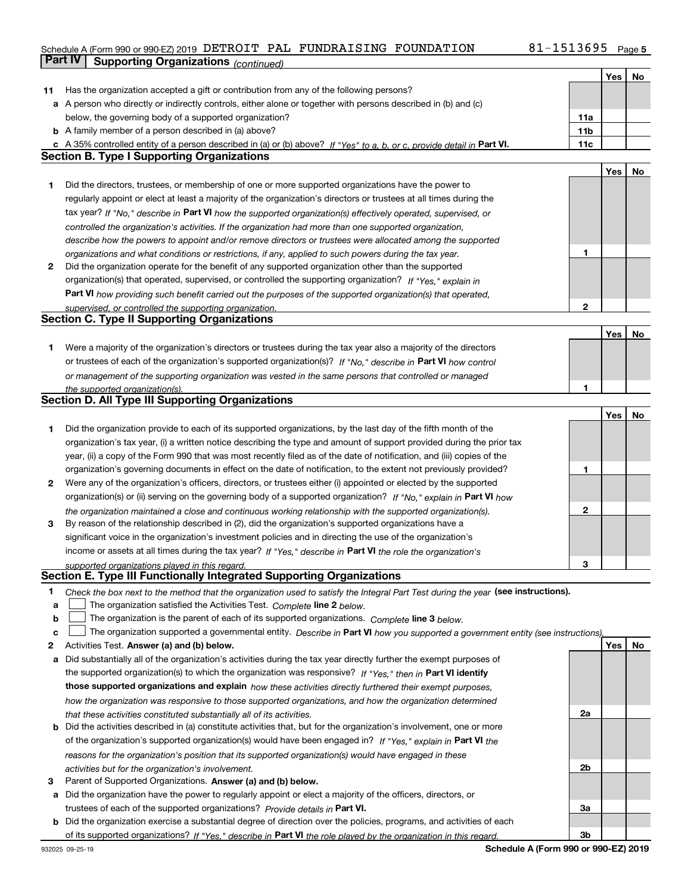# Schedule A (Form 990 or 990-EZ) 2019 <code>DETROIT PAL FUNDRAISING</code> FOUNDATION  $81\text{--}1513695$  <code>Page</code> **Part IV Supporting Organizations** *(continued)*

|              |                                                                                                                                   |                 | Yes | No |
|--------------|-----------------------------------------------------------------------------------------------------------------------------------|-----------------|-----|----|
| 11           | Has the organization accepted a gift or contribution from any of the following persons?                                           |                 |     |    |
|              | a A person who directly or indirectly controls, either alone or together with persons described in (b) and (c)                    |                 |     |    |
|              | below, the governing body of a supported organization?                                                                            | 11a             |     |    |
|              | <b>b</b> A family member of a person described in (a) above?                                                                      | 11 <sub>b</sub> |     |    |
|              | c A 35% controlled entity of a person described in (a) or (b) above? If "Yes" to a, b, or c, provide detail in Part VI.           | 11c             |     |    |
|              | <b>Section B. Type I Supporting Organizations</b>                                                                                 |                 |     |    |
|              |                                                                                                                                   |                 | Yes | No |
| 1            | Did the directors, trustees, or membership of one or more supported organizations have the power to                               |                 |     |    |
|              | regularly appoint or elect at least a majority of the organization's directors or trustees at all times during the                |                 |     |    |
|              |                                                                                                                                   |                 |     |    |
|              | tax year? If "No," describe in Part VI how the supported organization(s) effectively operated, supervised, or                     |                 |     |    |
|              | controlled the organization's activities. If the organization had more than one supported organization,                           |                 |     |    |
|              | describe how the powers to appoint and/or remove directors or trustees were allocated among the supported                         | 1               |     |    |
|              | organizations and what conditions or restrictions, if any, applied to such powers during the tax year.                            |                 |     |    |
| $\mathbf{2}$ | Did the organization operate for the benefit of any supported organization other than the supported                               |                 |     |    |
|              | organization(s) that operated, supervised, or controlled the supporting organization? If "Yes," explain in                        |                 |     |    |
|              | Part VI how providing such benefit carried out the purposes of the supported organization(s) that operated,                       |                 |     |    |
|              | supervised, or controlled the supporting organization.                                                                            | $\overline{2}$  |     |    |
|              | <b>Section C. Type II Supporting Organizations</b>                                                                                |                 |     |    |
|              |                                                                                                                                   |                 | Yes | No |
| 1.           | Were a majority of the organization's directors or trustees during the tax year also a majority of the directors                  |                 |     |    |
|              | or trustees of each of the organization's supported organization(s)? If "No," describe in Part VI how control                     |                 |     |    |
|              | or management of the supporting organization was vested in the same persons that controlled or managed                            |                 |     |    |
|              | the supported organization(s).                                                                                                    |                 |     |    |
|              | <b>Section D. All Type III Supporting Organizations</b>                                                                           |                 |     |    |
|              |                                                                                                                                   |                 | Yes | No |
| 1            | Did the organization provide to each of its supported organizations, by the last day of the fifth month of the                    |                 |     |    |
|              | organization's tax year, (i) a written notice describing the type and amount of support provided during the prior tax             |                 |     |    |
|              | year, (ii) a copy of the Form 990 that was most recently filed as of the date of notification, and (iii) copies of the            |                 |     |    |
|              | organization's governing documents in effect on the date of notification, to the extent not previously provided?                  | 1               |     |    |
| 2            | Were any of the organization's officers, directors, or trustees either (i) appointed or elected by the supported                  |                 |     |    |
|              | organization(s) or (ii) serving on the governing body of a supported organization? If "No," explain in Part VI how                |                 |     |    |
|              | the organization maintained a close and continuous working relationship with the supported organization(s).                       | 2               |     |    |
| 3            | By reason of the relationship described in (2), did the organization's supported organizations have a                             |                 |     |    |
|              | significant voice in the organization's investment policies and in directing the use of the organization's                        |                 |     |    |
|              | income or assets at all times during the tax year? If "Yes," describe in Part VI the role the organization's                      |                 |     |    |
|              |                                                                                                                                   | 3               |     |    |
|              | supported organizations played in this regard.<br>Section E. Type III Functionally Integrated Supporting Organizations            |                 |     |    |
|              |                                                                                                                                   |                 |     |    |
| 1.           | Check the box next to the method that the organization used to satisfy the Integral Part Test during the year (see instructions). |                 |     |    |
| а            | The organization satisfied the Activities Test. Complete line 2 below.                                                            |                 |     |    |
| b            | The organization is the parent of each of its supported organizations. Complete line 3 below.                                     |                 |     |    |
| c            | The organization supported a governmental entity. Describe in Part VI how you supported a government entity (see instructions).   |                 |     |    |
| 2            | Activities Test. Answer (a) and (b) below.                                                                                        |                 | Yes | No |
| a            | Did substantially all of the organization's activities during the tax year directly further the exempt purposes of                |                 |     |    |
|              | the supported organization(s) to which the organization was responsive? If "Yes," then in Part VI identify                        |                 |     |    |
|              | those supported organizations and explain how these activities directly furthered their exempt purposes,                          |                 |     |    |
|              | how the organization was responsive to those supported organizations, and how the organization determined                         |                 |     |    |
|              | that these activities constituted substantially all of its activities.                                                            | 2a              |     |    |
| b            | Did the activities described in (a) constitute activities that, but for the organization's involvement, one or more               |                 |     |    |
|              | of the organization's supported organization(s) would have been engaged in? If "Yes," explain in Part VI the                      |                 |     |    |
|              | reasons for the organization's position that its supported organization(s) would have engaged in these                            |                 |     |    |
|              | activities but for the organization's involvement.                                                                                | 2b              |     |    |
| 3            | Parent of Supported Organizations. Answer (a) and (b) below.                                                                      |                 |     |    |
| а            | Did the organization have the power to regularly appoint or elect a majority of the officers, directors, or                       |                 |     |    |
|              | trustees of each of the supported organizations? Provide details in Part VI.                                                      | За              |     |    |
| b            | Did the organization exercise a substantial degree of direction over the policies, programs, and activities of each               |                 |     |    |
|              | of its supported organizations? If "Yes." describe in Part VI the role played by the organization in this regard.                 | 3b              |     |    |
|              |                                                                                                                                   |                 |     |    |

**Schedule A (Form 990 or 990-EZ) 2019**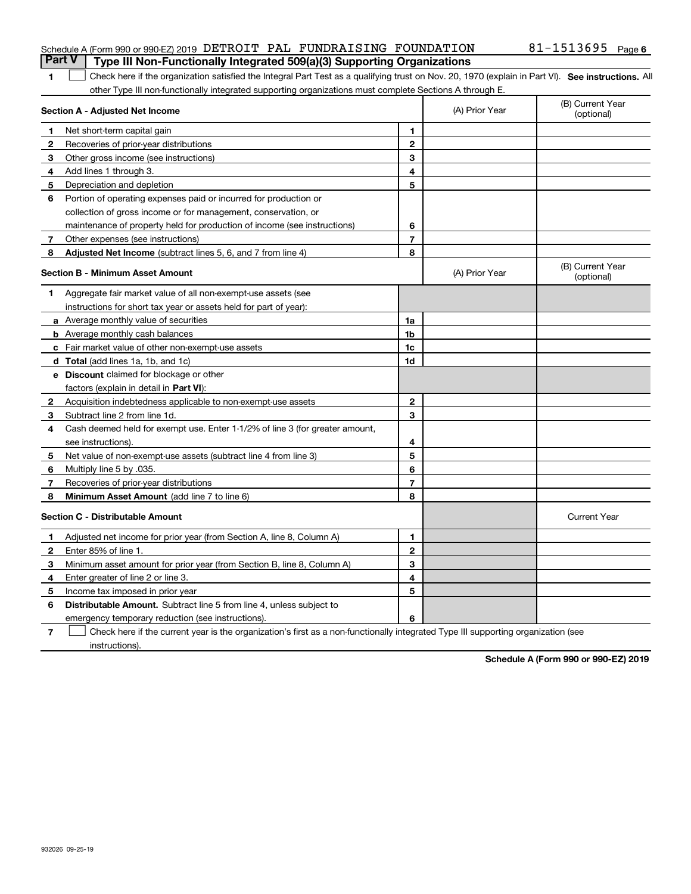### Schedule A (Form 990 or 990-EZ) 2019 <code>DETROIT PAL FUNDRAISING</code> FOUNDATION  $81\text{--}1513695$  <code>Page</code> **Part V** Type III Non-Functionally Integrated 509(a)(3) Supporting Organizations

| 1 Check here if the organization satisfied the Integral Part Test as a qualifying trust on Nov. 20, 1970 (explain in Part VI). See instructions. All |  |
|------------------------------------------------------------------------------------------------------------------------------------------------------|--|
| other Type III non-functionally integrated supporting organizations must complete Sections A through E.                                              |  |

|              | Section A - Adjusted Net Income                                              |                | (A) Prior Year | (B) Current Year<br>(optional) |
|--------------|------------------------------------------------------------------------------|----------------|----------------|--------------------------------|
| 1            | Net short-term capital gain                                                  | 1.             |                |                                |
| 2            | Recoveries of prior-year distributions                                       | $\mathbf{2}$   |                |                                |
| 3            | Other gross income (see instructions)                                        | 3              |                |                                |
| 4            | Add lines 1 through 3.                                                       | 4              |                |                                |
| 5            | Depreciation and depletion                                                   | 5              |                |                                |
| 6            | Portion of operating expenses paid or incurred for production or             |                |                |                                |
|              | collection of gross income or for management, conservation, or               |                |                |                                |
|              | maintenance of property held for production of income (see instructions)     | 6              |                |                                |
| 7            | Other expenses (see instructions)                                            | $\overline{7}$ |                |                                |
| 8            | <b>Adjusted Net Income</b> (subtract lines 5, 6, and 7 from line 4)          | 8              |                |                                |
|              | <b>Section B - Minimum Asset Amount</b>                                      |                | (A) Prior Year | (B) Current Year<br>(optional) |
| 1            | Aggregate fair market value of all non-exempt-use assets (see                |                |                |                                |
|              | instructions for short tax year or assets held for part of year):            |                |                |                                |
|              | a Average monthly value of securities                                        | 1a             |                |                                |
|              | <b>b</b> Average monthly cash balances                                       | 1b             |                |                                |
|              | c Fair market value of other non-exempt-use assets                           | 1c             |                |                                |
|              | <b>d</b> Total (add lines 1a, 1b, and 1c)                                    | 1d             |                |                                |
|              | <b>e</b> Discount claimed for blockage or other                              |                |                |                                |
|              | factors (explain in detail in Part VI):                                      |                |                |                                |
| $\mathbf{2}$ | Acquisition indebtedness applicable to non-exempt-use assets                 | $\mathbf{2}$   |                |                                |
| з            | Subtract line 2 from line 1d.                                                | 3              |                |                                |
| 4            | Cash deemed held for exempt use. Enter 1-1/2% of line 3 (for greater amount, |                |                |                                |
|              | see instructions).                                                           | 4              |                |                                |
| 5            | Net value of non-exempt-use assets (subtract line 4 from line 3)             | 5              |                |                                |
| 6            | Multiply line 5 by .035.                                                     | 6              |                |                                |
| 7            | Recoveries of prior-year distributions                                       | $\overline{7}$ |                |                                |
| 8            | Minimum Asset Amount (add line 7 to line 6)                                  | 8              |                |                                |
|              | <b>Section C - Distributable Amount</b>                                      |                |                | <b>Current Year</b>            |
| 1            | Adjusted net income for prior year (from Section A, line 8, Column A)        | 1              |                |                                |
| $\mathbf{2}$ | Enter 85% of line 1.                                                         | $\mathbf{2}$   |                |                                |
| 3            | Minimum asset amount for prior year (from Section B, line 8, Column A)       | 3              |                |                                |
| 4            | Enter greater of line 2 or line 3.                                           | 4              |                |                                |
| 5            | Income tax imposed in prior year                                             | 5              |                |                                |
| 6            | <b>Distributable Amount.</b> Subtract line 5 from line 4, unless subject to  |                |                |                                |
|              | emergency temporary reduction (see instructions).                            | 6              |                |                                |

**7**Check here if the current year is the organization's first as a non-functionally integrated Type III supporting organization (see instructions).

**Schedule A (Form 990 or 990-EZ) 2019**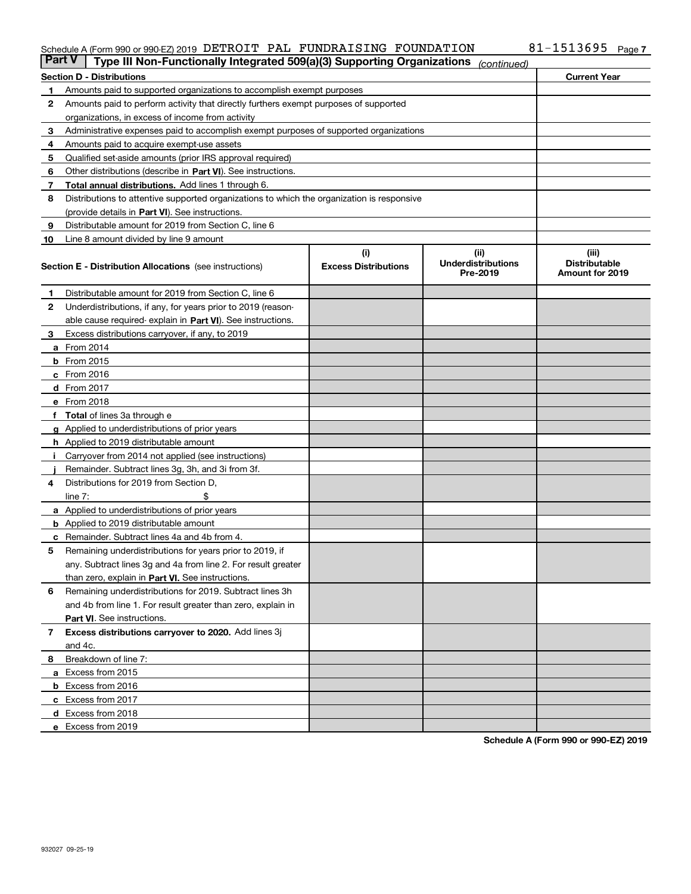#### Schedule A (Form 990 or 990-EZ) 2019 DETROIT PAL FUNDRAISING FOUNDATION 8<code>1-1513695</code> Page DETROIT PAL FUNDRAISING FOUNDATION 81-1513695

| <b>Part V</b> | Type III Non-Functionally Integrated 509(a)(3) Supporting Organizations                    |                             | (continued)                           |                                         |
|---------------|--------------------------------------------------------------------------------------------|-----------------------------|---------------------------------------|-----------------------------------------|
|               | <b>Section D - Distributions</b>                                                           |                             |                                       | <b>Current Year</b>                     |
| 1             | Amounts paid to supported organizations to accomplish exempt purposes                      |                             |                                       |                                         |
| 2             | Amounts paid to perform activity that directly furthers exempt purposes of supported       |                             |                                       |                                         |
|               | organizations, in excess of income from activity                                           |                             |                                       |                                         |
| 3             | Administrative expenses paid to accomplish exempt purposes of supported organizations      |                             |                                       |                                         |
| 4             | Amounts paid to acquire exempt-use assets                                                  |                             |                                       |                                         |
| 5             | Qualified set-aside amounts (prior IRS approval required)                                  |                             |                                       |                                         |
| 6             | Other distributions (describe in Part VI). See instructions.                               |                             |                                       |                                         |
| 7             | <b>Total annual distributions.</b> Add lines 1 through 6.                                  |                             |                                       |                                         |
| 8             | Distributions to attentive supported organizations to which the organization is responsive |                             |                                       |                                         |
|               | (provide details in Part VI). See instructions.                                            |                             |                                       |                                         |
| 9             | Distributable amount for 2019 from Section C, line 6                                       |                             |                                       |                                         |
| 10            | Line 8 amount divided by line 9 amount                                                     |                             |                                       |                                         |
|               |                                                                                            | (i)                         | (iii)                                 | (iii)                                   |
|               | <b>Section E - Distribution Allocations</b> (see instructions)                             | <b>Excess Distributions</b> | <b>Underdistributions</b><br>Pre-2019 | <b>Distributable</b><br>Amount for 2019 |
| 1             | Distributable amount for 2019 from Section C, line 6                                       |                             |                                       |                                         |
| 2             | Underdistributions, if any, for years prior to 2019 (reason-                               |                             |                                       |                                         |
|               | able cause required- explain in Part VI). See instructions.                                |                             |                                       |                                         |
| З             | Excess distributions carryover, if any, to 2019                                            |                             |                                       |                                         |
|               | <b>a</b> From 2014                                                                         |                             |                                       |                                         |
|               | <b>b</b> From 2015                                                                         |                             |                                       |                                         |
|               | $c$ From 2016                                                                              |                             |                                       |                                         |
|               | d From 2017                                                                                |                             |                                       |                                         |
|               | e From 2018                                                                                |                             |                                       |                                         |
|               | Total of lines 3a through e                                                                |                             |                                       |                                         |
| g             | Applied to underdistributions of prior years                                               |                             |                                       |                                         |
|               | <b>h</b> Applied to 2019 distributable amount                                              |                             |                                       |                                         |
|               | Carryover from 2014 not applied (see instructions)                                         |                             |                                       |                                         |
|               | Remainder. Subtract lines 3g, 3h, and 3i from 3f.                                          |                             |                                       |                                         |
| 4             | Distributions for 2019 from Section D,                                                     |                             |                                       |                                         |
|               | line $7:$                                                                                  |                             |                                       |                                         |
|               | <b>a</b> Applied to underdistributions of prior years                                      |                             |                                       |                                         |
|               | <b>b</b> Applied to 2019 distributable amount                                              |                             |                                       |                                         |
|               | c Remainder. Subtract lines 4a and 4b from 4.                                              |                             |                                       |                                         |
| 5             | Remaining underdistributions for years prior to 2019, if                                   |                             |                                       |                                         |
|               | any. Subtract lines 3g and 4a from line 2. For result greater                              |                             |                                       |                                         |
|               | than zero, explain in Part VI. See instructions.                                           |                             |                                       |                                         |
| 6             | Remaining underdistributions for 2019. Subtract lines 3h                                   |                             |                                       |                                         |
|               | and 4b from line 1. For result greater than zero, explain in                               |                             |                                       |                                         |
|               | Part VI. See instructions.                                                                 |                             |                                       |                                         |
|               | Excess distributions carryover to 2020. Add lines 3j                                       |                             |                                       |                                         |
| 7             | and 4c.                                                                                    |                             |                                       |                                         |
| 8             | Breakdown of line 7:                                                                       |                             |                                       |                                         |
|               | a Excess from 2015                                                                         |                             |                                       |                                         |
|               |                                                                                            |                             |                                       |                                         |
|               | <b>b</b> Excess from 2016                                                                  |                             |                                       |                                         |
|               | c Excess from 2017                                                                         |                             |                                       |                                         |
|               | d Excess from 2018                                                                         |                             |                                       |                                         |
|               | e Excess from 2019                                                                         |                             |                                       |                                         |

**Schedule A (Form 990 or 990-EZ) 2019**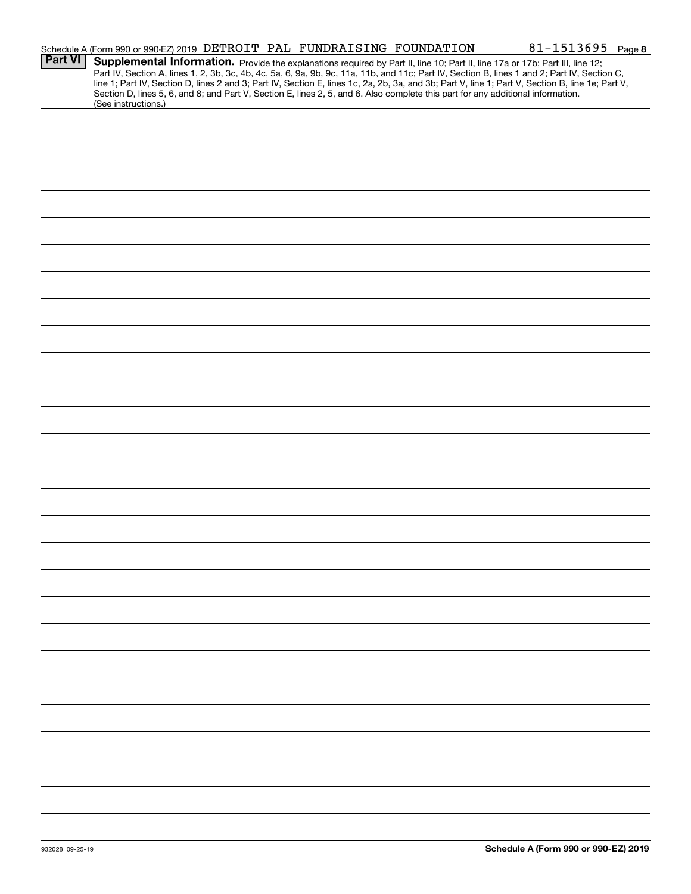|                | Schedule A (Form 990 or 990-EZ) 2019 DETROIT PAL FUNDRAISING FOUNDATION                                                                                                                                                                                                                                                                                                                                                                                                                                                                                                                     |  | 81-1513695 Page 8 |
|----------------|---------------------------------------------------------------------------------------------------------------------------------------------------------------------------------------------------------------------------------------------------------------------------------------------------------------------------------------------------------------------------------------------------------------------------------------------------------------------------------------------------------------------------------------------------------------------------------------------|--|-------------------|
| <b>Part VI</b> | Supplemental Information. Provide the explanations required by Part II, line 10; Part II, line 17a or 17b; Part III, line 12;<br>Part IV, Section A, lines 1, 2, 3b, 3c, 4b, 4c, 5a, 6, 9a, 9b, 9c, 11a, 11b, and 11c; Part IV, Section B, lines 1 and 2; Part IV, Section C,<br>line 1; Part IV, Section D, lines 2 and 3; Part IV, Section E, lines 1c, 2a, 2b, 3a, and 3b; Part V, line 1; Part V, Section B, line 1e; Part V,<br>Section D, lines 5, 6, and 8; and Part V, Section E, lines 2, 5, and 6. Also complete this part for any additional information.<br>(See instructions.) |  |                   |
|                |                                                                                                                                                                                                                                                                                                                                                                                                                                                                                                                                                                                             |  |                   |
|                |                                                                                                                                                                                                                                                                                                                                                                                                                                                                                                                                                                                             |  |                   |
|                |                                                                                                                                                                                                                                                                                                                                                                                                                                                                                                                                                                                             |  |                   |
|                |                                                                                                                                                                                                                                                                                                                                                                                                                                                                                                                                                                                             |  |                   |
|                |                                                                                                                                                                                                                                                                                                                                                                                                                                                                                                                                                                                             |  |                   |
|                |                                                                                                                                                                                                                                                                                                                                                                                                                                                                                                                                                                                             |  |                   |
|                |                                                                                                                                                                                                                                                                                                                                                                                                                                                                                                                                                                                             |  |                   |
|                |                                                                                                                                                                                                                                                                                                                                                                                                                                                                                                                                                                                             |  |                   |
|                |                                                                                                                                                                                                                                                                                                                                                                                                                                                                                                                                                                                             |  |                   |
|                |                                                                                                                                                                                                                                                                                                                                                                                                                                                                                                                                                                                             |  |                   |
|                |                                                                                                                                                                                                                                                                                                                                                                                                                                                                                                                                                                                             |  |                   |
|                |                                                                                                                                                                                                                                                                                                                                                                                                                                                                                                                                                                                             |  |                   |
|                |                                                                                                                                                                                                                                                                                                                                                                                                                                                                                                                                                                                             |  |                   |
|                |                                                                                                                                                                                                                                                                                                                                                                                                                                                                                                                                                                                             |  |                   |
|                |                                                                                                                                                                                                                                                                                                                                                                                                                                                                                                                                                                                             |  |                   |
|                |                                                                                                                                                                                                                                                                                                                                                                                                                                                                                                                                                                                             |  |                   |
|                |                                                                                                                                                                                                                                                                                                                                                                                                                                                                                                                                                                                             |  |                   |
|                |                                                                                                                                                                                                                                                                                                                                                                                                                                                                                                                                                                                             |  |                   |
|                |                                                                                                                                                                                                                                                                                                                                                                                                                                                                                                                                                                                             |  |                   |
|                |                                                                                                                                                                                                                                                                                                                                                                                                                                                                                                                                                                                             |  |                   |
|                |                                                                                                                                                                                                                                                                                                                                                                                                                                                                                                                                                                                             |  |                   |
|                |                                                                                                                                                                                                                                                                                                                                                                                                                                                                                                                                                                                             |  |                   |
|                |                                                                                                                                                                                                                                                                                                                                                                                                                                                                                                                                                                                             |  |                   |
|                |                                                                                                                                                                                                                                                                                                                                                                                                                                                                                                                                                                                             |  |                   |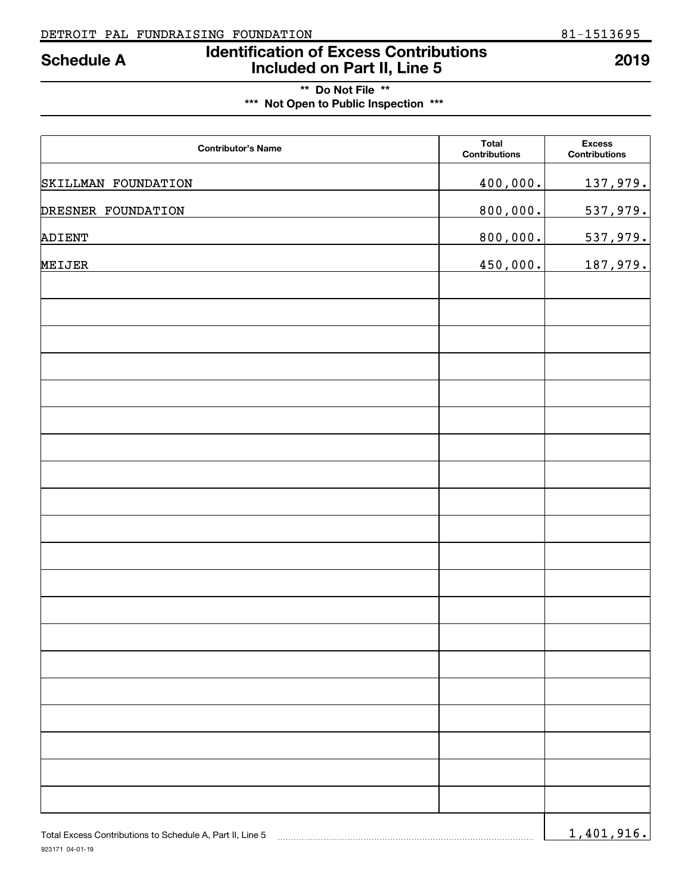# **Identification of Excess Contributions Included on Part II, Line 5 Schedule A 2019**

# **\*\* Do Not File \*\* \*\*\* Not Open to Public Inspection \*\*\***

| <b>Contributor's Name</b> | <b>Total</b><br><b>Contributions</b> | <b>Excess</b><br><b>Contributions</b> |
|---------------------------|--------------------------------------|---------------------------------------|
| SKILLMAN FOUNDATION       | 400,000.                             | 137,979.                              |
| DRESNER FOUNDATION        | 800,000.                             | 537,979.                              |
| ADIENT                    | 800,000.                             | 537,979.                              |
| MEIJER                    | 450,000.                             | 187,979.                              |
|                           |                                      |                                       |
|                           |                                      |                                       |
|                           |                                      |                                       |
|                           |                                      |                                       |
|                           |                                      |                                       |
|                           |                                      |                                       |
|                           |                                      |                                       |
|                           |                                      |                                       |
|                           |                                      |                                       |
|                           |                                      |                                       |
|                           |                                      |                                       |
|                           |                                      |                                       |
|                           |                                      |                                       |
|                           |                                      |                                       |
|                           |                                      |                                       |
|                           |                                      |                                       |
|                           |                                      |                                       |
|                           |                                      |                                       |
|                           |                                      |                                       |
|                           |                                      |                                       |
|                           |                                      |                                       |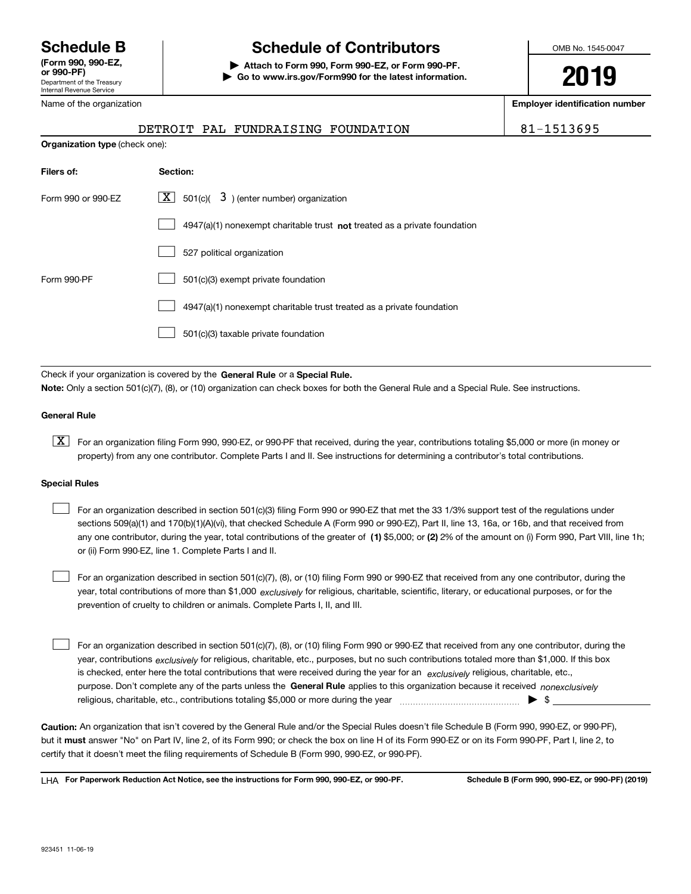Department of the Treasury Internal Revenue Service **(Form 990, 990-EZ, or 990-PF)** Name of the organization

**Organization type** (check one):

# **Schedule B Schedule of Contributors**

**| Attach to Form 990, Form 990-EZ, or Form 990-PF. | Go to www.irs.gov/Form990 for the latest information.** OMB No. 1545-0047

**2019**

**Employer identification number**

|  | DETROIT PAL FUNDRAISING FOUNDATION | 81-1513695 |
|--|------------------------------------|------------|
|  |                                    |            |

| $501(c)$ $3$ ) (enter number) organization                                  |
|-----------------------------------------------------------------------------|
| $4947(a)(1)$ nonexempt charitable trust not treated as a private foundation |
| 527 political organization                                                  |
| 501(c)(3) exempt private foundation                                         |
| 4947(a)(1) nonexempt charitable trust treated as a private foundation       |
| 501(c)(3) taxable private foundation                                        |
|                                                                             |

Check if your organization is covered by the **General Rule** or a **Special Rule. Note:**  Only a section 501(c)(7), (8), or (10) organization can check boxes for both the General Rule and a Special Rule. See instructions.

#### **General Rule**

 $\boxed{\textbf{X}}$  For an organization filing Form 990, 990-EZ, or 990-PF that received, during the year, contributions totaling \$5,000 or more (in money or property) from any one contributor. Complete Parts I and II. See instructions for determining a contributor's total contributions.

#### **Special Rules**

any one contributor, during the year, total contributions of the greater of  $\,$  (1) \$5,000; or **(2)** 2% of the amount on (i) Form 990, Part VIII, line 1h; For an organization described in section 501(c)(3) filing Form 990 or 990-EZ that met the 33 1/3% support test of the regulations under sections 509(a)(1) and 170(b)(1)(A)(vi), that checked Schedule A (Form 990 or 990-EZ), Part II, line 13, 16a, or 16b, and that received from or (ii) Form 990-EZ, line 1. Complete Parts I and II.  $\mathcal{L}^{\text{max}}$ 

year, total contributions of more than \$1,000 *exclusively* for religious, charitable, scientific, literary, or educational purposes, or for the For an organization described in section 501(c)(7), (8), or (10) filing Form 990 or 990-EZ that received from any one contributor, during the prevention of cruelty to children or animals. Complete Parts I, II, and III.  $\mathcal{L}^{\text{max}}$ 

purpose. Don't complete any of the parts unless the **General Rule** applies to this organization because it received *nonexclusively* year, contributions <sub>exclusively</sub> for religious, charitable, etc., purposes, but no such contributions totaled more than \$1,000. If this box is checked, enter here the total contributions that were received during the year for an  $\;$ exclusively religious, charitable, etc., For an organization described in section 501(c)(7), (8), or (10) filing Form 990 or 990-EZ that received from any one contributor, during the religious, charitable, etc., contributions totaling \$5,000 or more during the year  $\Box$ — $\Box$   $\Box$  $\mathcal{L}^{\text{max}}$ 

**Caution:**  An organization that isn't covered by the General Rule and/or the Special Rules doesn't file Schedule B (Form 990, 990-EZ, or 990-PF),  **must** but it answer "No" on Part IV, line 2, of its Form 990; or check the box on line H of its Form 990-EZ or on its Form 990-PF, Part I, line 2, to certify that it doesn't meet the filing requirements of Schedule B (Form 990, 990-EZ, or 990-PF).

**For Paperwork Reduction Act Notice, see the instructions for Form 990, 990-EZ, or 990-PF. Schedule B (Form 990, 990-EZ, or 990-PF) (2019)** LHA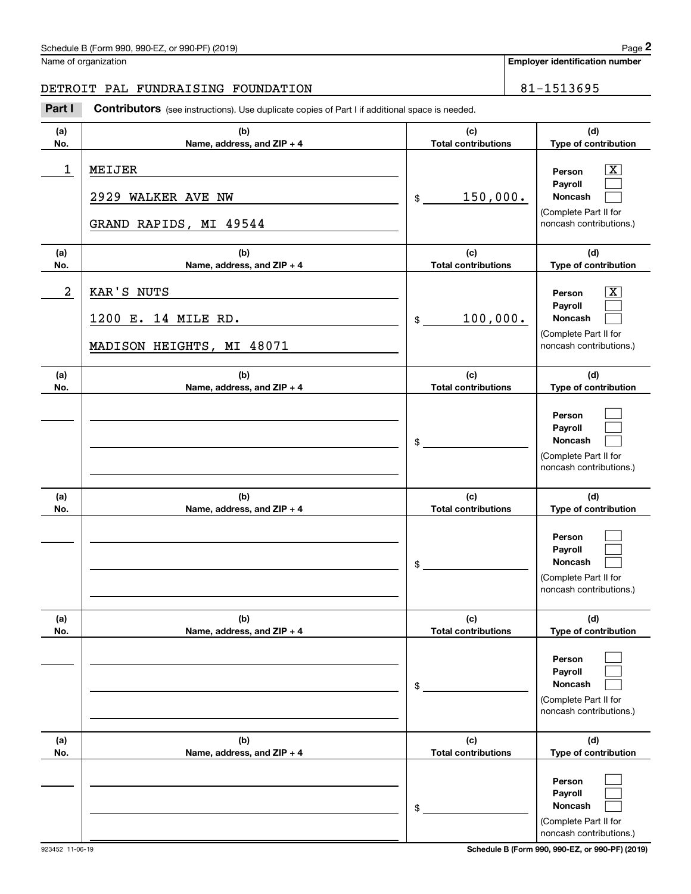**Employer identification number**

# DETROIT PAL FUNDRAISING FOUNDATION | 81-1513695

Chedule B (Form 990, 990-EZ, or 990-PF) (2019)<br> **2019 Iame of organization**<br> **2019 IETROIT PAL FUNDRAISING FOUNDATION**<br> **21-1513695**<br> **21-1513695**<br> **21-1513695** 

| (a)<br>No. | (b)<br>Name, address, and ZIP + 4                              | (c)<br><b>Total contributions</b> | (d)<br>Type of contribution                                                                                 |
|------------|----------------------------------------------------------------|-----------------------------------|-------------------------------------------------------------------------------------------------------------|
| 1          | MEIJER<br>2929<br>WALKER AVE NW<br>GRAND RAPIDS, MI 49544      | 150,000.<br>\$                    | $\overline{\texttt{X}}$<br>Person<br>Payroll<br>Noncash<br>(Complete Part II for<br>noncash contributions.) |
| (a)<br>No. | (b)<br>Name, address, and ZIP + 4                              | (c)<br><b>Total contributions</b> | (d)<br>Type of contribution                                                                                 |
| 2          | KAR'S NUTS<br>1200 E. 14 MILE RD.<br>MADISON HEIGHTS, MI 48071 | 100,000.<br>\$                    | $\overline{\texttt{x}}$<br>Person<br>Payroll<br>Noncash<br>(Complete Part II for<br>noncash contributions.) |
| (a)<br>No. | (b)<br>Name, address, and ZIP + 4                              | (c)<br><b>Total contributions</b> | (d)<br>Type of contribution                                                                                 |
|            |                                                                | $\frac{1}{2}$                     | Person<br>Payroll<br><b>Noncash</b><br>(Complete Part II for<br>noncash contributions.)                     |
| (a)<br>No. | (b)<br>Name, address, and ZIP + 4                              | (c)<br><b>Total contributions</b> | (d)<br>Type of contribution                                                                                 |
|            |                                                                | $$\tilde{\phantom{a}}$$           | Person<br>Payroll<br>Noncash<br>(Complete Part II for<br>noncash contributions.)                            |
| (a)<br>No. | (b)<br>Name, address, and ZIP + 4                              | (c)<br><b>Total contributions</b> | (d)<br>Type of contribution                                                                                 |
|            |                                                                | \$                                | Person<br>Payroll<br><b>Noncash</b><br>(Complete Part II for<br>noncash contributions.)                     |
| (a)<br>No. | (b)<br>Name, address, and ZIP + 4                              | (c)<br><b>Total contributions</b> | (d)<br>Type of contribution                                                                                 |
|            |                                                                | \$                                | Person<br>Payroll<br>Noncash<br>(Complete Part II for<br>noncash contributions.)                            |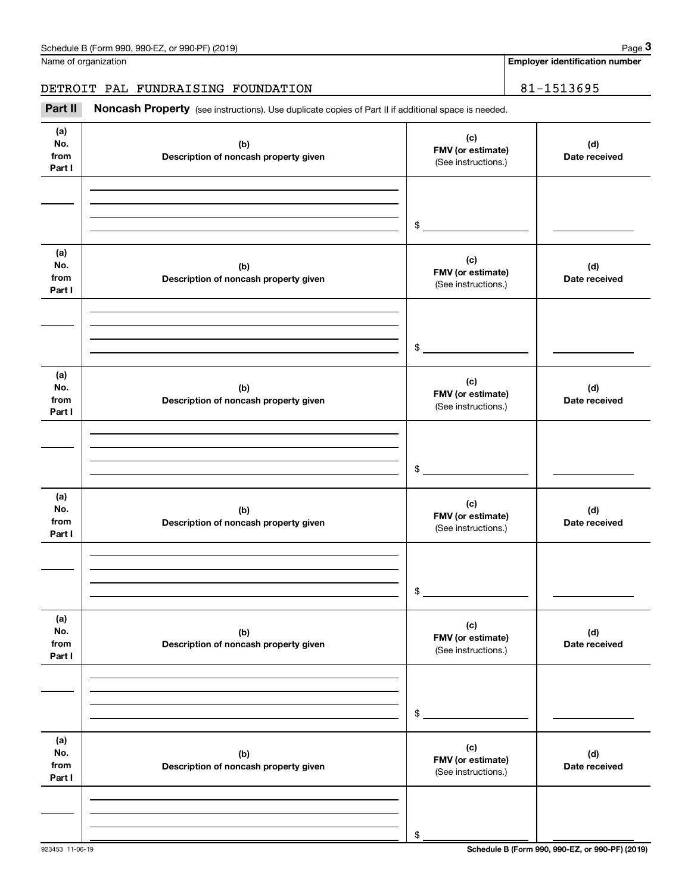Name of organization

**Employer identification number**

DETROIT PAL FUNDRAISING FOUNDATION | 81-1513695

Chedule B (Form 990, 990-EZ, or 990-PF) (2019)<br> **2019 Iame of organization**<br> **31-1513695 BETROIT PAL FUNDRAISING FOUNDATION**<br> **13.1959 BeTROIT PAL FUNDRAISING FOUNDATION** 

| (a)<br>No.<br>from<br>Part I | (b)<br>Description of noncash property given | (c)<br>FMV (or estimate)<br>(See instructions.) | (d)<br>Date received |
|------------------------------|----------------------------------------------|-------------------------------------------------|----------------------|
|                              |                                              |                                                 |                      |
|                              |                                              | \$                                              |                      |
| (a)<br>No.<br>from<br>Part I | (b)<br>Description of noncash property given | (c)<br>FMV (or estimate)<br>(See instructions.) | (d)<br>Date received |
|                              |                                              |                                                 |                      |
|                              |                                              | \$                                              |                      |
| (a)<br>No.<br>from<br>Part I | (b)<br>Description of noncash property given | (c)<br>FMV (or estimate)<br>(See instructions.) | (d)<br>Date received |
|                              |                                              |                                                 |                      |
|                              |                                              | $$\mathbb{S}$$                                  |                      |
| (a)<br>No.<br>from<br>Part I | (b)<br>Description of noncash property given | (c)<br>FMV (or estimate)<br>(See instructions.) | (d)<br>Date received |
|                              |                                              |                                                 |                      |
|                              |                                              | $\,$                                            |                      |
| (a)<br>No.<br>from<br>Part I | (b)<br>Description of noncash property given | (c)<br>FMV (or estimate)<br>(See instructions.) | (d)<br>Date received |
|                              |                                              |                                                 |                      |
|                              |                                              | $\$$                                            |                      |
| (a)<br>No.<br>from<br>Part I | (b)<br>Description of noncash property given | (c)<br>FMV (or estimate)<br>(See instructions.) | (d)<br>Date received |
|                              |                                              |                                                 |                      |
|                              |                                              | \$                                              |                      |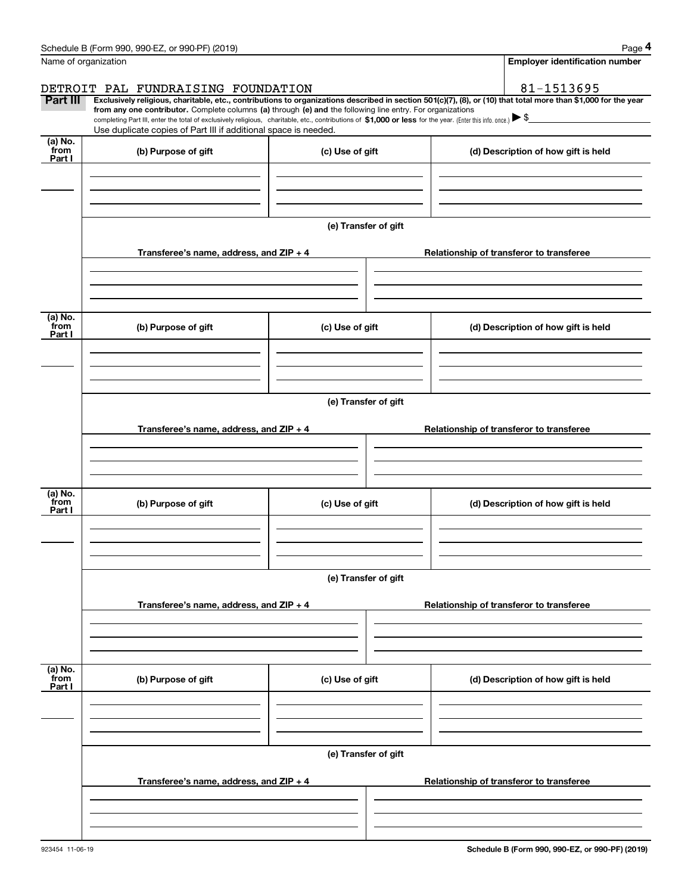|                           | Schedule B (Form 990, 990-EZ, or 990-PF) (2019)                                                                                                                                                                                 |                                       | Page 4                                                                                                                                                         |  |  |  |  |
|---------------------------|---------------------------------------------------------------------------------------------------------------------------------------------------------------------------------------------------------------------------------|---------------------------------------|----------------------------------------------------------------------------------------------------------------------------------------------------------------|--|--|--|--|
|                           | Name of organization                                                                                                                                                                                                            | <b>Employer identification number</b> |                                                                                                                                                                |  |  |  |  |
|                           | DETROIT PAL FUNDRAISING FOUNDATION                                                                                                                                                                                              |                                       | 81-1513695                                                                                                                                                     |  |  |  |  |
| <b>Part III</b>           | from any one contributor. Complete columns (a) through (e) and the following line entry. For organizations                                                                                                                      |                                       | Exclusively religious, charitable, etc., contributions to organizations described in section 501(c)(7), (8), or (10) that total more than \$1,000 for the year |  |  |  |  |
|                           | completing Part III, enter the total of exclusively religious, charitable, etc., contributions of \$1,000 or less for the year. (Enter this info. once.) \\$<br>Use duplicate copies of Part III if additional space is needed. |                                       |                                                                                                                                                                |  |  |  |  |
| (a) No.                   |                                                                                                                                                                                                                                 |                                       |                                                                                                                                                                |  |  |  |  |
| from<br>Part I            | (b) Purpose of gift                                                                                                                                                                                                             | (c) Use of gift                       | (d) Description of how gift is held                                                                                                                            |  |  |  |  |
|                           |                                                                                                                                                                                                                                 |                                       |                                                                                                                                                                |  |  |  |  |
|                           |                                                                                                                                                                                                                                 |                                       |                                                                                                                                                                |  |  |  |  |
|                           |                                                                                                                                                                                                                                 |                                       |                                                                                                                                                                |  |  |  |  |
|                           |                                                                                                                                                                                                                                 | (e) Transfer of gift                  |                                                                                                                                                                |  |  |  |  |
|                           | Transferee's name, address, and $ZIP + 4$                                                                                                                                                                                       |                                       | Relationship of transferor to transferee                                                                                                                       |  |  |  |  |
|                           |                                                                                                                                                                                                                                 |                                       |                                                                                                                                                                |  |  |  |  |
|                           |                                                                                                                                                                                                                                 |                                       |                                                                                                                                                                |  |  |  |  |
|                           |                                                                                                                                                                                                                                 |                                       |                                                                                                                                                                |  |  |  |  |
| (a) No.<br>from<br>Part I | (b) Purpose of gift                                                                                                                                                                                                             | (c) Use of gift                       | (d) Description of how gift is held                                                                                                                            |  |  |  |  |
|                           |                                                                                                                                                                                                                                 |                                       |                                                                                                                                                                |  |  |  |  |
|                           |                                                                                                                                                                                                                                 |                                       |                                                                                                                                                                |  |  |  |  |
|                           |                                                                                                                                                                                                                                 |                                       |                                                                                                                                                                |  |  |  |  |
|                           | (e) Transfer of gift                                                                                                                                                                                                            |                                       |                                                                                                                                                                |  |  |  |  |
|                           | Transferee's name, address, and $ZIP + 4$                                                                                                                                                                                       |                                       | Relationship of transferor to transferee                                                                                                                       |  |  |  |  |
|                           |                                                                                                                                                                                                                                 |                                       |                                                                                                                                                                |  |  |  |  |
|                           |                                                                                                                                                                                                                                 |                                       |                                                                                                                                                                |  |  |  |  |
|                           |                                                                                                                                                                                                                                 |                                       |                                                                                                                                                                |  |  |  |  |
| (a) No.<br>from<br>Part I | (b) Purpose of gift                                                                                                                                                                                                             | (c) Use of gift                       | (d) Description of how gift is held                                                                                                                            |  |  |  |  |
|                           |                                                                                                                                                                                                                                 |                                       |                                                                                                                                                                |  |  |  |  |
|                           |                                                                                                                                                                                                                                 |                                       |                                                                                                                                                                |  |  |  |  |
|                           |                                                                                                                                                                                                                                 |                                       |                                                                                                                                                                |  |  |  |  |
|                           |                                                                                                                                                                                                                                 | (e) Transfer of gift                  |                                                                                                                                                                |  |  |  |  |
|                           | Transferee's name, address, and ZIP + 4                                                                                                                                                                                         |                                       | Relationship of transferor to transferee                                                                                                                       |  |  |  |  |
|                           |                                                                                                                                                                                                                                 |                                       |                                                                                                                                                                |  |  |  |  |
|                           |                                                                                                                                                                                                                                 |                                       |                                                                                                                                                                |  |  |  |  |
|                           |                                                                                                                                                                                                                                 |                                       |                                                                                                                                                                |  |  |  |  |
| (a) No.<br>from           | (b) Purpose of gift                                                                                                                                                                                                             | (c) Use of gift                       | (d) Description of how gift is held                                                                                                                            |  |  |  |  |
| Part I                    |                                                                                                                                                                                                                                 |                                       |                                                                                                                                                                |  |  |  |  |
|                           |                                                                                                                                                                                                                                 |                                       |                                                                                                                                                                |  |  |  |  |
|                           |                                                                                                                                                                                                                                 |                                       |                                                                                                                                                                |  |  |  |  |
|                           |                                                                                                                                                                                                                                 | (e) Transfer of gift                  |                                                                                                                                                                |  |  |  |  |
|                           |                                                                                                                                                                                                                                 |                                       |                                                                                                                                                                |  |  |  |  |
|                           | Transferee's name, address, and $ZIP + 4$                                                                                                                                                                                       |                                       | Relationship of transferor to transferee                                                                                                                       |  |  |  |  |
|                           |                                                                                                                                                                                                                                 |                                       |                                                                                                                                                                |  |  |  |  |
|                           |                                                                                                                                                                                                                                 |                                       |                                                                                                                                                                |  |  |  |  |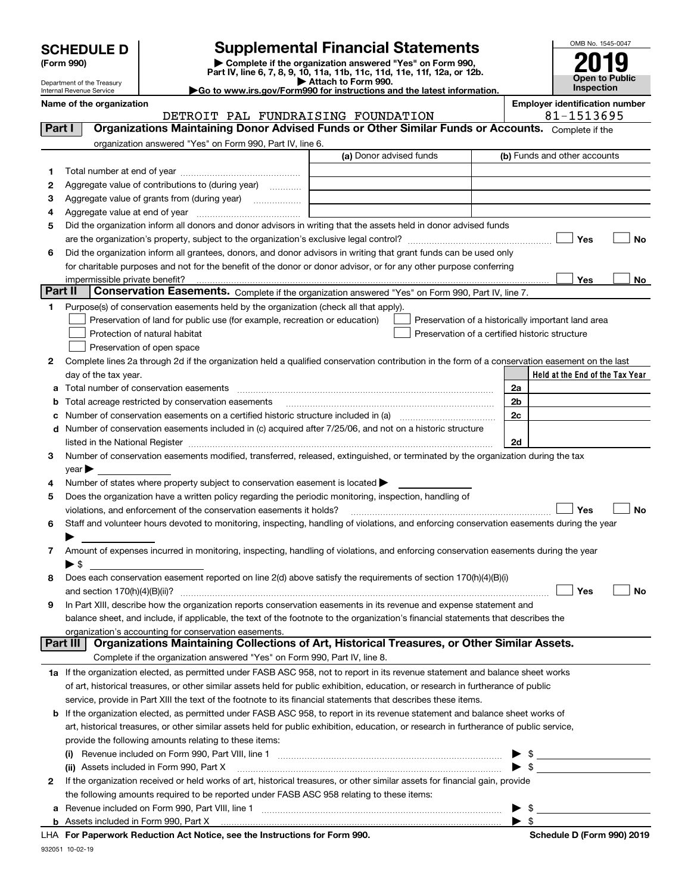| <b>SCHEDULE D</b> |
|-------------------|
|-------------------|

| (Form 990) |  |
|------------|--|
|------------|--|

# **SCHEDULE D Supplemental Financial Statements**

(Form 990)<br>
Pepartment of the Treasury<br>
Department of the Treasury<br>
Department of the Treasury<br>
Department of the Treasury<br> **Co to www.irs.gov/Form990 for instructions and the latest information.**<br> **Co to www.irs.gov/Form9** 



Department of the Treasury Internal Revenue Service

**Name of the organization Employer identification number**

# DETROIT PAL FUNDRAISING FOUNDATION 81-1513695

| Part I       |                                                                                                                                     | <b>Organizations Maintaining Donor Advised Funds or Other Similar Funds or Accounts.</b> Complete if the                                                                                                                                                 |                         |  |                                                      |    |
|--------------|-------------------------------------------------------------------------------------------------------------------------------------|----------------------------------------------------------------------------------------------------------------------------------------------------------------------------------------------------------------------------------------------------------|-------------------------|--|------------------------------------------------------|----|
|              |                                                                                                                                     | organization answered "Yes" on Form 990, Part IV, line 6.                                                                                                                                                                                                |                         |  |                                                      |    |
|              |                                                                                                                                     |                                                                                                                                                                                                                                                          | (a) Donor advised funds |  | (b) Funds and other accounts                         |    |
| 1.           |                                                                                                                                     |                                                                                                                                                                                                                                                          |                         |  |                                                      |    |
| 2            |                                                                                                                                     | Aggregate value of contributions to (during year)                                                                                                                                                                                                        |                         |  |                                                      |    |
| з            |                                                                                                                                     | Aggregate value of grants from (during year)                                                                                                                                                                                                             |                         |  |                                                      |    |
| 4            |                                                                                                                                     |                                                                                                                                                                                                                                                          |                         |  |                                                      |    |
| 5            |                                                                                                                                     | Did the organization inform all donors and donor advisors in writing that the assets held in donor advised funds                                                                                                                                         |                         |  |                                                      |    |
|              |                                                                                                                                     |                                                                                                                                                                                                                                                          |                         |  | Yes                                                  | No |
| 6            |                                                                                                                                     | Did the organization inform all grantees, donors, and donor advisors in writing that grant funds can be used only                                                                                                                                        |                         |  |                                                      |    |
|              |                                                                                                                                     | for charitable purposes and not for the benefit of the donor or donor advisor, or for any other purpose conferring                                                                                                                                       |                         |  |                                                      |    |
|              |                                                                                                                                     |                                                                                                                                                                                                                                                          |                         |  | Yes                                                  | No |
| Part II      |                                                                                                                                     | Conservation Easements. Complete if the organization answered "Yes" on Form 990, Part IV, line 7.                                                                                                                                                        |                         |  |                                                      |    |
| 1            |                                                                                                                                     | Purpose(s) of conservation easements held by the organization (check all that apply).                                                                                                                                                                    |                         |  |                                                      |    |
|              |                                                                                                                                     | Preservation of land for public use (for example, recreation or education)                                                                                                                                                                               |                         |  | Preservation of a historically important land area   |    |
|              |                                                                                                                                     | Protection of natural habitat                                                                                                                                                                                                                            |                         |  | Preservation of a certified historic structure       |    |
|              |                                                                                                                                     | Preservation of open space                                                                                                                                                                                                                               |                         |  |                                                      |    |
| 2            |                                                                                                                                     | Complete lines 2a through 2d if the organization held a qualified conservation contribution in the form of a conservation easement on the last                                                                                                           |                         |  |                                                      |    |
|              |                                                                                                                                     | day of the tax year.                                                                                                                                                                                                                                     |                         |  | Held at the End of the Tax Year                      |    |
| а            |                                                                                                                                     |                                                                                                                                                                                                                                                          |                         |  | 2a                                                   |    |
| b            |                                                                                                                                     | Total acreage restricted by conservation easements                                                                                                                                                                                                       |                         |  | 2 <sub>b</sub>                                       |    |
| c            |                                                                                                                                     | Number of conservation easements on a certified historic structure included in (a) manufacture of conservation                                                                                                                                           |                         |  | 2c                                                   |    |
| d            |                                                                                                                                     | Number of conservation easements included in (c) acquired after 7/25/06, and not on a historic structure                                                                                                                                                 |                         |  |                                                      |    |
|              |                                                                                                                                     | listed in the National Register [111] Marshall Register [11] Marshall Register [11] Marshall Register [11] Marshall Register [11] Marshall Register [11] Marshall Register [11] Marshall Register [11] Marshall Register [11]                            |                         |  | 2d                                                   |    |
| З.           |                                                                                                                                     | Number of conservation easements modified, transferred, released, extinguished, or terminated by the organization during the tax                                                                                                                         |                         |  |                                                      |    |
|              | $year \blacktriangleright$                                                                                                          |                                                                                                                                                                                                                                                          |                         |  |                                                      |    |
| 4            |                                                                                                                                     | Number of states where property subject to conservation easement is located >                                                                                                                                                                            |                         |  |                                                      |    |
| 5            |                                                                                                                                     | Does the organization have a written policy regarding the periodic monitoring, inspection, handling of                                                                                                                                                   |                         |  |                                                      |    |
|              | Yes<br>violations, and enforcement of the conservation easements it holds?                                                          |                                                                                                                                                                                                                                                          |                         |  | No                                                   |    |
| 6            |                                                                                                                                     | Staff and volunteer hours devoted to monitoring, inspecting, handling of violations, and enforcing conservation easements during the year                                                                                                                |                         |  |                                                      |    |
|              |                                                                                                                                     |                                                                                                                                                                                                                                                          |                         |  |                                                      |    |
| 7            | Amount of expenses incurred in monitoring, inspecting, handling of violations, and enforcing conservation easements during the year |                                                                                                                                                                                                                                                          |                         |  |                                                      |    |
|              | $\blacktriangleright$ \$                                                                                                            |                                                                                                                                                                                                                                                          |                         |  |                                                      |    |
| 8            |                                                                                                                                     | Does each conservation easement reported on line 2(d) above satisfy the requirements of section 170(h)(4)(B)(i)                                                                                                                                          |                         |  |                                                      |    |
|              |                                                                                                                                     |                                                                                                                                                                                                                                                          |                         |  | Yes                                                  | No |
| 9            |                                                                                                                                     | In Part XIII, describe how the organization reports conservation easements in its revenue and expense statement and<br>balance sheet, and include, if applicable, the text of the footnote to the organization's financial statements that describes the |                         |  |                                                      |    |
|              |                                                                                                                                     | organization's accounting for conservation easements.                                                                                                                                                                                                    |                         |  |                                                      |    |
|              | Part III                                                                                                                            | Organizations Maintaining Collections of Art, Historical Treasures, or Other Similar Assets.                                                                                                                                                             |                         |  |                                                      |    |
|              |                                                                                                                                     | Complete if the organization answered "Yes" on Form 990, Part IV, line 8.                                                                                                                                                                                |                         |  |                                                      |    |
|              |                                                                                                                                     | 1a If the organization elected, as permitted under FASB ASC 958, not to report in its revenue statement and balance sheet works                                                                                                                          |                         |  |                                                      |    |
|              |                                                                                                                                     | of art, historical treasures, or other similar assets held for public exhibition, education, or research in furtherance of public                                                                                                                        |                         |  |                                                      |    |
|              |                                                                                                                                     | service, provide in Part XIII the text of the footnote to its financial statements that describes these items.                                                                                                                                           |                         |  |                                                      |    |
| b            |                                                                                                                                     | If the organization elected, as permitted under FASB ASC 958, to report in its revenue statement and balance sheet works of                                                                                                                              |                         |  |                                                      |    |
|              |                                                                                                                                     | art, historical treasures, or other similar assets held for public exhibition, education, or research in furtherance of public service,                                                                                                                  |                         |  |                                                      |    |
|              |                                                                                                                                     | provide the following amounts relating to these items:                                                                                                                                                                                                   |                         |  |                                                      |    |
|              |                                                                                                                                     |                                                                                                                                                                                                                                                          |                         |  |                                                      |    |
|              |                                                                                                                                     | (ii) Assets included in Form 990, Part X                                                                                                                                                                                                                 |                         |  | $\frac{1}{2}$                                        |    |
| $\mathbf{2}$ |                                                                                                                                     | If the organization received or held works of art, historical treasures, or other similar assets for financial gain, provide                                                                                                                             |                         |  |                                                      |    |
|              |                                                                                                                                     | the following amounts required to be reported under FASB ASC 958 relating to these items:                                                                                                                                                                |                         |  |                                                      |    |
| а            |                                                                                                                                     | Revenue included on Form 990, Part VIII, line 1 [1] [2000] [2000] [2000] [2000] [3000] [3000] [3000] [3000] [3000] [                                                                                                                                     |                         |  |                                                      |    |
|              |                                                                                                                                     |                                                                                                                                                                                                                                                          |                         |  | $\blacktriangleright$ \$<br>$\blacktriangleright$ \$ |    |
|              |                                                                                                                                     |                                                                                                                                                                                                                                                          |                         |  |                                                      |    |

**For Paperwork Reduction Act Notice, see the Instructions for Form 990. Schedule D (Form 990) 2019** LHA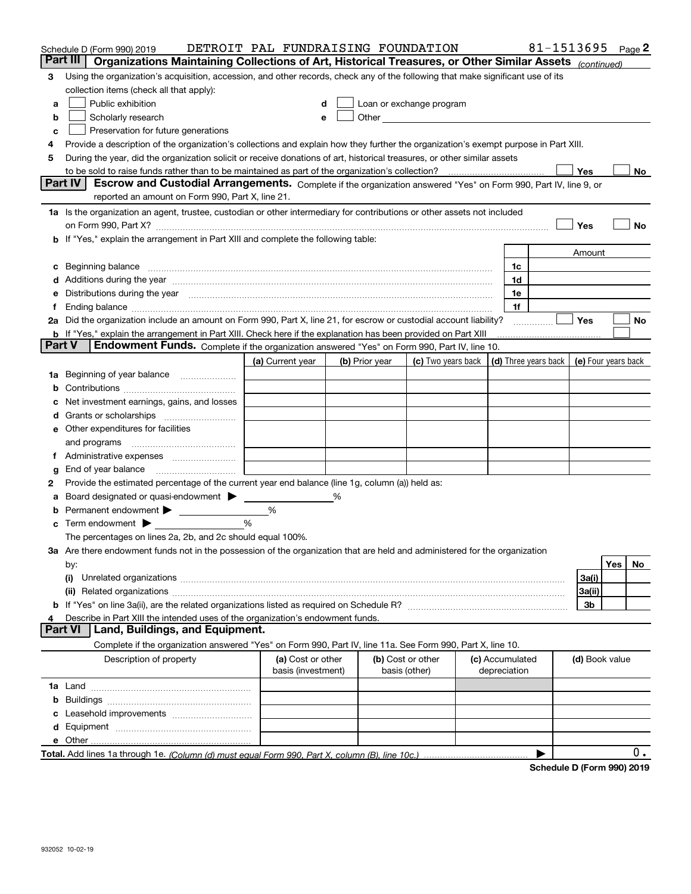|        | Schedule D (Form 990) 2019                                                                                                                                                                                                     | DETROIT PAL FUNDRAISING FOUNDATION |   |                |                                                                                                                                                                                                                                |                 |    |                | 81-1513695 Page 2 |
|--------|--------------------------------------------------------------------------------------------------------------------------------------------------------------------------------------------------------------------------------|------------------------------------|---|----------------|--------------------------------------------------------------------------------------------------------------------------------------------------------------------------------------------------------------------------------|-----------------|----|----------------|-------------------|
|        | Part III<br>Organizations Maintaining Collections of Art, Historical Treasures, or Other Similar Assets (continued)                                                                                                            |                                    |   |                |                                                                                                                                                                                                                                |                 |    |                |                   |
| 3      | Using the organization's acquisition, accession, and other records, check any of the following that make significant use of its                                                                                                |                                    |   |                |                                                                                                                                                                                                                                |                 |    |                |                   |
|        | collection items (check all that apply):                                                                                                                                                                                       |                                    |   |                |                                                                                                                                                                                                                                |                 |    |                |                   |
| a      | Public exhibition                                                                                                                                                                                                              |                                    |   |                | Loan or exchange program                                                                                                                                                                                                       |                 |    |                |                   |
| b      | Scholarly research                                                                                                                                                                                                             |                                    |   |                | Other and the control of the control of the control of the control of the control of the control of the control of the control of the control of the control of the control of the control of the control of the control of th |                 |    |                |                   |
| с      | Preservation for future generations                                                                                                                                                                                            |                                    |   |                |                                                                                                                                                                                                                                |                 |    |                |                   |
| 4      | Provide a description of the organization's collections and explain how they further the organization's exempt purpose in Part XIII.                                                                                           |                                    |   |                |                                                                                                                                                                                                                                |                 |    |                |                   |
| 5      | During the year, did the organization solicit or receive donations of art, historical treasures, or other similar assets                                                                                                       |                                    |   |                |                                                                                                                                                                                                                                |                 |    |                |                   |
|        | <b>Part IV</b>                                                                                                                                                                                                                 |                                    |   |                |                                                                                                                                                                                                                                |                 |    | Yes            | No                |
|        | Escrow and Custodial Arrangements. Complete if the organization answered "Yes" on Form 990, Part IV, line 9, or<br>reported an amount on Form 990, Part X, line 21.                                                            |                                    |   |                |                                                                                                                                                                                                                                |                 |    |                |                   |
|        |                                                                                                                                                                                                                                |                                    |   |                |                                                                                                                                                                                                                                |                 |    |                |                   |
|        | 1a Is the organization an agent, trustee, custodian or other intermediary for contributions or other assets not included                                                                                                       |                                    |   |                |                                                                                                                                                                                                                                |                 |    | Yes            | No                |
|        | on Form 990, Part X? [11] matter contracts and contracts and contracts are contracted as a form 990, Part X?<br><b>b</b> If "Yes," explain the arrangement in Part XIII and complete the following table:                      |                                    |   |                |                                                                                                                                                                                                                                |                 |    |                |                   |
|        |                                                                                                                                                                                                                                |                                    |   |                |                                                                                                                                                                                                                                |                 |    | Amount         |                   |
| c      | Beginning balance <u>www.maren.communication.communication.communication.communication.com</u>                                                                                                                                 |                                    |   |                |                                                                                                                                                                                                                                |                 | 1c |                |                   |
|        |                                                                                                                                                                                                                                |                                    |   |                |                                                                                                                                                                                                                                |                 | 1d |                |                   |
|        | e Distributions during the year manufactured and continuum and contact the year manufactured and contact the year manufactured and contact the year manufactured and contact the year manufactured and contact the year manufa |                                    |   |                |                                                                                                                                                                                                                                |                 | 1e |                |                   |
|        |                                                                                                                                                                                                                                |                                    |   |                |                                                                                                                                                                                                                                |                 | 1f |                |                   |
|        | 2a Did the organization include an amount on Form 990, Part X, line 21, for escrow or custodial account liability?                                                                                                             |                                    |   |                |                                                                                                                                                                                                                                |                 | .  | Yes            | No                |
|        | <b>b</b> If "Yes," explain the arrangement in Part XIII. Check here if the explanation has been provided on Part XIII                                                                                                          |                                    |   |                |                                                                                                                                                                                                                                |                 |    |                |                   |
| Part V | Endowment Funds. Complete if the organization answered "Yes" on Form 990, Part IV, line 10.                                                                                                                                    |                                    |   |                |                                                                                                                                                                                                                                |                 |    |                |                   |
|        |                                                                                                                                                                                                                                | (a) Current year                   |   | (b) Prior year | (c) Two years back $\vert$ (d) Three years back $\vert$ (e) Four years back                                                                                                                                                    |                 |    |                |                   |
|        | 1a Beginning of year balance                                                                                                                                                                                                   |                                    |   |                |                                                                                                                                                                                                                                |                 |    |                |                   |
| b      |                                                                                                                                                                                                                                |                                    |   |                |                                                                                                                                                                                                                                |                 |    |                |                   |
|        | Net investment earnings, gains, and losses                                                                                                                                                                                     |                                    |   |                |                                                                                                                                                                                                                                |                 |    |                |                   |
|        |                                                                                                                                                                                                                                |                                    |   |                |                                                                                                                                                                                                                                |                 |    |                |                   |
|        | e Other expenditures for facilities                                                                                                                                                                                            |                                    |   |                |                                                                                                                                                                                                                                |                 |    |                |                   |
|        | and programs                                                                                                                                                                                                                   |                                    |   |                |                                                                                                                                                                                                                                |                 |    |                |                   |
|        | f Administrative expenses                                                                                                                                                                                                      |                                    |   |                |                                                                                                                                                                                                                                |                 |    |                |                   |
| g      | End of year balance <i>manually contained</i>                                                                                                                                                                                  |                                    |   |                |                                                                                                                                                                                                                                |                 |    |                |                   |
| 2      | Provide the estimated percentage of the current year end balance (line 1g, column (a)) held as:                                                                                                                                |                                    |   |                |                                                                                                                                                                                                                                |                 |    |                |                   |
| а      | Board designated or quasi-endowment >                                                                                                                                                                                          |                                    | % |                |                                                                                                                                                                                                                                |                 |    |                |                   |
| b      | Permanent endowment >                                                                                                                                                                                                          | %                                  |   |                |                                                                                                                                                                                                                                |                 |    |                |                   |
|        | <b>c</b> Term endowment $\blacktriangleright$                                                                                                                                                                                  | %                                  |   |                |                                                                                                                                                                                                                                |                 |    |                |                   |
|        | The percentages on lines 2a, 2b, and 2c should equal 100%.                                                                                                                                                                     |                                    |   |                |                                                                                                                                                                                                                                |                 |    |                |                   |
|        | 3a Are there endowment funds not in the possession of the organization that are held and administered for the organization                                                                                                     |                                    |   |                |                                                                                                                                                                                                                                |                 |    |                |                   |
|        | by:                                                                                                                                                                                                                            |                                    |   |                |                                                                                                                                                                                                                                |                 |    |                | <b>Yes</b><br>No. |
|        | (i)                                                                                                                                                                                                                            |                                    |   |                |                                                                                                                                                                                                                                |                 |    | 3a(i)          |                   |
|        |                                                                                                                                                                                                                                |                                    |   |                |                                                                                                                                                                                                                                |                 |    | 3a(ii)         |                   |
|        |                                                                                                                                                                                                                                |                                    |   |                |                                                                                                                                                                                                                                |                 |    | 3b             |                   |
|        | Describe in Part XIII the intended uses of the organization's endowment funds.<br>Land, Buildings, and Equipment.<br>Part VI                                                                                                   |                                    |   |                |                                                                                                                                                                                                                                |                 |    |                |                   |
|        | Complete if the organization answered "Yes" on Form 990, Part IV, line 11a. See Form 990, Part X, line 10.                                                                                                                     |                                    |   |                |                                                                                                                                                                                                                                |                 |    |                |                   |
|        | Description of property                                                                                                                                                                                                        | (a) Cost or other                  |   |                | (b) Cost or other                                                                                                                                                                                                              | (c) Accumulated |    | (d) Book value |                   |
|        |                                                                                                                                                                                                                                | basis (investment)                 |   |                | basis (other)                                                                                                                                                                                                                  | depreciation    |    |                |                   |
|        |                                                                                                                                                                                                                                |                                    |   |                |                                                                                                                                                                                                                                |                 |    |                |                   |
| b      |                                                                                                                                                                                                                                |                                    |   |                |                                                                                                                                                                                                                                |                 |    |                |                   |
|        |                                                                                                                                                                                                                                |                                    |   |                |                                                                                                                                                                                                                                |                 |    |                |                   |
|        |                                                                                                                                                                                                                                |                                    |   |                |                                                                                                                                                                                                                                |                 |    |                |                   |
|        |                                                                                                                                                                                                                                |                                    |   |                |                                                                                                                                                                                                                                |                 |    |                |                   |
|        |                                                                                                                                                                                                                                |                                    |   |                |                                                                                                                                                                                                                                |                 |    |                | $0$ .             |
|        |                                                                                                                                                                                                                                |                                    |   |                |                                                                                                                                                                                                                                |                 |    |                |                   |

**Schedule D (Form 990) 2019**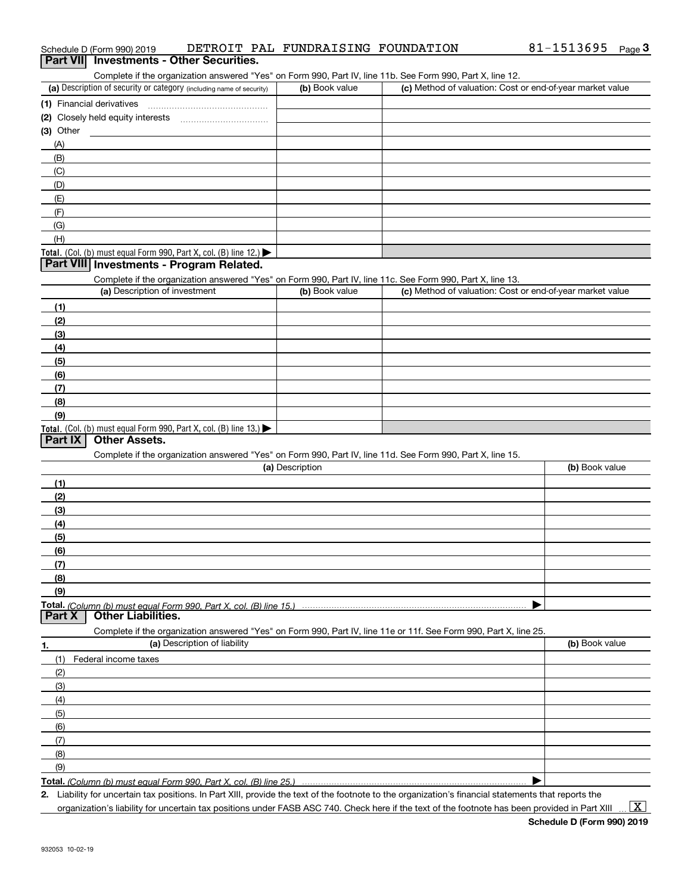| Complete if the organization answered "Yes" on Form 990, Part IV, line 11b. See Form 990, Part X, line 12.        |                 |                                                           |                |
|-------------------------------------------------------------------------------------------------------------------|-----------------|-----------------------------------------------------------|----------------|
| (a) Description of security or category (including name of security)                                              | (b) Book value  | (c) Method of valuation: Cost or end-of-year market value |                |
| (1) Financial derivatives                                                                                         |                 |                                                           |                |
|                                                                                                                   |                 |                                                           |                |
| (3) Other                                                                                                         |                 |                                                           |                |
| (A)                                                                                                               |                 |                                                           |                |
| (B)                                                                                                               |                 |                                                           |                |
| (C)                                                                                                               |                 |                                                           |                |
| (D)                                                                                                               |                 |                                                           |                |
| (E)                                                                                                               |                 |                                                           |                |
| (F)                                                                                                               |                 |                                                           |                |
| (G)                                                                                                               |                 |                                                           |                |
| (H)                                                                                                               |                 |                                                           |                |
| Total. (Col. (b) must equal Form 990, Part X, col. (B) line 12.)                                                  |                 |                                                           |                |
| Part VIII Investments - Program Related.                                                                          |                 |                                                           |                |
| Complete if the organization answered "Yes" on Form 990, Part IV, line 11c. See Form 990, Part X, line 13.        |                 |                                                           |                |
| (a) Description of investment                                                                                     | (b) Book value  | (c) Method of valuation: Cost or end-of-year market value |                |
| (1)                                                                                                               |                 |                                                           |                |
| (2)                                                                                                               |                 |                                                           |                |
| (3)                                                                                                               |                 |                                                           |                |
|                                                                                                                   |                 |                                                           |                |
| (4)                                                                                                               |                 |                                                           |                |
| (5)                                                                                                               |                 |                                                           |                |
| (6)                                                                                                               |                 |                                                           |                |
| (7)                                                                                                               |                 |                                                           |                |
| (8)                                                                                                               |                 |                                                           |                |
| (9)                                                                                                               |                 |                                                           |                |
| Total. (Col. (b) must equal Form 990, Part X, col. (B) line 13.)<br><b>Part IX</b><br><b>Other Assets.</b>        |                 |                                                           |                |
| Complete if the organization answered "Yes" on Form 990, Part IV, line 11d. See Form 990, Part X, line 15.        |                 |                                                           |                |
|                                                                                                                   | (a) Description |                                                           | (b) Book value |
| (1)                                                                                                               |                 |                                                           |                |
| (2)                                                                                                               |                 |                                                           |                |
| (3)                                                                                                               |                 |                                                           |                |
| (4)                                                                                                               |                 |                                                           |                |
|                                                                                                                   |                 |                                                           |                |
| (5)                                                                                                               |                 |                                                           |                |
| (6)                                                                                                               |                 |                                                           |                |
| (7)                                                                                                               |                 |                                                           |                |
| (8)                                                                                                               |                 |                                                           |                |
| (9)                                                                                                               |                 |                                                           |                |
| <b>Other Liabilities.</b><br><b>Part X</b>                                                                        |                 |                                                           |                |
| Complete if the organization answered "Yes" on Form 990, Part IV, line 11e or 11f. See Form 990, Part X, line 25. |                 |                                                           |                |
| (a) Description of liability                                                                                      |                 |                                                           | (b) Book value |
| 1.<br>Federal income taxes                                                                                        |                 |                                                           |                |
| (1)                                                                                                               |                 |                                                           |                |
| (2)                                                                                                               |                 |                                                           |                |
| (3)                                                                                                               |                 |                                                           |                |
| (4)                                                                                                               |                 |                                                           |                |
| (5)                                                                                                               |                 |                                                           |                |
| (6)                                                                                                               |                 |                                                           |                |
| (7)                                                                                                               |                 |                                                           |                |
| (8)<br>(9)                                                                                                        |                 |                                                           |                |
| Total. (Column (b) must equal Form 990, Part X, col. (B) line 25.)                                                |                 |                                                           |                |
|                                                                                                                   |                 |                                                           |                |

Schedule D (Form 990) 2019 DETROIT PAL FUNDRAISING FOUNDATION 81-1513695 <sub>Page</sub> 3<br>| **Part VII** | Investments - Other Securities.

*(Column (b) must equal Form 990, Part X, col. (B) line 25.)*

**2.** Liability for uncertain tax positions. In Part XIII, provide the text of the footnote to the organization's financial statements that reports the organization's liability for uncertain tax positions under FASB ASC 740. Check here if the text of the footnote has been provided in Part XIII

 $\vert$  X  $\vert$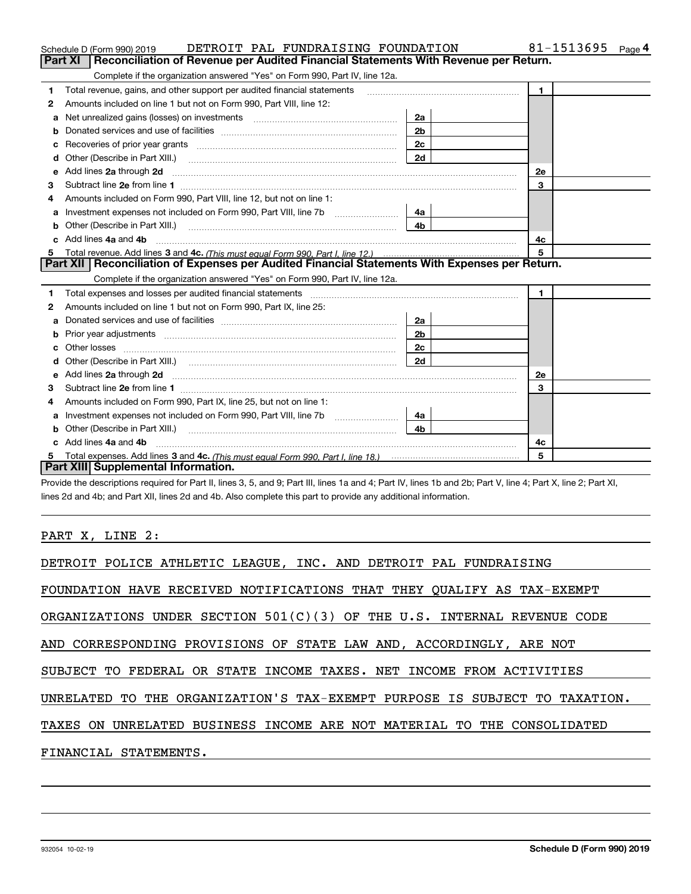|    | DETROIT PAL FUNDRAISING FOUNDATION<br>Schedule D (Form 990) 2019                                                                                                                                                                    |                | 81-1513695<br>Page 4 |
|----|-------------------------------------------------------------------------------------------------------------------------------------------------------------------------------------------------------------------------------------|----------------|----------------------|
|    | <b>Part XI</b><br>Reconciliation of Revenue per Audited Financial Statements With Revenue per Return.                                                                                                                               |                |                      |
|    | Complete if the organization answered "Yes" on Form 990, Part IV, line 12a.                                                                                                                                                         |                |                      |
| 1  | Total revenue, gains, and other support per audited financial statements                                                                                                                                                            | $\blacksquare$ |                      |
| 2  | Amounts included on line 1 but not on Form 990, Part VIII, line 12:                                                                                                                                                                 |                |                      |
| a  |                                                                                                                                                                                                                                     | 2a             |                      |
| b  |                                                                                                                                                                                                                                     | 2 <sub>b</sub> |                      |
| c  |                                                                                                                                                                                                                                     | 2c             |                      |
| d  |                                                                                                                                                                                                                                     | 2d             |                      |
| e  | Add lines 2a through 2d                                                                                                                                                                                                             |                | 2e                   |
| 3  |                                                                                                                                                                                                                                     |                | 3                    |
| 4  | Amounts included on Form 990, Part VIII, line 12, but not on line 1:                                                                                                                                                                |                |                      |
| а  |                                                                                                                                                                                                                                     | 4a             |                      |
| b  | Other (Describe in Part XIII.) <b>Construction Contract Construction</b> (Describe in Part XIII.)                                                                                                                                   | 4 <sub>b</sub> |                      |
| c. | Add lines 4a and 4b                                                                                                                                                                                                                 |                | 4c                   |
| 5  |                                                                                                                                                                                                                                     |                | 5                    |
|    | Part XII   Reconciliation of Expenses per Audited Financial Statements With Expenses per Return.                                                                                                                                    |                |                      |
|    | Complete if the organization answered "Yes" on Form 990, Part IV, line 12a.                                                                                                                                                         |                |                      |
| 1  | Total expenses and losses per audited financial statements [111] [12] contain an interview and losses per audited financial statements [11] [12] contain an interview and the statements of the statements of the statements a      |                | 1.                   |
| 2  | Amounts included on line 1 but not on Form 990, Part IX, line 25:                                                                                                                                                                   |                |                      |
| a  |                                                                                                                                                                                                                                     | 2a             |                      |
| b  |                                                                                                                                                                                                                                     | 2 <sub>b</sub> |                      |
| с  |                                                                                                                                                                                                                                     | 2c             |                      |
| d  |                                                                                                                                                                                                                                     | 2d             |                      |
|    | Add lines 2a through 2d <b>must be a constructed as the constant of the construction of the construction</b> and a construction of the construction of the construction of the construction of the construction of the construction |                | 2e                   |
| з  |                                                                                                                                                                                                                                     |                | 3                    |
| 4  | Amounts included on Form 990, Part IX, line 25, but not on line 1:                                                                                                                                                                  |                |                      |
| a  |                                                                                                                                                                                                                                     | 4a l           |                      |
| b  |                                                                                                                                                                                                                                     | 4b             |                      |
|    | Add lines 4a and 4b                                                                                                                                                                                                                 |                | 4с                   |
| 5  |                                                                                                                                                                                                                                     |                | 5                    |
|    | <b>Part XIII Supplemental Information.</b>                                                                                                                                                                                          |                |                      |

Provide the descriptions required for Part II, lines 3, 5, and 9; Part III, lines 1a and 4; Part IV, lines 1b and 2b; Part V, line 4; Part X, line 2; Part XI, lines 2d and 4b; and Part XII, lines 2d and 4b. Also complete this part to provide any additional information.

# PART X, LINE 2:

| DETROIT POLICE ATHLETIC LEAGUE, INC. AND DETROIT PAL FUNDRAISING           |
|----------------------------------------------------------------------------|
| FOUNDATION HAVE RECEIVED NOTIFICATIONS THAT THEY QUALIFY AS TAX-EXEMPT     |
|                                                                            |
| ORGANIZATIONS UNDER SECTION $501(C)(3)$ OF THE U.S. INTERNAL REVENUE CODE  |
| AND CORRESPONDING PROVISIONS OF STATE LAW AND, ACCORDINGLY, ARE NOT        |
| SUBJECT TO FEDERAL OR STATE INCOME TAXES. NET INCOME FROM ACTIVITIES       |
| UNRELATED TO THE ORGANIZATION'S TAX-EXEMPT PURPOSE IS SUBJECT TO TAXATION. |
| TAXES ON UNRELATED BUSINESS INCOME ARE NOT MATERIAL TO THE CONSOLIDATED    |
| FINANCIAL STATEMENTS.                                                      |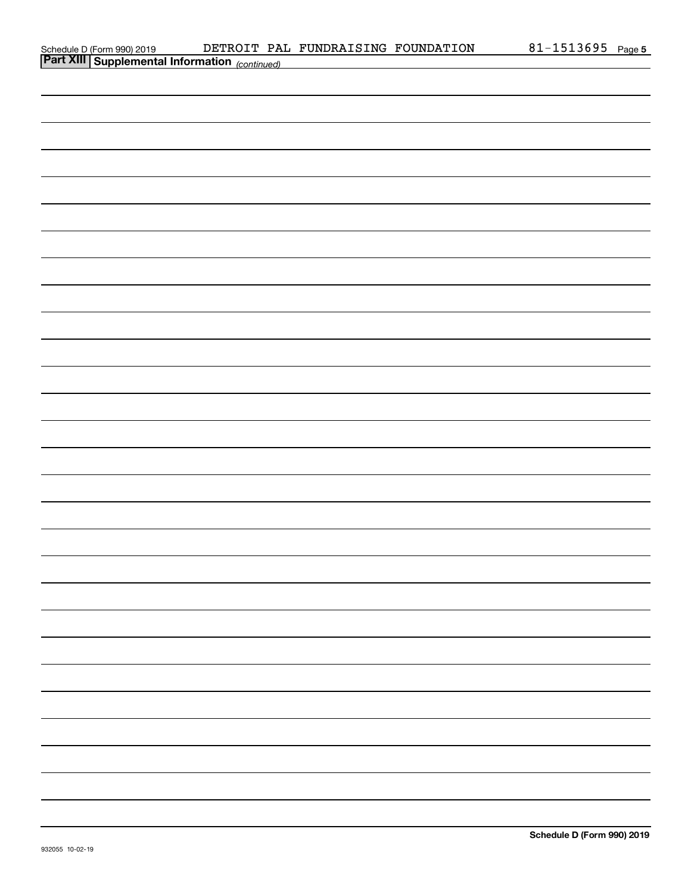| Schedule D (Form 990) 2019 |  |
|----------------------------|--|
| $\sim$ $\sim$ $\sim$       |  |

| <b>Part XIII Supplemental Information</b> (continued) |  |  |
|-------------------------------------------------------|--|--|
|                                                       |  |  |
|                                                       |  |  |
|                                                       |  |  |
|                                                       |  |  |
|                                                       |  |  |
|                                                       |  |  |
|                                                       |  |  |
|                                                       |  |  |
|                                                       |  |  |
|                                                       |  |  |
|                                                       |  |  |
|                                                       |  |  |
|                                                       |  |  |
|                                                       |  |  |
|                                                       |  |  |
|                                                       |  |  |
|                                                       |  |  |
|                                                       |  |  |
|                                                       |  |  |
|                                                       |  |  |
|                                                       |  |  |
|                                                       |  |  |
|                                                       |  |  |
|                                                       |  |  |
|                                                       |  |  |
|                                                       |  |  |
|                                                       |  |  |
|                                                       |  |  |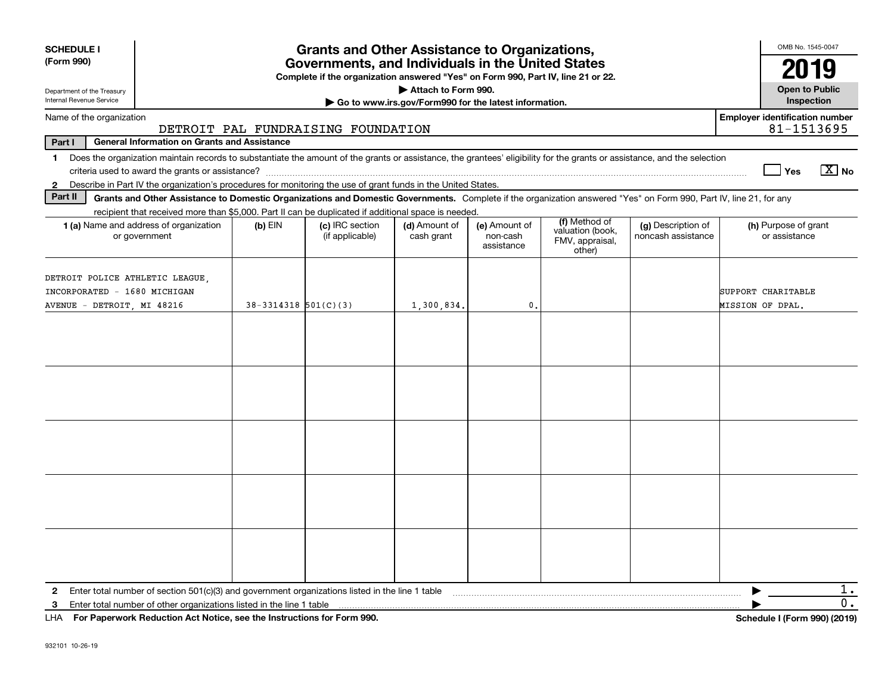| <b>SCHEDULE I</b>                                                                             |                                                                                                                                                                          |                          | <b>Grants and Other Assistance to Organizations,</b>                                                                                  |                                                       |                                         |                                               |                                          |                                        | OMB No. 1545-0047            |
|-----------------------------------------------------------------------------------------------|--------------------------------------------------------------------------------------------------------------------------------------------------------------------------|--------------------------|---------------------------------------------------------------------------------------------------------------------------------------|-------------------------------------------------------|-----------------------------------------|-----------------------------------------------|------------------------------------------|----------------------------------------|------------------------------|
| (Form 990)                                                                                    |                                                                                                                                                                          |                          | Governments, and Individuals in the United States<br>Complete if the organization answered "Yes" on Form 990, Part IV, line 21 or 22. |                                                       |                                         |                                               |                                          |                                        | 2019                         |
| Department of the Treasury                                                                    |                                                                                                                                                                          |                          |                                                                                                                                       | Attach to Form 990.                                   |                                         |                                               |                                          |                                        | <b>Open to Public</b>        |
| Internal Revenue Service                                                                      |                                                                                                                                                                          |                          |                                                                                                                                       | Go to www.irs.gov/Form990 for the latest information. |                                         |                                               |                                          |                                        | Inspection                   |
| Name of the organization                                                                      |                                                                                                                                                                          |                          | DETROIT PAL FUNDRAISING FOUNDATION                                                                                                    |                                                       |                                         |                                               |                                          | <b>Employer identification number</b>  | 81-1513695                   |
| Part I                                                                                        | <b>General Information on Grants and Assistance</b>                                                                                                                      |                          |                                                                                                                                       |                                                       |                                         |                                               |                                          |                                        |                              |
| $\mathbf 1$                                                                                   | Does the organization maintain records to substantiate the amount of the grants or assistance, the grantees' eligibility for the grants or assistance, and the selection |                          |                                                                                                                                       |                                                       |                                         |                                               |                                          | Yes                                    | $\boxed{X}$ No               |
| $\mathbf{2}$                                                                                  | Describe in Part IV the organization's procedures for monitoring the use of grant funds in the United States.                                                            |                          |                                                                                                                                       |                                                       |                                         |                                               |                                          |                                        |                              |
| Part II                                                                                       | Grants and Other Assistance to Domestic Organizations and Domestic Governments. Complete if the organization answered "Yes" on Form 990, Part IV, line 21, for any       |                          |                                                                                                                                       |                                                       |                                         |                                               |                                          |                                        |                              |
|                                                                                               | recipient that received more than \$5,000. Part II can be duplicated if additional space is needed.                                                                      |                          |                                                                                                                                       |                                                       |                                         | (f) Method of                                 |                                          |                                        |                              |
|                                                                                               | 1 (a) Name and address of organization<br>or government                                                                                                                  | $(b)$ EIN                | (c) IRC section<br>(if applicable)                                                                                                    | (d) Amount of<br>cash grant                           | (e) Amount of<br>non-cash<br>assistance | valuation (book,<br>FMV, appraisal,<br>other) | (g) Description of<br>noncash assistance | (h) Purpose of grant<br>or assistance  |                              |
| DETROIT POLICE ATHLETIC LEAGUE,<br>INCORPORATED - 1680 MICHIGAN<br>AVENUE - DETROIT, MI 48216 |                                                                                                                                                                          | $38-3314318$ $501(C)(3)$ |                                                                                                                                       | 1,300,834.                                            | $\mathfrak{o}$ .                        |                                               |                                          | SUPPORT CHARITABLE<br>MISSION OF DPAL. |                              |
|                                                                                               |                                                                                                                                                                          |                          |                                                                                                                                       |                                                       |                                         |                                               |                                          |                                        |                              |
|                                                                                               |                                                                                                                                                                          |                          |                                                                                                                                       |                                                       |                                         |                                               |                                          |                                        |                              |
| $\mathbf{2}$<br>3                                                                             | Enter total number of section 501(c)(3) and government organizations listed in the line 1 table<br>Enter total number of other organizations listed in the line 1 table  |                          |                                                                                                                                       |                                                       |                                         |                                               |                                          |                                        | 1.<br>О.                     |
|                                                                                               | LHA For Paperwork Reduction Act Notice, see the Instructions for Form 990.                                                                                               |                          |                                                                                                                                       |                                                       |                                         |                                               |                                          |                                        | Schedule I (Form 990) (2019) |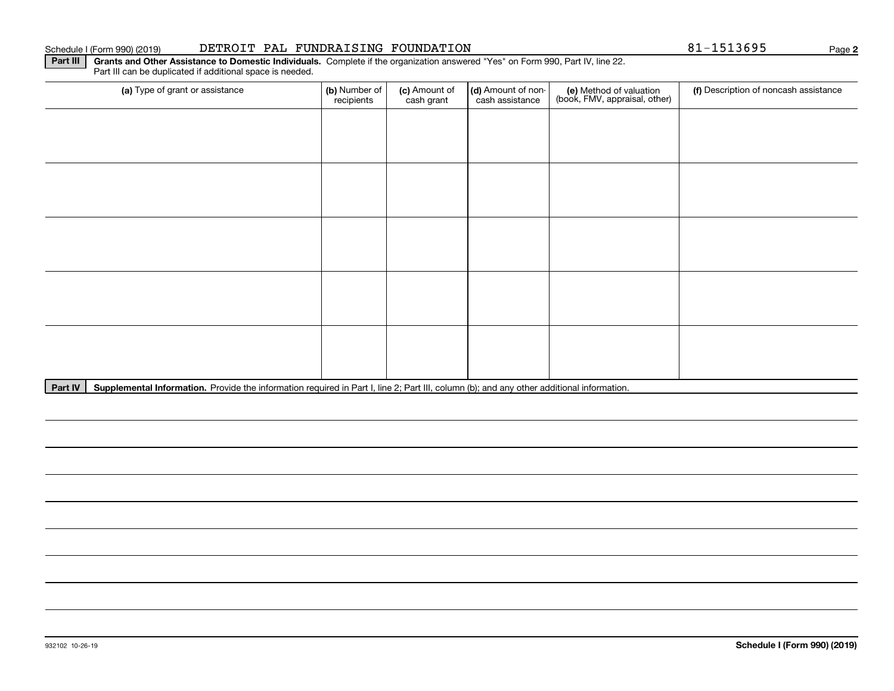#### Schedule I (Form 990) (2019) **DETROIT PAL FUNDRAISING FOUNDATION** 8 $1-1513695$  Page

**2**

**Part III** | Grants and Other Assistance to Domestic Individuals. Complete if the organization answered "Yes" on Form 990, Part IV, line 22. Part III can be duplicated if additional space is needed.

| (a) Type of grant or assistance | (b) Number of<br>recipients | (c) Amount of<br>cash grant | (d) Amount of non-<br>cash assistance | (e) Method of valuation<br>(book, FMV, appraisal, other) | (f) Description of noncash assistance |
|---------------------------------|-----------------------------|-----------------------------|---------------------------------------|----------------------------------------------------------|---------------------------------------|
|                                 |                             |                             |                                       |                                                          |                                       |
|                                 |                             |                             |                                       |                                                          |                                       |
|                                 |                             |                             |                                       |                                                          |                                       |
|                                 |                             |                             |                                       |                                                          |                                       |
|                                 |                             |                             |                                       |                                                          |                                       |
|                                 |                             |                             |                                       |                                                          |                                       |
|                                 |                             |                             |                                       |                                                          |                                       |
|                                 |                             |                             |                                       |                                                          |                                       |
|                                 |                             |                             |                                       |                                                          |                                       |
|                                 |                             |                             |                                       |                                                          |                                       |

Part IV | Supplemental Information. Provide the information required in Part I, line 2; Part III, column (b); and any other additional information.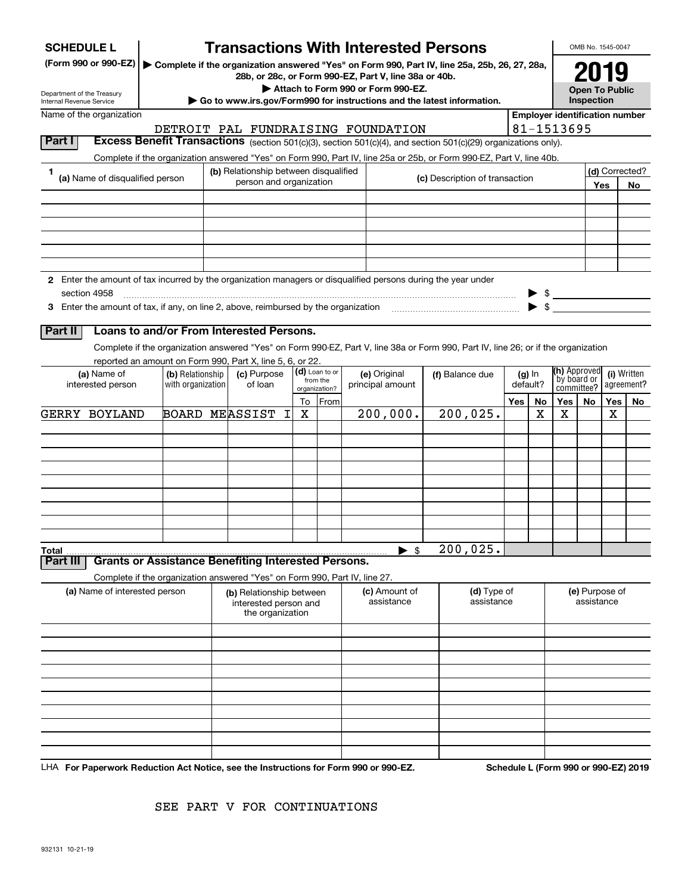| <b>SCHEDULE L</b>                                                                                             |                                       |                                                                                                        |    |                       | <b>Transactions With Interested Persons</b>                                                                                                                                                                                            |                                |                                                                         |    |                                                                     | OMB No. 1545-0047     |     |                |
|---------------------------------------------------------------------------------------------------------------|---------------------------------------|--------------------------------------------------------------------------------------------------------|----|-----------------------|----------------------------------------------------------------------------------------------------------------------------------------------------------------------------------------------------------------------------------------|--------------------------------|-------------------------------------------------------------------------|----|---------------------------------------------------------------------|-----------------------|-----|----------------|
| (Form 990 or 990-EZ)                                                                                          |                                       |                                                                                                        |    |                       | Complete if the organization answered "Yes" on Form 990, Part IV, line 25a, 25b, 26, 27, 28a,<br>28b, or 28c, or Form 990-EZ, Part V, line 38a or 40b.                                                                                 |                                |                                                                         |    |                                                                     |                       |     |                |
| Department of the Treasury                                                                                    |                                       |                                                                                                        |    |                       | Attach to Form 990 or Form 990-EZ.                                                                                                                                                                                                     |                                |                                                                         |    |                                                                     | <b>Open To Public</b> |     |                |
| Internal Revenue Service<br>Name of the organization                                                          |                                       |                                                                                                        |    |                       | $\triangleright$ Go to www.irs.gov/Form990 for instructions and the latest information.                                                                                                                                                |                                |                                                                         |    | <b>Employer identification number</b>                               | Inspection            |     |                |
|                                                                                                               |                                       |                                                                                                        |    |                       | DETROIT PAL FUNDRAISING FOUNDATION                                                                                                                                                                                                     |                                |                                                                         |    | 81-1513695                                                          |                       |     |                |
| Part I                                                                                                        |                                       |                                                                                                        |    |                       | Excess Benefit Transactions (section 501(c)(3), section 501(c)(4), and section 501(c)(29) organizations only).<br>Complete if the organization answered "Yes" on Form 990, Part IV, line 25a or 25b, or Form 990-EZ, Part V, line 40b. |                                |                                                                         |    |                                                                     |                       |     |                |
| 1                                                                                                             |                                       | (b) Relationship between disqualified                                                                  |    |                       |                                                                                                                                                                                                                                        |                                |                                                                         |    |                                                                     |                       |     | (d) Corrected? |
| (a) Name of disqualified person                                                                               |                                       | person and organization                                                                                |    |                       |                                                                                                                                                                                                                                        | (c) Description of transaction |                                                                         |    |                                                                     |                       | Yes | No             |
|                                                                                                               |                                       |                                                                                                        |    |                       |                                                                                                                                                                                                                                        |                                |                                                                         |    |                                                                     |                       |     |                |
|                                                                                                               |                                       |                                                                                                        |    |                       |                                                                                                                                                                                                                                        |                                |                                                                         |    |                                                                     |                       |     |                |
|                                                                                                               |                                       |                                                                                                        |    |                       |                                                                                                                                                                                                                                        |                                |                                                                         |    |                                                                     |                       |     |                |
|                                                                                                               |                                       |                                                                                                        |    |                       |                                                                                                                                                                                                                                        |                                |                                                                         |    |                                                                     |                       |     |                |
| 2 Enter the amount of tax incurred by the organization managers or disqualified persons during the year under |                                       |                                                                                                        |    |                       |                                                                                                                                                                                                                                        |                                |                                                                         |    |                                                                     |                       |     |                |
| section 4958                                                                                                  |                                       |                                                                                                        |    |                       |                                                                                                                                                                                                                                        |                                |                                                                         |    | $\begin{array}{c} \bullet \ \ \ast \\ \bullet \ \ \ast \end{array}$ |                       |     |                |
|                                                                                                               |                                       |                                                                                                        |    |                       |                                                                                                                                                                                                                                        |                                |                                                                         |    |                                                                     |                       |     |                |
| Part II                                                                                                       |                                       | Loans to and/or From Interested Persons.                                                               |    |                       | Complete if the organization answered "Yes" on Form 990-EZ, Part V, line 38a or Form 990, Part IV, line 26; or if the organization                                                                                                     |                                |                                                                         |    |                                                                     |                       |     |                |
|                                                                                                               |                                       | reported an amount on Form 990, Part X, line 5, 6, or 22.                                              |    |                       |                                                                                                                                                                                                                                        |                                |                                                                         |    |                                                                     |                       |     |                |
| (a) Name of<br>interested person                                                                              | (b) Relationship<br>with organization | (d) Loan to or<br>(c) Purpose<br>(e) Original<br>from the<br>of loan<br>principal amount               |    | (f) Balance due       | $(g)$ In<br>default?                                                                                                                                                                                                                   |                                | (h) Approved<br>(i) Written<br>`by board or<br>agreement?<br>committee? |    |                                                                     |                       |     |                |
|                                                                                                               |                                       |                                                                                                        | To | organization?<br>From |                                                                                                                                                                                                                                        |                                | Yes                                                                     | No | Yes                                                                 | No                    | Yes | No             |
| GERRY BOYLAND                                                                                                 |                                       | <b>BOARD MEASSIST</b><br>I.                                                                            | х  |                       | 200,000.                                                                                                                                                                                                                               | 200,025.                       |                                                                         | х  | x                                                                   |                       | X   |                |
|                                                                                                               |                                       |                                                                                                        |    |                       |                                                                                                                                                                                                                                        |                                |                                                                         |    |                                                                     |                       |     |                |
|                                                                                                               |                                       |                                                                                                        |    |                       |                                                                                                                                                                                                                                        |                                |                                                                         |    |                                                                     |                       |     |                |
|                                                                                                               |                                       |                                                                                                        |    |                       |                                                                                                                                                                                                                                        |                                |                                                                         |    |                                                                     |                       |     |                |
|                                                                                                               |                                       |                                                                                                        |    |                       |                                                                                                                                                                                                                                        |                                |                                                                         |    |                                                                     |                       |     |                |
|                                                                                                               |                                       |                                                                                                        |    |                       |                                                                                                                                                                                                                                        |                                |                                                                         |    |                                                                     |                       |     |                |
|                                                                                                               |                                       |                                                                                                        |    |                       |                                                                                                                                                                                                                                        |                                |                                                                         |    |                                                                     |                       |     |                |
| Total                                                                                                         |                                       |                                                                                                        |    |                       | $\blacktriangleright$ \$                                                                                                                                                                                                               | 200,025.                       |                                                                         |    |                                                                     |                       |     |                |
| Part III                                                                                                      |                                       | <b>Grants or Assistance Benefiting Interested Persons.</b>                                             |    |                       |                                                                                                                                                                                                                                        |                                |                                                                         |    |                                                                     |                       |     |                |
| (a) Name of interested person                                                                                 |                                       | Complete if the organization answered "Yes" on Form 990, Part IV, line 27.<br>(b) Relationship between |    |                       | (c) Amount of                                                                                                                                                                                                                          | (d) Type of                    |                                                                         |    |                                                                     | (e) Purpose of        |     |                |
|                                                                                                               |                                       | interested person and<br>the organization                                                              |    |                       | assistance                                                                                                                                                                                                                             | assistance                     |                                                                         |    |                                                                     | assistance            |     |                |
|                                                                                                               |                                       |                                                                                                        |    |                       |                                                                                                                                                                                                                                        |                                |                                                                         |    |                                                                     |                       |     |                |
|                                                                                                               |                                       |                                                                                                        |    |                       |                                                                                                                                                                                                                                        |                                |                                                                         |    |                                                                     |                       |     |                |
|                                                                                                               |                                       |                                                                                                        |    |                       |                                                                                                                                                                                                                                        |                                |                                                                         |    |                                                                     |                       |     |                |
|                                                                                                               |                                       |                                                                                                        |    |                       |                                                                                                                                                                                                                                        |                                |                                                                         |    |                                                                     |                       |     |                |
|                                                                                                               |                                       |                                                                                                        |    |                       |                                                                                                                                                                                                                                        |                                |                                                                         |    |                                                                     |                       |     |                |
|                                                                                                               |                                       |                                                                                                        |    |                       |                                                                                                                                                                                                                                        |                                |                                                                         |    |                                                                     |                       |     |                |
|                                                                                                               |                                       |                                                                                                        |    |                       |                                                                                                                                                                                                                                        |                                |                                                                         |    |                                                                     |                       |     |                |
|                                                                                                               |                                       |                                                                                                        |    |                       |                                                                                                                                                                                                                                        |                                |                                                                         |    |                                                                     |                       |     |                |

LHA For Paperwork Reduction Act Notice, see the Instructions for Form 990 or 990-EZ. Schedule L (Form 990 or 990-EZ) 2019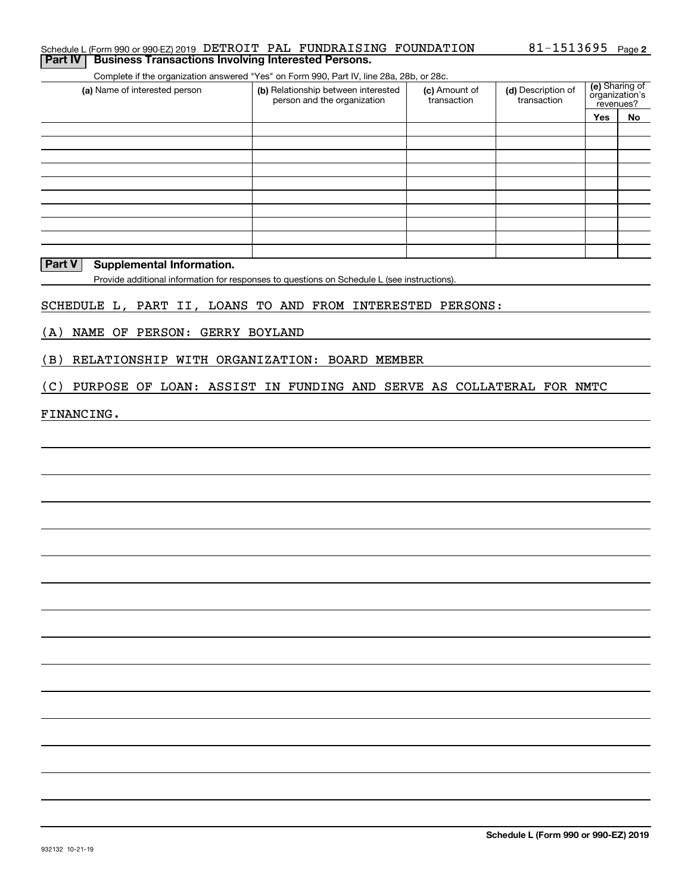#### Schedule L (Form 990 or 990-EZ) 2019 DETROIT PAL FUNDRAISING FOUNDATION 81-1513695 <sub>Page</sub> **2 Part IV** Business Transactions Involving Interested Persons.

Complete if the organization answered "Yes" on Form 990, Part IV, line 28a, 28b, or 28c.

| (a) Name of interested person | (b) Relationship between interested<br>person and the organization | (c) Amount of<br>transaction | (d) Description of<br>transaction |     | (e) Sharing of<br>organization's<br>revenues? |
|-------------------------------|--------------------------------------------------------------------|------------------------------|-----------------------------------|-----|-----------------------------------------------|
|                               |                                                                    |                              |                                   | Yes | No                                            |
|                               |                                                                    |                              |                                   |     |                                               |
|                               |                                                                    |                              |                                   |     |                                               |
|                               |                                                                    |                              |                                   |     |                                               |
|                               |                                                                    |                              |                                   |     |                                               |
|                               |                                                                    |                              |                                   |     |                                               |
|                               |                                                                    |                              |                                   |     |                                               |
|                               |                                                                    |                              |                                   |     |                                               |
|                               |                                                                    |                              |                                   |     |                                               |
|                               |                                                                    |                              |                                   |     |                                               |
|                               |                                                                    |                              |                                   |     |                                               |

### **Part V** Supplemental Information.

Provide additional information for responses to questions on Schedule L (see instructions).

# SCHEDULE L, PART II, LOANS TO AND FROM INTERESTED PERSONS:

(A) NAME OF PERSON: GERRY BOYLAND

(B) RELATIONSHIP WITH ORGANIZATION: BOARD MEMBER

(C) PURPOSE OF LOAN: ASSIST IN FUNDING AND SERVE AS COLLATERAL FOR NMTC

#### FINANCING.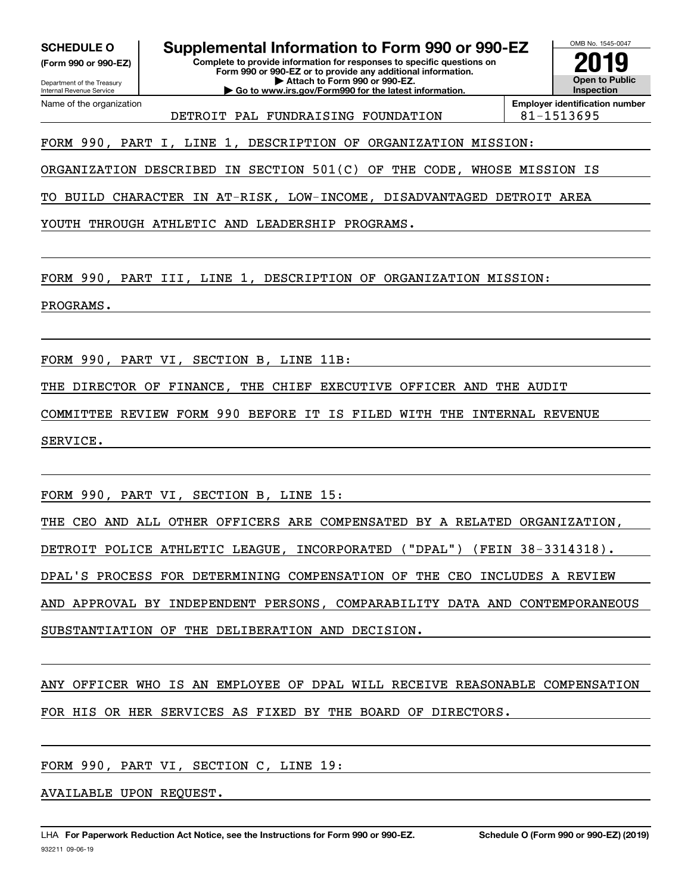**(Form 990 or 990-EZ)**

Department of the Treasury Internal Revenue Service Name of the organization

**SCHEDULE O Supplemental Information to Form 990 or 990-EZ**

**Complete to provide information for responses to specific questions on Form 990 or 990-EZ or to provide any additional information. | Attach to Form 990 or 990-EZ.**

**| Go to www.irs.gov/Form990 for the latest information.**

**Open to Public InspectionEmployer identification number 2019**

OMB No. 1545-0047

DETROIT PAL FUNDRAISING FOUNDATION | 81-1513695

FORM 990, PART I, LINE 1, DESCRIPTION OF ORGANIZATION MISSION:

ORGANIZATION DESCRIBED IN SECTION 501(C) OF THE CODE, WHOSE MISSION IS

TO BUILD CHARACTER IN AT-RISK, LOW-INCOME, DISADVANTAGED DETROIT AREA

YOUTH THROUGH ATHLETIC AND LEADERSHIP PROGRAMS.

FORM 990, PART III, LINE 1, DESCRIPTION OF ORGANIZATION MISSION:

PROGRAMS.

FORM 990, PART VI, SECTION B, LINE 11B:

THE DIRECTOR OF FINANCE, THE CHIEF EXECUTIVE OFFICER AND THE AUDIT

COMMITTEE REVIEW FORM 990 BEFORE IT IS FILED WITH THE INTERNAL REVENUE

SERVICE.

FORM 990, PART VI, SECTION B, LINE 15:

THE CEO AND ALL OTHER OFFICERS ARE COMPENSATED BY A RELATED ORGANIZATION,

DETROIT POLICE ATHLETIC LEAGUE, INCORPORATED ("DPAL") (FEIN 38-3314318).

DPAL'S PROCESS FOR DETERMINING COMPENSATION OF THE CEO INCLUDES A REVIEW

AND APPROVAL BY INDEPENDENT PERSONS, COMPARABILITY DATA AND CONTEMPORANEOUS

SUBSTANTIATION OF THE DELIBERATION AND DECISION.

ANY OFFICER WHO IS AN EMPLOYEE OF DPAL WILL RECEIVE REASONABLE COMPENSATION FOR HIS OR HER SERVICES AS FIXED BY THE BOARD OF DIRECTORS.

FORM 990, PART VI, SECTION C, LINE 19:

AVAILABLE UPON REQUEST.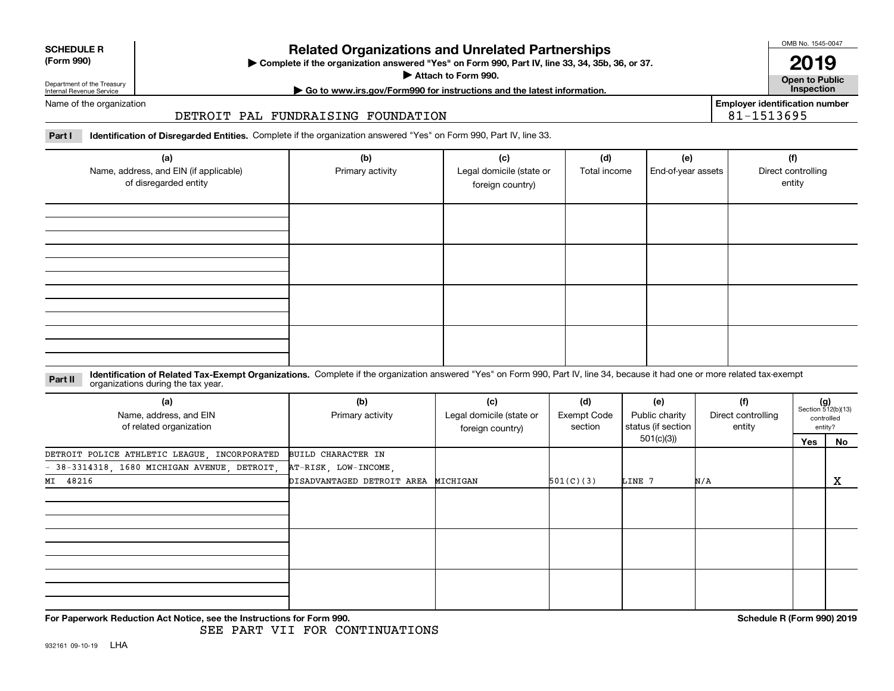| <b>SCHEDULE R</b>                          |  |
|--------------------------------------------|--|
| $\mathbf{r}$ , $\mathbf{r}$ , $\mathbf{r}$ |  |

#### **(Form 990)**

# **Related Organizations and Unrelated Partnerships**

**Complete if the organization answered "Yes" on Form 990, Part IV, line 33, 34, 35b, 36, or 37.** |

**Attach to Form 990.**  |

OMB No. 1545-0047

**Open to Public | Go to www.irs.gov/Form990 for instructions and the latest information. Inspection 2019**

**Employer identification number**

81-1513695

Department of the Treasury Internal Revenue Service Name of the organization

### DETROIT PAL FUNDRAISING FOUNDATION

**Part I Identification of Disregarded Entities.**  Complete if the organization answered "Yes" on Form 990, Part IV, line 33.

| (a)<br>Name, address, and EIN (if applicable)<br>of disregarded entity | (b)<br>Primary activity | (c)<br>Legal domicile (state or<br>foreign country) | (d)<br>Total income | (e)<br>End-of-year assets | (f)<br>Direct controlling<br>entity |
|------------------------------------------------------------------------|-------------------------|-----------------------------------------------------|---------------------|---------------------------|-------------------------------------|
|                                                                        |                         |                                                     |                     |                           |                                     |
|                                                                        |                         |                                                     |                     |                           |                                     |
|                                                                        |                         |                                                     |                     |                           |                                     |
|                                                                        |                         |                                                     |                     |                           |                                     |

#### **Identification of Related Tax-Exempt Organizations.** Complete if the organization answered "Yes" on Form 990, Part IV, line 34, because it had one or more related tax-exempt **Part II** organizations during the tax year.

| (a)<br>Name, address, and EIN<br>of related organization | (b)<br>Primary activity             | (c)<br>Legal domicile (state or<br>foreign country) | (d)<br><b>Exempt Code</b><br>section | (e)<br>Public charity<br>status (if section | (f)<br>Direct controlling<br>entity | $(g)$<br>Section 512(b)(13) | controlled<br>entity? |
|----------------------------------------------------------|-------------------------------------|-----------------------------------------------------|--------------------------------------|---------------------------------------------|-------------------------------------|-----------------------------|-----------------------|
|                                                          |                                     |                                                     |                                      | 501(c)(3))                                  |                                     | Yes                         | No                    |
| DETROIT POLICE ATHLETIC LEAGUE, INCORPORATED             | BUILD CHARACTER IN                  |                                                     |                                      |                                             |                                     |                             |                       |
| $-38-3314318$ , 1680 MICHIGAN AVENUE, DETROIT,           | AT-RISK, LOW-INCOME,                |                                                     |                                      |                                             |                                     |                             |                       |
| MI 48216                                                 | DISADVANTAGED DETROIT AREA MICHIGAN |                                                     | 501(C)(3)                            | LINE 7                                      | N/A                                 |                             | х                     |
|                                                          |                                     |                                                     |                                      |                                             |                                     |                             |                       |
|                                                          |                                     |                                                     |                                      |                                             |                                     |                             |                       |
|                                                          |                                     |                                                     |                                      |                                             |                                     |                             |                       |

**For Paperwork Reduction Act Notice, see the Instructions for Form 990. Schedule R (Form 990) 2019**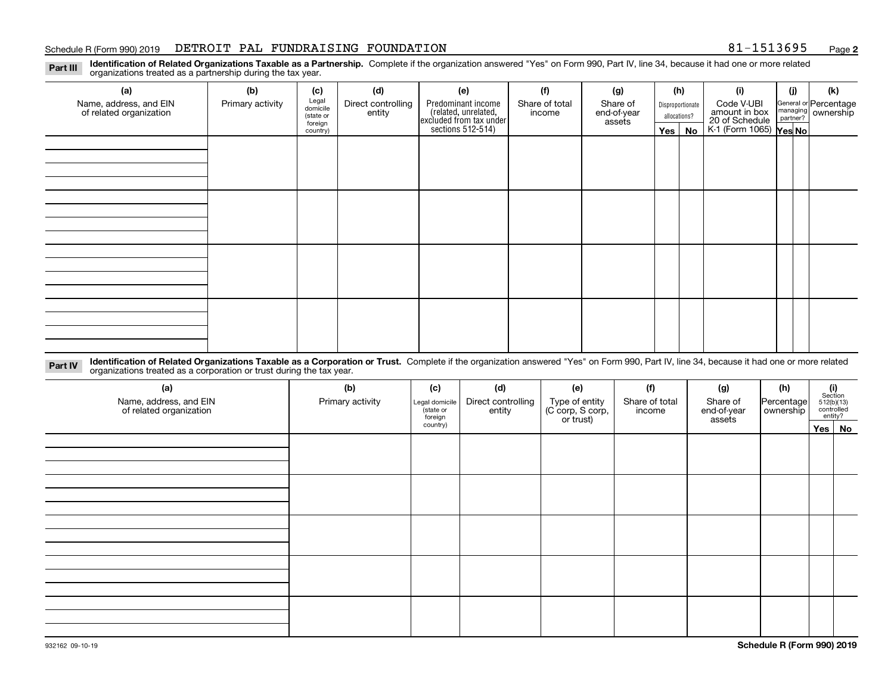#### Schedule R (Form 990) 2019 Page DETROIT PAL FUNDRAISING FOUNDATION 81-1513695

**2**

**Identification of Related Organizations Taxable as a Partnership.** Complete if the organization answered "Yes" on Form 990, Part IV, line 34, because it had one or more related **Part III** organizations treated as a partnership during the tax year.

| (a)                     | (b)              | (c)                  | (d)                | (e)                                                                 | (f)            | (g)                   |  | (h)              | (i)                                               | (j) | (k)                   |  |  |  |  |  |
|-------------------------|------------------|----------------------|--------------------|---------------------------------------------------------------------|----------------|-----------------------|--|------------------|---------------------------------------------------|-----|-----------------------|--|--|--|--|--|
| Name, address, and EIN  | Primary activity | Legal<br>domicile    | Direct controlling | Predominant income                                                  | Share of total | Share of              |  | Disproportionate | Code V-UBI                                        |     | General or Percentage |  |  |  |  |  |
| of related organization |                  | (state or<br>foreign | entity             | related, unrelated,<br>excluded from tax under<br>sections 512-514) | income         | end-of-year<br>assets |  | allocations?     | amount in box                                     |     | managing ownership    |  |  |  |  |  |
|                         |                  | country)             |                    |                                                                     |                |                       |  | Yes   No         | 20 of Schedule Partner?<br>K-1 (Form 1065) Yes No |     |                       |  |  |  |  |  |
|                         |                  |                      |                    |                                                                     |                |                       |  |                  |                                                   |     |                       |  |  |  |  |  |
|                         |                  |                      |                    |                                                                     |                |                       |  |                  |                                                   |     |                       |  |  |  |  |  |
|                         |                  |                      |                    |                                                                     |                |                       |  |                  |                                                   |     |                       |  |  |  |  |  |
|                         |                  |                      |                    |                                                                     |                |                       |  |                  |                                                   |     |                       |  |  |  |  |  |
|                         |                  |                      |                    |                                                                     |                |                       |  |                  |                                                   |     |                       |  |  |  |  |  |
|                         |                  |                      |                    |                                                                     |                |                       |  |                  |                                                   |     |                       |  |  |  |  |  |
|                         |                  |                      |                    |                                                                     |                |                       |  |                  |                                                   |     |                       |  |  |  |  |  |
|                         |                  |                      |                    |                                                                     |                |                       |  |                  |                                                   |     |                       |  |  |  |  |  |
|                         |                  |                      |                    |                                                                     |                |                       |  |                  |                                                   |     |                       |  |  |  |  |  |
|                         |                  |                      |                    |                                                                     |                |                       |  |                  |                                                   |     |                       |  |  |  |  |  |
|                         |                  |                      |                    |                                                                     |                |                       |  |                  |                                                   |     |                       |  |  |  |  |  |
|                         |                  |                      |                    |                                                                     |                |                       |  |                  |                                                   |     |                       |  |  |  |  |  |
|                         |                  |                      |                    |                                                                     |                |                       |  |                  |                                                   |     |                       |  |  |  |  |  |
|                         |                  |                      |                    |                                                                     |                |                       |  |                  |                                                   |     |                       |  |  |  |  |  |
|                         |                  |                      |                    |                                                                     |                |                       |  |                  |                                                   |     |                       |  |  |  |  |  |
|                         |                  |                      |                    |                                                                     |                |                       |  |                  |                                                   |     |                       |  |  |  |  |  |
|                         |                  |                      |                    |                                                                     |                |                       |  |                  |                                                   |     |                       |  |  |  |  |  |

**Identification of Related Organizations Taxable as a Corporation or Trust.** Complete if the organization answered "Yes" on Form 990, Part IV, line 34, because it had one or more related **Part IV** organizations treated as a corporation or trust during the tax year.

| (a)<br>Name, address, and EIN<br>of related organization | (b)<br>Primary activity | (c)<br>Legal domicile<br>(state or<br>foreign | (d)<br>Direct controlling<br>entity | (e)<br>Type of entity<br>(C corp, S corp,<br>or trust) | (f)<br>Share of total<br>income | (g)<br>Share of<br>end-of-year<br>assets | (h)<br>Percentage<br>ownership | $\begin{array}{c} \textbf{(i)}\\ \text{Section}\\ 512 \text{(b)} \text{(13)}\\ \text{controlled}\end{array}$ | entity? |  |
|----------------------------------------------------------|-------------------------|-----------------------------------------------|-------------------------------------|--------------------------------------------------------|---------------------------------|------------------------------------------|--------------------------------|--------------------------------------------------------------------------------------------------------------|---------|--|
|                                                          |                         | country)                                      |                                     |                                                        |                                 |                                          |                                |                                                                                                              | Yes No  |  |
|                                                          |                         |                                               |                                     |                                                        |                                 |                                          |                                |                                                                                                              |         |  |
|                                                          |                         |                                               |                                     |                                                        |                                 |                                          |                                |                                                                                                              |         |  |
|                                                          |                         |                                               |                                     |                                                        |                                 |                                          |                                |                                                                                                              |         |  |
|                                                          |                         |                                               |                                     |                                                        |                                 |                                          |                                |                                                                                                              |         |  |
|                                                          |                         |                                               |                                     |                                                        |                                 |                                          |                                |                                                                                                              |         |  |
|                                                          |                         |                                               |                                     |                                                        |                                 |                                          |                                |                                                                                                              |         |  |
|                                                          |                         |                                               |                                     |                                                        |                                 |                                          |                                |                                                                                                              |         |  |
|                                                          |                         |                                               |                                     |                                                        |                                 |                                          |                                |                                                                                                              |         |  |
|                                                          |                         |                                               |                                     |                                                        |                                 |                                          |                                |                                                                                                              |         |  |
|                                                          |                         |                                               |                                     |                                                        |                                 |                                          |                                |                                                                                                              |         |  |
|                                                          |                         |                                               |                                     |                                                        |                                 |                                          |                                |                                                                                                              |         |  |
|                                                          |                         |                                               |                                     |                                                        |                                 |                                          |                                |                                                                                                              |         |  |
|                                                          |                         |                                               |                                     |                                                        |                                 |                                          |                                |                                                                                                              |         |  |
|                                                          |                         |                                               |                                     |                                                        |                                 |                                          |                                |                                                                                                              |         |  |
|                                                          |                         |                                               |                                     |                                                        |                                 |                                          |                                |                                                                                                              |         |  |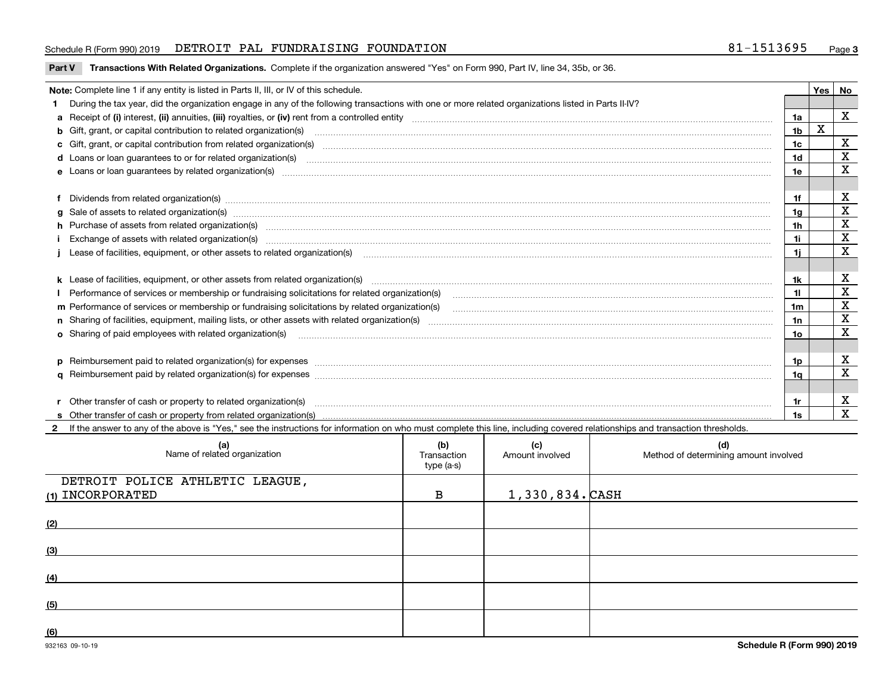#### Schedule R (Form 990) 2019 Page DETROIT PAL FUNDRAISING FOUNDATION 81-1513695

**Part V** T**ransactions With Related Organizations.** Complete if the organization answered "Yes" on Form 990, Part IV, line 34, 35b, or 36.

| Note: Complete line 1 if any entity is listed in Parts II, III, or IV of this schedule.                                                                                                                                        |     | <b>Yes</b> | No          |
|--------------------------------------------------------------------------------------------------------------------------------------------------------------------------------------------------------------------------------|-----|------------|-------------|
| 1 During the tax year, did the organization engage in any of the following transactions with one or more related organizations listed in Parts II-IV?                                                                          |     |            |             |
|                                                                                                                                                                                                                                | 1a  |            | X           |
|                                                                                                                                                                                                                                | 1b  | X          |             |
| c Gift, grant, or capital contribution from related organization(s)                                                                                                                                                            | 1c  |            | х           |
| <b>d</b> Loans or loan guarantees to or for related organization(s)                                                                                                                                                            | 1d  |            | x           |
| e Loans or loan quarantees by related organization(s)                                                                                                                                                                          | 1e  |            | x           |
|                                                                                                                                                                                                                                |     |            |             |
| f Dividends from related organization(s) manufactured contains and contained and contained contained and contained and contained and contained and contained and contained and contained and contained and contained and conta | 1f  |            | х           |
| g Sale of assets to related organization(s) manufactured contains and contained contained and contained and contained and contained and contained and contained and contained and contained and contained and contained and co | 1g  |            | $\mathbf X$ |
| h Purchase of assets from related organization(s) manufactured and content to the content of the content of the content of the content of the content of the content of the content of the content of the content of the conte | 1h  |            | $\mathbf X$ |
| Exchange of assets with related organization(s) www.andron.com/www.andron.com/www.andron.com/www.andron.com/www.andron.com/www.andron.com/www.andron.com/www.andron.com/www.andron.com/www.andron.com/www.andron.com/www.andro | 1i  |            | $\mathbf X$ |
| j Lease of facilities, equipment, or other assets to related organization(s) manufaction content and the manufacture of facilities, equipment, or other assets to related organization(s) manufaction content and the manufact | 1i. |            | x           |
|                                                                                                                                                                                                                                |     |            |             |
|                                                                                                                                                                                                                                | 1k  |            | х           |
| Performance of services or membership or fundraising solicitations for related organization(s)                                                                                                                                 | 11  |            | $\mathbf X$ |
| m Performance of services or membership or fundraising solicitations by related organization(s)                                                                                                                                | 1m  |            | X           |
|                                                                                                                                                                                                                                | 1n  |            | X           |
|                                                                                                                                                                                                                                | 10  |            | X           |
|                                                                                                                                                                                                                                |     |            |             |
| p Reimbursement paid to related organization(s) for expenses [111] All and the content of the content of the content of the content of the content of the content of the content of the content of the content of the content  | 1p. |            | х           |
|                                                                                                                                                                                                                                | 1a  |            | $\mathbf X$ |
|                                                                                                                                                                                                                                |     |            |             |
| r Other transfer of cash or property to related organization(s)                                                                                                                                                                | 1r  |            | х           |
|                                                                                                                                                                                                                                | 1s. |            | X           |

**2**If the answer to any of the above is "Yes," see the instructions for information on who must complete this line, including covered relationships and transaction thresholds.

| (a)<br>Name of related organization | (b)<br>Transaction<br>type (a-s) | (c)<br>Amount involved | (d)<br>Method of determining amount involved |
|-------------------------------------|----------------------------------|------------------------|----------------------------------------------|
| DETROIT POLICE ATHLETIC LEAGUE,     |                                  |                        |                                              |
| (1) INCORPORATED                    | в                                | $1,330,834.$ CASH      |                                              |
| (2)                                 |                                  |                        |                                              |
| (3)                                 |                                  |                        |                                              |
| (4)                                 |                                  |                        |                                              |
| (5)                                 |                                  |                        |                                              |
| (6)                                 |                                  |                        |                                              |

 $\overline{\phantom{a}}$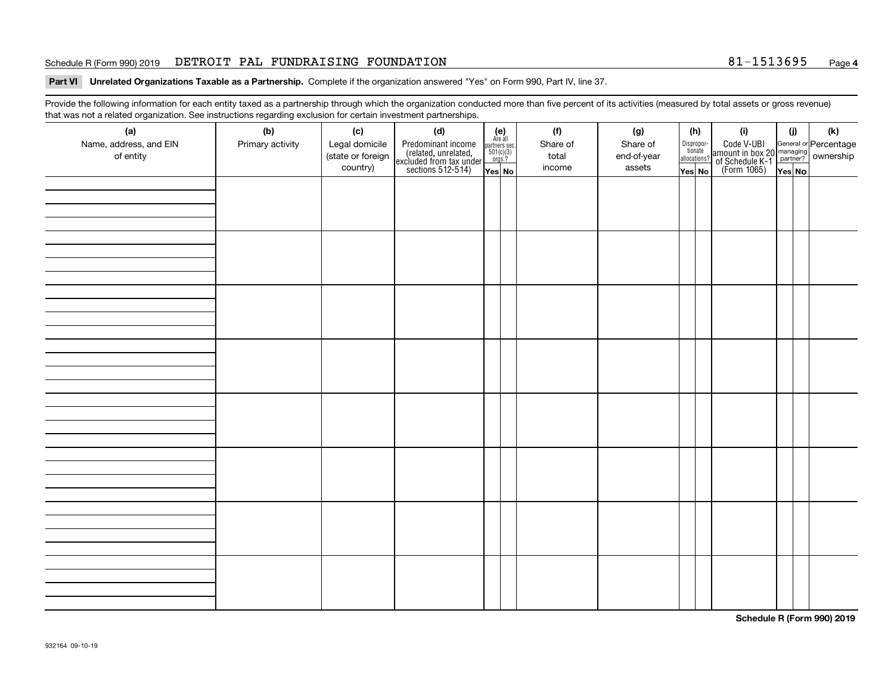#### Schedule R (Form 990) 2019 Page DETROIT PAL FUNDRAISING FOUNDATION 81-1513695

#### **4**

**Part VI Unrelated Organizations Taxable as a Partnership. Complete if the organization answered "Yes" on Form 990, Part IV, line 37.** 

Provide the following information for each entity taxed as a partnership through which the organization conducted more than five percent of its activities (measured by total assets or gross revenue) that was not a related organization. See instructions regarding exclusion for certain investment partnerships.

| ັ<br>(a)               | ັ<br>ັ<br>(b)    | (c)               | (d)                                                                                        |                                                                                             |  | (f)      | (g)         |  | (h)                                   | (i)                                                                                                                                  | (i)    | (k) |
|------------------------|------------------|-------------------|--------------------------------------------------------------------------------------------|---------------------------------------------------------------------------------------------|--|----------|-------------|--|---------------------------------------|--------------------------------------------------------------------------------------------------------------------------------------|--------|-----|
| Name, address, and EIN | Primary activity | Legal domicile    |                                                                                            | (e)<br>Are all                                                                              |  | Share of | Share of    |  |                                       |                                                                                                                                      |        |     |
| of entity              |                  | (state or foreign | Predominant income<br>(related, unrelated,<br>excluded from tax under<br>sections 512-514) | $\begin{array}{c}\n\text{partners} \text{ sec.} \\ 501(c)(3) \\ \text{orgs.?}\n\end{array}$ |  | total    | end-of-year |  | Dispropor-<br>tionate<br>allocations? | Code V-UBI<br> amount in box 20 managing<br>  of Schedule K-1 partner? ownership<br>  of Schedule K-1 partner? ownership<br>  Yes No |        |     |
|                        |                  | country)          |                                                                                            | Yes No                                                                                      |  | income   | assets      |  | Yes No                                |                                                                                                                                      | Yes No |     |
|                        |                  |                   |                                                                                            |                                                                                             |  |          |             |  |                                       |                                                                                                                                      |        |     |
|                        |                  |                   |                                                                                            |                                                                                             |  |          |             |  |                                       |                                                                                                                                      |        |     |
|                        |                  |                   |                                                                                            |                                                                                             |  |          |             |  |                                       |                                                                                                                                      |        |     |
|                        |                  |                   |                                                                                            |                                                                                             |  |          |             |  |                                       |                                                                                                                                      |        |     |
|                        |                  |                   |                                                                                            |                                                                                             |  |          |             |  |                                       |                                                                                                                                      |        |     |
|                        |                  |                   |                                                                                            |                                                                                             |  |          |             |  |                                       |                                                                                                                                      |        |     |
|                        |                  |                   |                                                                                            |                                                                                             |  |          |             |  |                                       |                                                                                                                                      |        |     |
|                        |                  |                   |                                                                                            |                                                                                             |  |          |             |  |                                       |                                                                                                                                      |        |     |
|                        |                  |                   |                                                                                            |                                                                                             |  |          |             |  |                                       |                                                                                                                                      |        |     |
|                        |                  |                   |                                                                                            |                                                                                             |  |          |             |  |                                       |                                                                                                                                      |        |     |
|                        |                  |                   |                                                                                            |                                                                                             |  |          |             |  |                                       |                                                                                                                                      |        |     |
|                        |                  |                   |                                                                                            |                                                                                             |  |          |             |  |                                       |                                                                                                                                      |        |     |
|                        |                  |                   |                                                                                            |                                                                                             |  |          |             |  |                                       |                                                                                                                                      |        |     |
|                        |                  |                   |                                                                                            |                                                                                             |  |          |             |  |                                       |                                                                                                                                      |        |     |
|                        |                  |                   |                                                                                            |                                                                                             |  |          |             |  |                                       |                                                                                                                                      |        |     |
|                        |                  |                   |                                                                                            |                                                                                             |  |          |             |  |                                       |                                                                                                                                      |        |     |
|                        |                  |                   |                                                                                            |                                                                                             |  |          |             |  |                                       |                                                                                                                                      |        |     |
|                        |                  |                   |                                                                                            |                                                                                             |  |          |             |  |                                       |                                                                                                                                      |        |     |
|                        |                  |                   |                                                                                            |                                                                                             |  |          |             |  |                                       |                                                                                                                                      |        |     |
|                        |                  |                   |                                                                                            |                                                                                             |  |          |             |  |                                       |                                                                                                                                      |        |     |
|                        |                  |                   |                                                                                            |                                                                                             |  |          |             |  |                                       |                                                                                                                                      |        |     |
|                        |                  |                   |                                                                                            |                                                                                             |  |          |             |  |                                       |                                                                                                                                      |        |     |
|                        |                  |                   |                                                                                            |                                                                                             |  |          |             |  |                                       |                                                                                                                                      |        |     |
|                        |                  |                   |                                                                                            |                                                                                             |  |          |             |  |                                       |                                                                                                                                      |        |     |
|                        |                  |                   |                                                                                            |                                                                                             |  |          |             |  |                                       |                                                                                                                                      |        |     |
|                        |                  |                   |                                                                                            |                                                                                             |  |          |             |  |                                       |                                                                                                                                      |        |     |
|                        |                  |                   |                                                                                            |                                                                                             |  |          |             |  |                                       |                                                                                                                                      |        |     |
|                        |                  |                   |                                                                                            |                                                                                             |  |          |             |  |                                       |                                                                                                                                      |        |     |
|                        |                  |                   |                                                                                            |                                                                                             |  |          |             |  |                                       |                                                                                                                                      |        |     |
|                        |                  |                   |                                                                                            |                                                                                             |  |          |             |  |                                       |                                                                                                                                      |        |     |
|                        |                  |                   |                                                                                            |                                                                                             |  |          |             |  |                                       |                                                                                                                                      |        |     |
|                        |                  |                   |                                                                                            |                                                                                             |  |          |             |  |                                       |                                                                                                                                      |        |     |
|                        |                  |                   |                                                                                            |                                                                                             |  |          |             |  |                                       |                                                                                                                                      |        |     |
|                        |                  |                   |                                                                                            |                                                                                             |  |          |             |  |                                       |                                                                                                                                      |        |     |

**Schedule R (Form 990) 2019**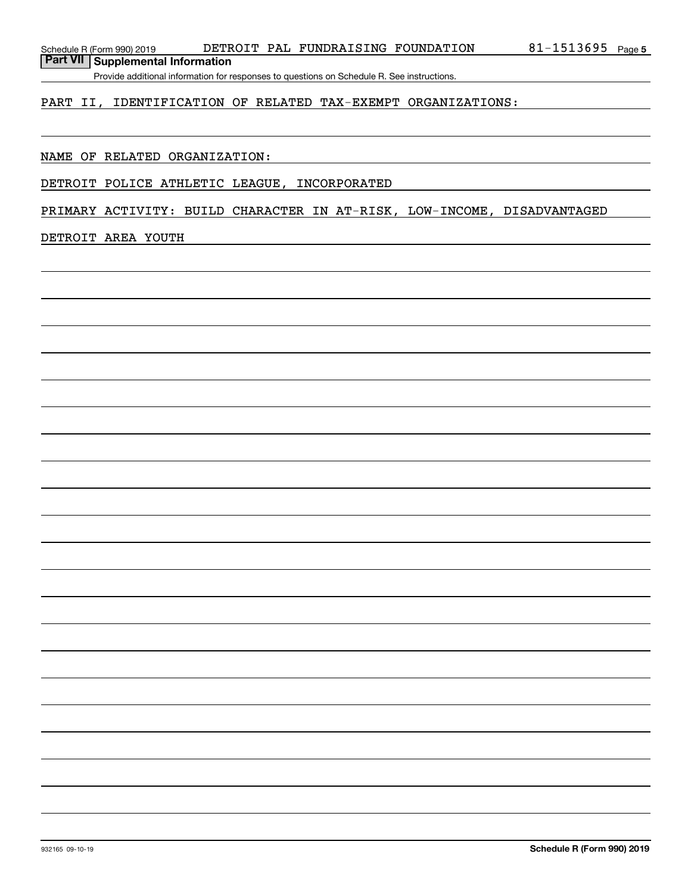**Part VII Supplemental Information**

Provide additional information for responses to questions on Schedule R. See instructions.

### PART II, IDENTIFICATION OF RELATED TAX-EXEMPT ORGANIZATIONS:

### NAME OF RELATED ORGANIZATION:

### DETROIT POLICE ATHLETIC LEAGUE, INCORPORATED

## PRIMARY ACTIVITY: BUILD CHARACTER IN AT-RISK, LOW-INCOME, DISADVANTAGED

### DETROIT AREA YOUTH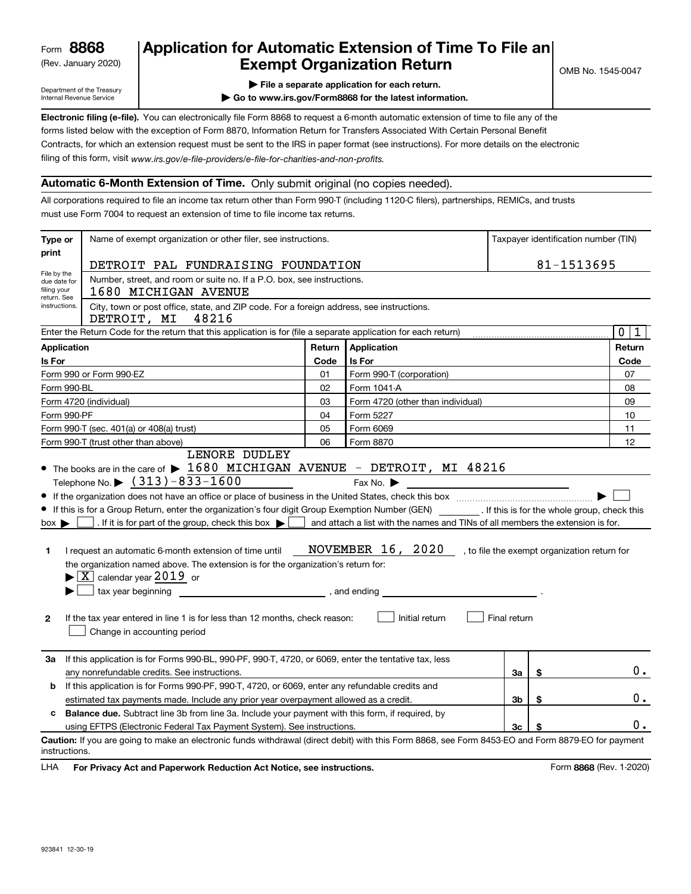(Rev. January 2020)

# **Application for Automatic Extension of Time To File an Exempt Organization Return**

Department of the Treasury Internal Revenue Service

**| File a separate application for each return.**

**| Go to www.irs.gov/Form8868 for the latest information.**

OMB No. 1545-0047

| Electronic filing (e-file). You can electronically file Form 8868 to request a 6-month automatic extension of time to file any of the    |
|------------------------------------------------------------------------------------------------------------------------------------------|
| forms listed below with the exception of Form 8870. Information Return for Transfers Associated With Certain Personal Benefit            |
| Contracts, for which an extension request must be sent to the IRS in paper format (see instructions). For more details on the electronic |
| filing of this form, visit www.irs.gov/e-file-providers/e-file-for-charities-and-non-profits.                                            |

# **Automatic 6-Month Extension of Time.** Only submit original (no copies needed).

All corporations required to file an income tax return other than Form 990-T (including 1120-C filers), partnerships, REMICs, and trusts must use Form 7004 to request an extension of time to file income tax returns.

| Type or                                                                                              | Name of exempt organization or other filer, see instructions.                                                                                                                                                                                                                                                                                                                                                                                                                                                                                                                                                                                                                                                                                                                                                                                                                                                                                                                                                     | Taxpayer identification number (TIN) |                                   |    |            |                             |  |  |
|------------------------------------------------------------------------------------------------------|-------------------------------------------------------------------------------------------------------------------------------------------------------------------------------------------------------------------------------------------------------------------------------------------------------------------------------------------------------------------------------------------------------------------------------------------------------------------------------------------------------------------------------------------------------------------------------------------------------------------------------------------------------------------------------------------------------------------------------------------------------------------------------------------------------------------------------------------------------------------------------------------------------------------------------------------------------------------------------------------------------------------|--------------------------------------|-----------------------------------|----|------------|-----------------------------|--|--|
| print                                                                                                | DETROIT PAL FUNDRAISING FOUNDATION                                                                                                                                                                                                                                                                                                                                                                                                                                                                                                                                                                                                                                                                                                                                                                                                                                                                                                                                                                                |                                      |                                   |    | 81-1513695 |                             |  |  |
| File by the<br>due date for<br>filing your                                                           | Number, street, and room or suite no. If a P.O. box, see instructions.<br>1680 MICHIGAN AVENUE                                                                                                                                                                                                                                                                                                                                                                                                                                                                                                                                                                                                                                                                                                                                                                                                                                                                                                                    |                                      |                                   |    |            |                             |  |  |
| return. See<br>instructions.                                                                         | City, town or post office, state, and ZIP code. For a foreign address, see instructions.<br>DETROIT, MI<br>48216                                                                                                                                                                                                                                                                                                                                                                                                                                                                                                                                                                                                                                                                                                                                                                                                                                                                                                  |                                      |                                   |    |            |                             |  |  |
|                                                                                                      | Enter the Return Code for the return that this application is for (file a separate application for each return)                                                                                                                                                                                                                                                                                                                                                                                                                                                                                                                                                                                                                                                                                                                                                                                                                                                                                                   |                                      |                                   |    |            | $\mathbf 0$<br>$\mathbf{1}$ |  |  |
| <b>Application</b>                                                                                   |                                                                                                                                                                                                                                                                                                                                                                                                                                                                                                                                                                                                                                                                                                                                                                                                                                                                                                                                                                                                                   | Return                               | Application                       |    |            | Return                      |  |  |
| Is For                                                                                               |                                                                                                                                                                                                                                                                                                                                                                                                                                                                                                                                                                                                                                                                                                                                                                                                                                                                                                                                                                                                                   | Code                                 | Is For                            |    |            | Code                        |  |  |
|                                                                                                      | Form 990 or Form 990-EZ                                                                                                                                                                                                                                                                                                                                                                                                                                                                                                                                                                                                                                                                                                                                                                                                                                                                                                                                                                                           | 01                                   | Form 990-T (corporation)          |    |            | 07                          |  |  |
| Form 990-BL                                                                                          |                                                                                                                                                                                                                                                                                                                                                                                                                                                                                                                                                                                                                                                                                                                                                                                                                                                                                                                                                                                                                   | 02                                   | Form 1041-A                       |    |            | 08                          |  |  |
|                                                                                                      | Form 4720 (individual)                                                                                                                                                                                                                                                                                                                                                                                                                                                                                                                                                                                                                                                                                                                                                                                                                                                                                                                                                                                            | 03                                   | Form 4720 (other than individual) |    |            | 09                          |  |  |
| Form 990-PF                                                                                          |                                                                                                                                                                                                                                                                                                                                                                                                                                                                                                                                                                                                                                                                                                                                                                                                                                                                                                                                                                                                                   | 04                                   | Form 5227                         |    |            | 10                          |  |  |
|                                                                                                      | Form 990-T (sec. 401(a) or 408(a) trust)                                                                                                                                                                                                                                                                                                                                                                                                                                                                                                                                                                                                                                                                                                                                                                                                                                                                                                                                                                          | 05                                   | Form 6069                         |    |            | 11                          |  |  |
|                                                                                                      | Form 990-T (trust other than above)<br>LENORE DUDLEY                                                                                                                                                                                                                                                                                                                                                                                                                                                                                                                                                                                                                                                                                                                                                                                                                                                                                                                                                              | 06                                   | Form 8870                         |    |            | 12                          |  |  |
| 1<br>$\mathbf{2}$                                                                                    | $\bullet$ The books are in the care of $\blacktriangleright$ 1680 MICHIGAN AVENUE - DETROIT, MI 48216<br>Telephone No. $\triangleright$ $(313) - 833 - 1600$<br>Fax No. $\blacktriangleright$<br>If this is for a Group Return, enter the organization's four digit Group Exemption Number (GEN) [67] If this is for the whole group, check this<br>. If it is for part of the group, check this box $\blacktriangleright$<br>and attach a list with the names and TINs of all members the extension is for.<br>$box \blacktriangleright$<br>NOVEMBER 16, 2020, to file the exempt organization return for<br>I request an automatic 6-month extension of time until<br>the organization named above. The extension is for the organization's return for:<br>$\blacktriangleright$ $\boxed{\text{X}}$ calendar year 2019 or<br>tax year beginning<br>, and ending<br>Initial return<br>Final return<br>If the tax year entered in line 1 is for less than 12 months, check reason:<br>Change in accounting period |                                      |                                   |    |            |                             |  |  |
| За                                                                                                   | If this application is for Forms 990-BL, 990-PF, 990-T, 4720, or 6069, enter the tentative tax, less                                                                                                                                                                                                                                                                                                                                                                                                                                                                                                                                                                                                                                                                                                                                                                                                                                                                                                              |                                      |                                   |    |            |                             |  |  |
|                                                                                                      | any nonrefundable credits. See instructions.                                                                                                                                                                                                                                                                                                                                                                                                                                                                                                                                                                                                                                                                                                                                                                                                                                                                                                                                                                      |                                      |                                   | За | \$         | 0.                          |  |  |
| If this application is for Forms 990-PF, 990-T, 4720, or 6069, enter any refundable credits and<br>b |                                                                                                                                                                                                                                                                                                                                                                                                                                                                                                                                                                                                                                                                                                                                                                                                                                                                                                                                                                                                                   |                                      |                                   |    |            |                             |  |  |
|                                                                                                      | estimated tax payments made. Include any prior year overpayment allowed as a credit.                                                                                                                                                                                                                                                                                                                                                                                                                                                                                                                                                                                                                                                                                                                                                                                                                                                                                                                              |                                      |                                   |    | \$         | 0.                          |  |  |
| с                                                                                                    | <b>Balance due.</b> Subtract line 3b from line 3a. Include your payment with this form, if required, by                                                                                                                                                                                                                                                                                                                                                                                                                                                                                                                                                                                                                                                                                                                                                                                                                                                                                                           |                                      |                                   |    |            |                             |  |  |
|                                                                                                      | 0.<br>3c<br>using EFTPS (Electronic Federal Tax Payment System). See instructions.<br>Caution: If you are going to make an electronic funds withdrawal (direct debit) with this Form 8868, see Form 8453-EO and Form 8879-EO for payment<br>instructions.                                                                                                                                                                                                                                                                                                                                                                                                                                                                                                                                                                                                                                                                                                                                                         |                                      |                                   |    |            |                             |  |  |

**HA** For Privacy Act and Paperwork Reduction Act Notice, see instructions. **But a struction of the Constantion Constant** Form 8868 (Rev. 1-2020) LHA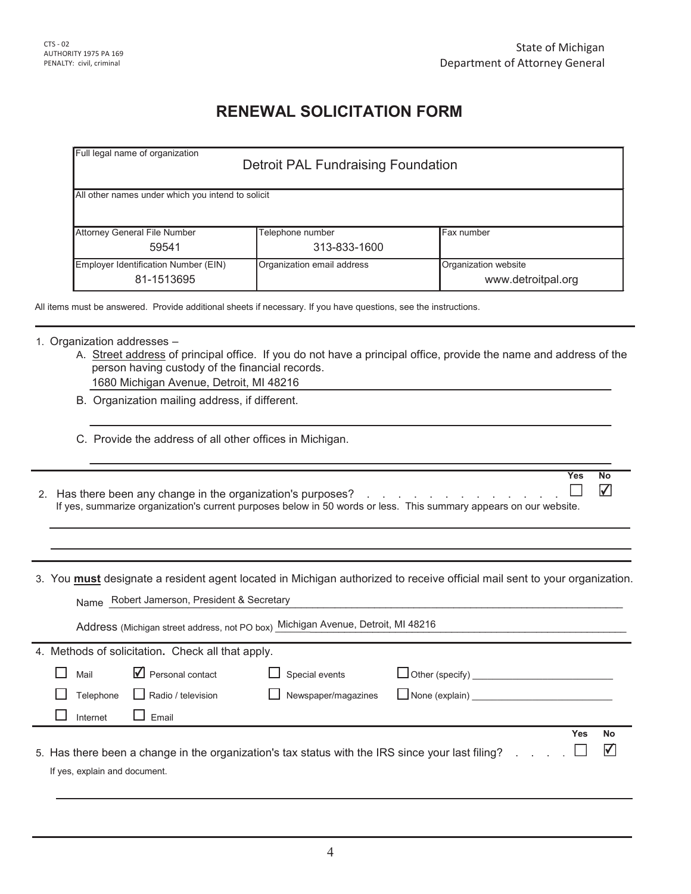Yes No

✔

# **RENEWAL SOLICITATION FORM**

| All other names under which you intend to solicit |                            |                      |  |  |  |
|---------------------------------------------------|----------------------------|----------------------|--|--|--|
|                                                   |                            |                      |  |  |  |
| Attorney General File Number                      | Telephone number           | Fax number           |  |  |  |
| 59541                                             | 313-833-1600               |                      |  |  |  |
| Employer Identification Number (EIN)              | Organization email address | Organization website |  |  |  |
| 81-1513695                                        |                            | www.detroitpal.org   |  |  |  |

# 1. Organization addresses  $-$

- A. Street address of principal office. If you do not have a principal office, provide the name and address of the person having custody of the financial records. 1680 Michigan Avenue, Detroit, MI 48216
- B. Organization mailing address, if different.
- C. Provide the address of all other offices in Michigan.
- ⊔ 2. Has there been any change in the organization's purposes?  $\quad \ldots \quad \ldots \quad \ldots \quad \ldots \quad \ldots \quad \ldots$ If yes, summarize organization's current purposes below in 50 words or less. This summary appears on our website.
- 3. You **must** designate a resident agent located in Michigan authorized to receive official mail sent to your organization.

| Robert Jamerson, President & Secretary<br>Name                                   |                                 |                     |                                                                                                  |     |                         |  |  |  |
|----------------------------------------------------------------------------------|---------------------------------|---------------------|--------------------------------------------------------------------------------------------------|-----|-------------------------|--|--|--|
| Address (Michigan street address, not PO box) Michigan Avenue, Detroit, MI 48216 |                                 |                     |                                                                                                  |     |                         |  |  |  |
| 4. Methods of solicitation. Check all that apply.                                |                                 |                     |                                                                                                  |     |                         |  |  |  |
| Mail                                                                             | $\blacksquare$ Personal contact | Special events      | $\Box$ Other (specify)                                                                           |     |                         |  |  |  |
| Telephone                                                                        | Radio / television              | Newspaper/magazines | $\Box$ None (explain)                                                                            |     |                         |  |  |  |
| Internet                                                                         | Fmail                           |                     |                                                                                                  |     |                         |  |  |  |
|                                                                                  |                                 |                     |                                                                                                  | Yes | <b>No</b>               |  |  |  |
|                                                                                  |                                 |                     | 5. Has there been a change in the organization's tax status with the IRS since your last filing? |     | $\overline{\mathsf{v}}$ |  |  |  |
| If yes, explain and document.                                                    |                                 |                     |                                                                                                  |     |                         |  |  |  |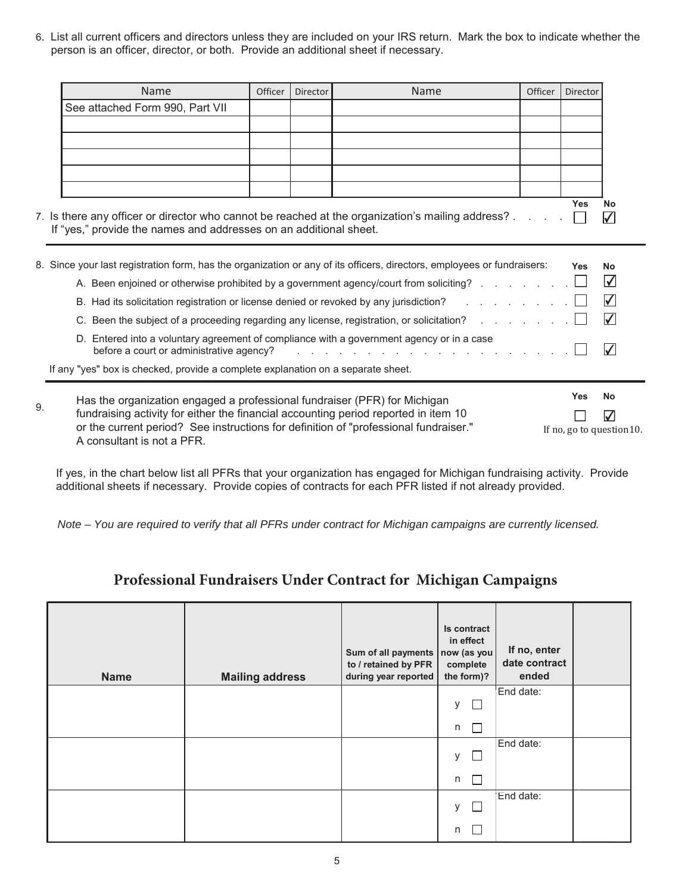6. List all current officers and directors unless they are included on your IRS return. Mark the box to indicate whether the person is an officer, director, or both. Provide an additional sheet if necessary.

|    | <b>Name</b>                                                                                                                                                                 | Officer | <b>Director</b> | <b>Name</b>                                                                                                     | Officer | Director                  |                      |
|----|-----------------------------------------------------------------------------------------------------------------------------------------------------------------------------|---------|-----------------|-----------------------------------------------------------------------------------------------------------------|---------|---------------------------|----------------------|
|    | See attached Form 990, Part VII                                                                                                                                             |         |                 |                                                                                                                 |         |                           |                      |
|    |                                                                                                                                                                             |         |                 |                                                                                                                 |         |                           |                      |
|    |                                                                                                                                                                             |         |                 |                                                                                                                 |         |                           |                      |
|    |                                                                                                                                                                             |         |                 |                                                                                                                 |         |                           |                      |
|    |                                                                                                                                                                             |         |                 |                                                                                                                 |         |                           |                      |
|    |                                                                                                                                                                             |         |                 |                                                                                                                 |         | <b>Yes</b>                |                      |
|    | 7. Is there any officer or director who cannot be reached at the organization's mailing address?                                                                            |         |                 |                                                                                                                 |         |                           | No<br>$\sqrt{}$      |
|    | If "yes," provide the names and addresses on an additional sheet.                                                                                                           |         |                 |                                                                                                                 |         |                           |                      |
|    |                                                                                                                                                                             |         |                 |                                                                                                                 |         |                           |                      |
|    | 8. Since your last registration form, has the organization or any of its officers, directors, employees or fundraisers:                                                     |         |                 |                                                                                                                 |         | <b>Yes</b>                | <b>No</b>            |
|    |                                                                                                                                                                             |         |                 | A. Been enjoined or otherwise prohibited by a government agency/court from soliciting?                          |         |                           | $\Delta$             |
|    |                                                                                                                                                                             |         |                 | B. Had its solicitation registration or license denied or revoked by any jurisdiction? Fig. All Allengers and A |         |                           | $\blacktriangledown$ |
|    |                                                                                                                                                                             |         |                 | C. Been the subject of a proceeding regarding any license, registration, or solicitation?                       |         |                           | $\sqrt{}$            |
|    | D. Entered into a voluntary agreement of compliance with a government agency or in a case                                                                                   |         |                 |                                                                                                                 |         |                           |                      |
|    | before a court or administrative agency?                                                                                                                                    |         |                 | and the state of the state of the state of the state                                                            |         |                           | $\blacktriangledown$ |
|    | If any "yes" box is checked, provide a complete explanation on a separate sheet.                                                                                            |         |                 |                                                                                                                 |         |                           |                      |
|    |                                                                                                                                                                             |         |                 |                                                                                                                 |         | Yes                       | <b>No</b>            |
| 9. | Has the organization engaged a professional fundraiser (PFR) for Michigan                                                                                                   |         |                 |                                                                                                                 |         |                           |                      |
|    | fundraising activity for either the financial accounting period reported in item 10<br>or the current period? See instructions for definition of "professional fundraiser." |         |                 |                                                                                                                 |         |                           | $\blacktriangledown$ |
|    | A consultant is not a PFR.                                                                                                                                                  |         |                 |                                                                                                                 |         | If no, go to question 10. |                      |

If yes, in the chart below list all PFRs that your organization has engaged for Michigan fundraising activity. Provide additional sheets if necessary. Provide copies of contracts for each PFR listed if not already provided.

*Note – You are required to verify that all PFRs under contract for Michigan campaigns are currently licensed.*

# Professional Fundraisers Under Contract for Michigan Campaigns

| <b>Name</b> | <b>Mailing address</b> | Sum of all payments<br>to / retained by PFR<br>during year reported | Is contract<br>in effect<br>now (as you<br>complete<br>the form)? | If no, enter<br>date contract<br>ended |  |
|-------------|------------------------|---------------------------------------------------------------------|-------------------------------------------------------------------|----------------------------------------|--|
|             |                        |                                                                     | у<br>n a                                                          | End date:                              |  |
|             |                        |                                                                     | n<br>$\Box$                                                       |                                        |  |
|             |                        |                                                                     | у<br>L                                                            | End date:                              |  |
|             |                        |                                                                     | n                                                                 |                                        |  |
|             |                        |                                                                     | У                                                                 | End date:                              |  |
|             |                        |                                                                     | n                                                                 |                                        |  |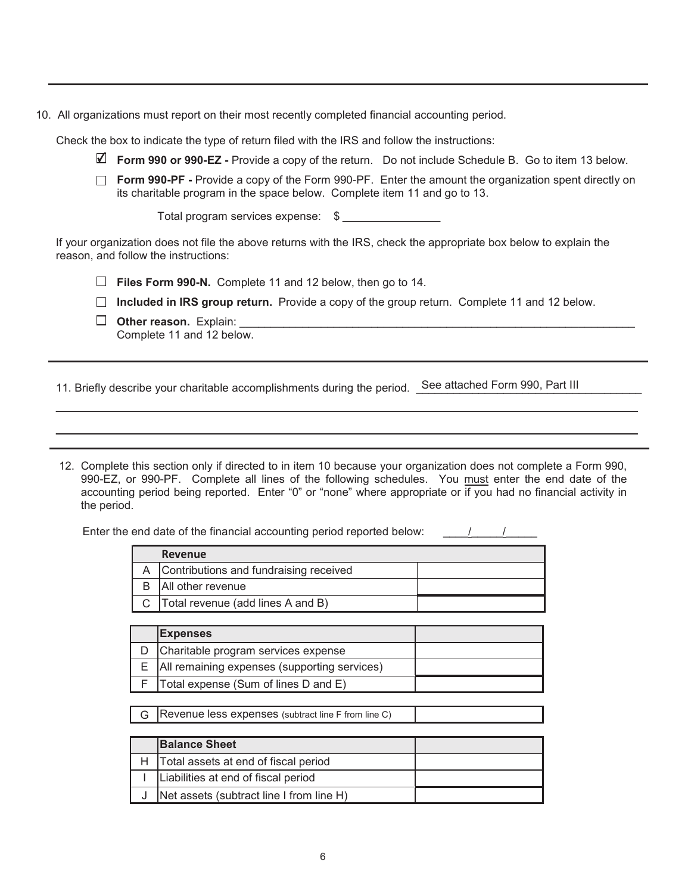10. All organizations must report on their most recently completed financial accounting period.

Check the box to indicate the type of return filed with the IRS and follow the instructions:

- **Form 990 or 990-EZ** Provide a copy of the return. Do not include Schedule B. Go to item 13 below.
- **Form 990-PF** Provide a copy of the Form 990-PF. Enter the amount the organization spent directly on its charitable program in the space below. Complete item 11 and go to 13.

Total program services expense: \$

If your organization does not file the above returns with the IRS, check the appropriate box below to explain the reason, and follow the instructions:

 $\Box$  **Files Form 990-N.** Complete 11 and 12 below, then go to 14.

**Included in IRS group return.** Provide a copy of the group return. Complete 11 and 12 below.

**2WKHUUHDVRQ**([SODLQBBBBBBBBBBBBBBBBBBBBBBBBBBBBBBBBBBBBBBBBBBBBBBBBBBBBBBBBBBBBBBB Complete 11 and 12 below.

11. Briefly describe your charitable accomplishments during the period. See attached Form 990, Part III

12. Complete this section only if directed to in item 10 because your organization does not complete a Form 990, 990-EZ, or 990-PF. Complete all lines of the following schedules. You must enter the end date of the accounting period being reported. Enter "0" or "none" where appropriate or if you had no financial activity in the period.

Enter the end date of the financial accounting period reported below:

| Revenue                                  |  |
|------------------------------------------|--|
| A Contributions and fundraising received |  |
| All other revenue                        |  |
| Total revenue (add lines A and B)        |  |

| <b>Expenses</b>                                  |  |
|--------------------------------------------------|--|
| Charitable program services expense              |  |
| E   All remaining expenses (supporting services) |  |
| $F$ Total expense (Sum of lines D and E)         |  |

 $\mathsf G$  Revenue less expenses (subtract line F from line C)

| <b>Balance Sheet</b>                     |  |
|------------------------------------------|--|
| Total assets at end of fiscal period     |  |
| Liabilities at end of fiscal period      |  |
| Net assets (subtract line I from line H) |  |